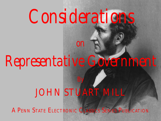# *Considerations*

# *Representative Government*

*on*

# JOHN STUART MILL

By

A PENN STATE ELECTRONIC CLASSICS SERIES PUBLICATION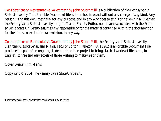*Considerations on Representative Government* by John Stuart Mill is a publication of the Pennsylvania State University. This Portable Document file is furnished free and without any charge of any kind. Any person using this document file, for any purpose, and in any way does so at his or her own risk. Neither the Pennsylvania State University nor Jim Manis, Faculty Editor, nor anyone associated with the Pennsylvania State University assumes any responsibility for the material contained within the document or for the file as an electronic transmission, in any way.

*Considerations on Representative Government* by John Stuart Mill*,* the Pennsylvania State University, *Electronic Classics Series*, Jim Manis, Faculty Editor, Hazleton, PA 18202 is a Portable Document File produced as part of an ongoing student publication project to bring classical works of literature, in English, to free and easy access of those wishing to make use of them.

Cover Design: Jim Manis

Copyright © 2004 The Pennsylvania State University

The Pennsylvania State University is an equal opportunity university.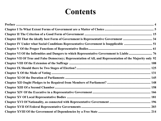## **[Contents](#page-195-0)**

| Chapter VII Of True and False Democracy; Representation of All, and Representation of the Majority only 92 |  |
|------------------------------------------------------------------------------------------------------------|--|
|                                                                                                            |  |
|                                                                                                            |  |
|                                                                                                            |  |
|                                                                                                            |  |
|                                                                                                            |  |
|                                                                                                            |  |
|                                                                                                            |  |
|                                                                                                            |  |
|                                                                                                            |  |
|                                                                                                            |  |
|                                                                                                            |  |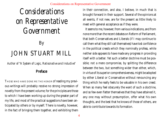## *Considerations on Representative Government*

### By JOHN STUART MILL

*Author of "A System of Logic, Ratiocnative and Inductive"*

#### Preface

THOSE WHO HAVE DONE ME THE HONOR of reading my previous writings will probably receive no strong impression of novelty from the present volume; for the principles are those to which I have been working up during the greater part of my life, and most of the practical suggestions have been anticipated by others or by myself. There is novelty, however, in the fact of bringing them together, and exhibiting them

in their connection, and also, I believe, in much that is brought forward in their support. Several of the opinions at all events, if not new, are for the present as little likely to meet with general acceptance as if they were.

It seems to me, however, from various indications, and from none more than the recent debates on Reform of Parliament, that both Conservatives and Liberals (if I may continue to call them what they still call themselves) have lost confidence in the political creeds which they nominally profess, while neither side appears to have made any progress in providing itself with a better. Yet such a better doctrine must be possible; not a mere compromise, by splitting the difference between the two, but something wider than either, which, in virtue of its superior comprehensiveness, might be adopted by either Liberal or Conservative without renouncing any thing which he really feels to be valuable in his own creed. When so many feel obscurely the want of such a doctrine, and so few even flatter themselves that they have attained it, any one may without presumption, offer what his own thoughts, and the best that he knows of those of others, are able to contribute towards its formation.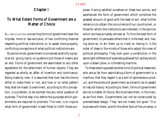#### Chapter I

#### To What Extent Forms of Government are a Matter of Choice

ALL SPECULATIONS concerning forms of government bear the impress, more or less exclusive, of two conflicting theories respecting political institutions; or, to speak more properly, conflicting conceptions of what political institutions are.

By some minds, government is conceived as strictly a practical art, giving rise to no questions but those of means and an end. Forms of government are assimilated to any other expedients for the attainment of human objects. They are regarded as wholly an affair of invention and contrivance. Being made by man, it is assumed that man has the choice either to make them or not, and how or on what pattern they shall be made. Government, according to this conception, is a problem, to be worked like any other question of business. The first step is to define the purposes which governments are required to promote. The next, is to inquire what form of government is best fitted to fulfill those pur-

poses. Having satisfied ourselves on these two points, and ascertained the form of government which combines the greatest amount of good with the least of evil, what further remains is to obtain the concurrence of our countrymen, or those for whom the institutions are intended, in the opinion which we have privately arrived at. To find the best form of government; to persuade others that it is the best; and, having done so, to stir them up to insist on having it, is the order of ideas in the minds of those who adopt this view of political philosophy. They look upon a constitution in the same light (difference of scale being allowed for) as they would upon a steam plow, or a threshing machine.

To these stand opposed another kind of political reasoners, who are so far from assimilating a form of government to a machine, that they regard it as a sort of spontaneous product, and the science of government as a branch (so to speak) of natural history. According to them, forms of government are not a matter of choice. We must take them, in the main, as we find them. Governments can not be constructed by premeditated design. They "are not made, but grow." Our business with them, as with the other facts of the universe, is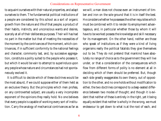to acquaint ourselves with their natural properties, and adapt ourselves to them. The fundamental political institutions of a people are considered by this school as a sort of organic growth from the nature and life of that people; a product of their habits, instincts, and unconscious wants and desires, scarcely at all of their deliberate purposes. Their will has had no part in the matter but that of meeting the necessities of the moment by the contrivances of the moment, which contrivances, if in sufficient conformity to the national feelings and character, commonly last, and, by successive aggregation, constitute a polity suited to the people who possess it, but which it would be vain to attempt to superinduce upon any people whose nature and circumstances had not spontaneously evolved it.

It is difficult to decide which of these doctrines would be the most absurd, if we could suppose either of them held as an exclusive theory. But the principles which men profess, on any controverted subject, are usually a very incomplete exponent of the opinions they really hold. No one believes that every people is capable of working every sort of institution. Carry the analogy of mechanical contrivances as far as we will, a man does not choose even an instrument of timber and iron on the sole ground that it is in itself the best. He considers whether he possesses the other requisites which must be combined with it to render its employment advantageous, and, in particular whether those by whom it will have to be worked possess the knowledge and skill necessary for its management. On the other hand, neither are those who speak of institutions as if they were a kind of living organisms really the political fatalists they give themselves out to be. They do not pretend that mankind have absolutely no range of choice as to the government they will live under, or that a consideration of the consequences which flow from different forms of polity is no element at all in deciding which of them should be preferred. But, though each side greatly exaggerates its own theory, out of opposition to the other, and no one holds without modification to either, the two doctrines correspond to a deep-seated difference between two modes of thought; and though it is evident that neither of these is entirely in the right, yet it being equally evident that neither is wholly in the wrong, we must endeavour to get down to what is at the root of each, and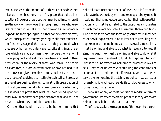avail ourselves of the amount of truth which exists in either.

Let us remember, then, in the first place, that political institutions (however the proposition may be at times ignored) are the work of men—owe their origin and their whole existence to human will. Men did not wake on a summer morning and find them sprung up. Neither do they resemble trees, which, once planted, "are aye growing" while men "are sleeping." In every stage of their existence they are made what they are by human voluntary agency. Like all things, therefore, which are made by men, they may be either well or ill made; judgment and skill may have been exercised in their production, or the reverse of these. And again, if a people have omitted, or from outward pressure have not had it in their power to give themselves a constitution by the tentative process of applying a corrective to each evil as it arose, or as the sufferers gained strength to resist it, this retardation of political progress is no doubt a great disadvantage to them, but it does not prove that what has been found good for others would not have been good also for them, and will not be so still when they think fit to adopt it.

On the other hand, it is also to be borne in mind that

political machinery does not act of itself. As it is first made, so it has to be worked, by men, and even by ordinary men. It needs, not their simple acquiescence, but their active participation; and must be adjusted to the capacities and qualities of such men as are available. This implies three conditions. The people for whom the form of government is intended must be willing to accept it, or, at least not so unwilling as to oppose an insurmountable obstacle to its establishment. They must be willing and able to do what is necessary to keep it standing. And they must be willing and able to do what it requires of them to enable it to fulfill its purposes. The word "do" is to be understood as including forbearances as well as acts. They must be capable of fulfilling the conditions of action and the conditions of self-restraint, which are necessary either for keeping the established polity in existence, or for enabling it to achieve the ends, its conduciveness to which forms its recommendation.

The failure of any of these conditions renders a form of government, whatever favorable promise it may otherwise hold out, unsuitable to the particular case.

The first obstacle, the repugnance of the people to the par-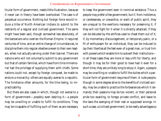ticular form of government, needs little illustration, because it never can in theory have been overlooked. The case is of perpetual occurrence. Nothing but foreign force would induce a tribe of North American Indians to submit to the restraints of a regular and civilized government. The same might have been said, though somewhat less absolutely, of the barbarians who overran the Roman Empire. It required centuries of time, and an entire change of circumstances, to discipline them into regular obedience even to their own leaders, when not actually serving under their banner. There are nations who will not voluntarily submit to any government but that of certain families, which have from time immemorial had the privilege of supplying them with chiefs. Some nations could not, except by foreign conquest, be made to endure a monarchy; others are equally averse to a republic. The hindrance often amounts, for the time being, to impracticability.

But there are also cases in which, though not averse to a form of government—possibly even desiring it—a people may be unwilling or unable to fulfill its conditions. They may be incapable of fulfilling such of them as are necessary

to keep the government even in nominal existence. Thus a people may prefer a free government; but if, from indolence, or carelessness, or cowardice, or want of public spirit, they are unequal to the exertions necessary for preserving it; if they will not fight for it when it is directly attacked; if they can be deluded by the artifices used to cheat them out of it; if, by momentary discouragement, or temporary panic, or a fit of enthusiasm for an individual, they can be induced to lay their liberties at the feet even of a great man, or trust him with powers which enable him to subvert their institutions in all these cases they are more or less unfit for liberty; and though it may be for their good to have had it even for a short time, they are unlikely long to enjoy it. Again, a people may be unwilling or unable to fulfill the duties which a particular form of government requires of them. A rude people, though in some degree alive to the benefits of civilized society, may be unable to practice the forbearances which it demands; their passions may be too violent, or their personal pride too exacting, to forego private conflict, and leave to the laws the avenging of their real or supposed wrongs. In such a case, a civilized government, to be really advantageous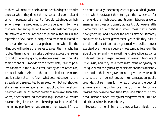to them, will require to be in a considerable degree despotic; one over which they do not themselves exercise control, and which imposes a great amount of forcible restraint upon their actions. Again, a people must be considered unfit for more than a limited and qualified freedom who will not co-operate actively with the law and the public authorities in the repression of evil-doers. A people who are more disposed to shelter a criminal than to apprehend him; who, like the Hindoos, will perjure themselves to screen the man who has robbed them, rather than take trouble or expose themselves to vindictiveness by giving evidence against him; who, like some nations of Europe down to a recent date, if a man poniards another in the public street, pass by on the other side, because it is the business of the police to look to the matter, and it is safer not to interfere in what does not concern them; a people who are revolted by an execution, but not shocked at an assassination—require that the public authorities should be armed with much sterner powers of repression than elsewhere, since the first indispensable requisites of civilized life have nothing else to rest on. These deplorable states of feeling, in any people who have emerged from savage life, are,

no doubt, usually the consequence of previous bad government, which has taught them to regard the law as made for other ends than their good, and its administrators as worse enemies than those who openly violate it. But, however little blame may be due to those in whom these mental habits have grown up, and however the habits may be ultimately conquerable by better government, yet, while they exist, a people so disposed can not be governed with as little power exercised over them as a people whose sympathies are on the side of the law, and who are willing to give active assistance in its enforcement. Again, representative institutions are of little value, and may be a mere instrument of tyranny or intrigue, when the generality of electors are not sufficiently interested in their own government to give their vote, or, if they vote at all, do not bestow their suffrages on public grounds, but sell them for money, or vote at the beck of some one who has control over them, or whom for private reasons they desire to propitiate. Popular election thus practiced, instead of a security against misgovernment, is but an additional wheel in its machinery.

Besides these moral hindrances, mechanical difficulties are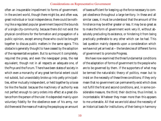often an insuperable impediment to forms of government. In the ancient world, though there might be, and often was, great individual or local independence, there could be nothing like a regulated popular government beyond the bounds of a single city-community; because there did not exist the physical conditions for the formation and propagation of a public opinion, except among those who could be brought together to discuss public matters in the same agora. This obstacle is generally thought to have ceased by the adoption of the representative system. But to surmount it completely, required the press, and even the newspaper press, the real equivalent, though not in all respects an adequate one, of the Pnyx and the Forum. There have been states of society in which even a monarchy of any great territorial extent could not subsist, but unavoidably broke up into petty principalities, either mutually independent, or held together by a loose tie like the feudal: because the machinery of authority was not perfect enough to carry orders into effect at a great distance from the person of the ruler. He depended mainly upon voluntary fidelity for the obedience even of his army, nor did there exist the means of making the people pay an amount

of taxes sufficient for keeping up the force necessary to compel obedience throughout a large territory. In these and all similar cases, it must be understood that the amount of the hindrance may be either greater or less. It may be so great as to make the form of government work very ill, without absolutely precluding its existence, or hindering it from being practically preferable to any other which can be had. This last question mainly depends upon a consideration which we have not yet arrived at—the tendencies of different forms of government to promote Progress.

We have now examined the three fundamental conditions of the adaptation of forms of government to the people who are to be governed by them. If the supporters of what may be termed the naturalistic theory of politics, mean but to insist on the necessity of these three conditions; if they only mean that no government can permanently exist which does not fulfill the first and second conditions, and, in some considerable measure, the third; their doctrine, thus limited, is incontestable. Whatever they mean more than this appears to me untenable. All that we are told about the necessity of an historical basis for institutions, of their being in harmony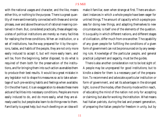with the national usages and character, and the like, means either this, or nothing to the purpose. There is a great quantity of mere sentimentality connected with these and similar phrases, over and above the amount of rational meaning contained in them. But, considered practically, these alleged requisites of political institutions are merely so many facilities for realising the three conditions. When an institution, or a set of institutions, has the way prepared for it by the opinions, tastes, and habits of the people, they are not only more easily induced to accept it, but will more easily learn, and will be, from the beginning, better disposed, to do what is required of them both for the preservation of the institutions, and for bringing them into such action as enables them to produce their best results. It would be a great mistake in any legislator not to shape his measures so as to take advantage of such pre-existing habits and feelings when available. On the other hand, it is an exaggeration to elevate these mere aids and facilities into necessary conditions. People are more easily induced to do, and do more easily, what they are already used to; but people also learn to do things new to them. Familiarity is a great help; but much dwelling on an idea will

make it familiar, even when strange at first. There are abundant instances in which a whole people have been eager for untried things. The amount of capacity which a people possess for doing new things, and adapting themselves to new circumstances; is itself one of the elements of the question. It is a quality in which different nations, and different stages of civilization, differ much from one another. The capability of any given people for fulfilling the conditions of a given form of government can not be pronounced on by any sweeping rule. Knowledge of the particular people, and general practical judgment and sagacity, must be the guides.

There is also another consideration not to be lost sight of. A people may be unprepared for good institutions; but to kindle a desire for them is a necessary part of the preparation. To recommend and advocate a particular institution or form of government, and set its advantages in the strongest light, is one of the modes, often the only mode within reach, of educating the mind of the nation not only for accepting or claiming, but also for working, the institution. What means had Italian patriots, during the last and present generation, of preparing the Italian people for freedom in unity, but by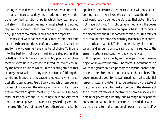inciting them to demand it? Those, however, who undertake such a task, need to be duly impressed, not solely with the benefits of the institution or polity which they recommend, but also with the capacities, moral, intellectual, and active, required for working it; that they may avoid, if possible, stirring up a desire too much in advance of the capacity.

The result of what has been said is, that, within the limits set by the three conditions so often adverted to, institutions and forms of government are a matter of choice. To inquire into the best form of government in the abstract (as it is called) is not a chimerical, but a highly practical employment of scientific intellect; and to introduce into any country the best institutions which, in the existing state of that country, are capable of, in any tolerable degree, fulfilling the conditions, is one of the most rational objects to which practical effort can address itself. Every thing which can be said by way of disparaging the efficacy of human will and purpose in matters of government might be said of it in every other of its applications. In all things there are very strict limits to human power. It can only act by wielding some one or more of the forces of nature. Forces, therefore, that can be applied to the desired use must exist; and will only act according to their own laws. We can not make the river run backwards; but we do not therefore say that watermills "are not made, but grow." In politics, as in mechanics, the power which is to keep the engine going must be sought for *outside* the machinery; and if it is not forthcoming, or is insufficient to surmount the obstacles which may reasonably be expected, the contrivance will fail. This is no peculiarity of the political art; and amounts only to saying that it is subject to the same limitations and conditions as all other arts.

At this point we are met by another objection, or the same objection in a different form. The forces, it is contended, on which the greater political phenomena depend, are not amenable to the direction of politicians or philosophers. The government of a country, it is affirmed, is, in all substantial respects, fixed and determined beforehand by the state of the country in regard to the distribution of the elements of social power. Whatever is the strongest power in society will obtain the governing authority; and a change in the political constitution can not be durable unless preceded or accompanied by an altered distribution of power in society itself. A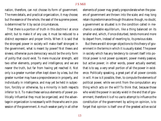nation, therefore, can not choose its form of government. The mere details, and practical organization, it may choose; but the essence of the whole, the seat of the supreme power, is determined for it by social circumstances.

That there is a portion of truth in this doctrine I at once admit; but to make it of any use, it must be reduced to a distinct expression and proper limits. When it is said that the strongest power in society will make itself strongest in the government, what is meant by power? Not thews and sinews; otherwise pure democracy would be the only form of polity that could exist. To mere muscular strength, add two other elements, property and intelligence, and we are nearer the truth, but far from having yet reached it. Not only is a greater number often kept down by a less, but the greater number may have a preponderance in property, and individually in intelligence, and may yet be held in subjection, forcibly or otherwise, by a minority in both respects inferior to it. To make these various elements of power politically influential they must be organized; and the advantage in organization is necessarily with those who are in possession of the government. A much weaker party in all other

elements of power may greatly preponderate when the powers of government are thrown into the scale; and may long retain its predominance through this alone: though, no doubt, a government so situated is in the condition called in mechanics unstable equilibrium, like a thing balanced on its smaller end, which, if once disturbed, tends more and more to depart from, instead of reverting to, its previous state.

But there are still stronger objections to this theory of government in the terms in which it is usually stated. The power in society which has any tendency to convert itself into political power is not power quiescent, power merely passive, but active power; in other words, power actually exerted; that is to say, a very small portion of all the power in existence. Politically speaking, a great part of all power consists in will. How is it possible, then, to compute the elements of political power, while we omit from the computation any thing which acts on the will? To think that, because those who wield the power in society wield in the end that of government, therefore it is of no use to attempt to influence the constitution of the government by acting on opinion, is to forget that opinion is itself one of the greatest active social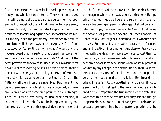forces. One person with a belief is a social power equal to ninety-nine who have only interests. They who can succeed in creating a general persuasion that a certain form of government, or social fact of any kind, deserves to be preferred, have made nearly the most important step which can possibly be taken toward ranging the powers of society on its side. On the day when the protomartyr was stoned to death at Jerusalem, while he who was to be the Apostle of the Gentiles stood by "consenting unto his death," would any one have supposed that the party of that stoned man were then and there the strongest power in society? And has not the event proved that they were so? Because theirs was the most powerful of then existing beliefs. The same element made a monk of Wittenberg, at the meeting of the Diet of Worms, a more powerful social force than the Emperor Charles the Fifth, and all the princes there assembled. But these, it may be said, are cases in which religion was concerned, and religious convictions are something peculiar in their strength. Then let us take a case purely political, where religion, if concerned at all, was chiefly on the losing side. If any one requires to be convinced that speculative thought is one of

the chief elements of social power, let him bethink himself of the age in which there was scarcely a throne in Europe which was not filled by a liberal and reforming king, a liberal and reforming emperor, or, strangest of all, a liberal and reforming pope; the age of Frederic the Great, of Catherine the Second, of Joseph the Second, of Peter Leopold, of Benedict XIV., of Ganganelli, of Pombal, of D'Aranda; when the very Bourbons of Naples were liberals and reformers, and all the active minds among the noblesse of France were filled with the ideas which were soon after to cost them so dear. Surely a conclusive example how far mere physical and economic power is from being the whole of social power. It was not by any change in the distribution of material interests, but by the spread of moral convictions, that negro slavery has been put an end to in the British Empire and elsewhere. The serfs in Russia owe their emancipation, if not to a sentiment of duty, at least to the growth of a more enlightened opinion respecting the true interest of the state. It is what men think that determines how they act; and though the persuasions and convictions of average men are in a much greater degree determined by their personal position than by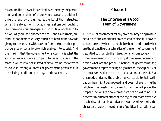reason, no little power is exercised over them by the persuasions and convictions of those whose personal position is different, and by the united authority of the instructed. When, therefore, the instructed in general can be brought to recognize one social arrangement, or political or other institution, as good, and another as bad—one as desirable, another as condemnable, very much has been done towards giving to the one, or withdrawing from the other, that preponderance of social force which enables it to subsist. And the maxim, that the government of a country is what the social forces in existence compel it to be, is true only in the sense in which it favors, instead of discouraging, the attempt to exercise, among all forms of government practicable in the existing condition of society, a rational choice.

#### Chapter II

#### The Criterion of a Good Form of Government

THE FORM of government for any given country being (within certain definite conditions) amenable to choice, it is now to be considered by what test the choice should be directed; what are the distinctive characteristics of the form of government best fitted to promote the interests of any given society.

Before entering into this inquiry, it may seem necessary to decide what are the proper functions of government; for, government altogether being only a means, the eligibility of the means must depend on their adaptation to the end. But this mode of stating the problem gives less aid to its investigation than might be supposed, and does not even bring the whole of the question into view. For, in the first place, the proper functions of a government are not a fixed thing, but different in different states of society; much more extensive in a backward than in an advanced state. And, secondly, the character of a government or set of political institutions can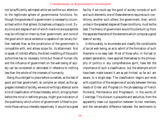not be sufficiently estimated while we confine our attention to the legitimate sphere of governmental functions; for, though the goodness of a government is necessarily circumscribed within that sphere, its badness unhappily is not. Every kind and degree of evil of which mankind are susceptible may be inflicted on them by their government, and none of the good which social existence is capable of can be any further realized than as the constitution of the government is compatible with, and allows scope for, its attainment. Not to speak of indirect effects, the direct meddling of the public authorities has no necessary limits but those of human life, and the influence of government on the well-being of society can be considered or estimated in reference to nothing less than the whole of the interests of humanity.

Being thus obliged to place before ourselves, as the test of good and bad government, so complex an object as the aggregate interests of society, we would willingly attempt some kind of classification of those interests, which, bringing them before the mind in definite groups, might give indication of the qualities by which a form of government is fitted to promote those various interests respectively. It would be a great

facility if we could say the good of society consists of such and such elements; one of these elements requires such conditions, another such others; the government, then, which unites in the greatest degree all these conditions, must be the best. The theory of government would thus be built up from the separate theorems of the elements which compose a good state of society.

Unfortunately, to enumerate and classify the constituents of social well-being, so as to admit of the formation of such theorems is no easy task. Most of those who, in the last or present generation, have applied themselves to the philosophy of politics in any comprehensive spirit, have felt the importance of such a classification, but the attempts which have been made toward it are as yet limited, so far as I am aware, to a single step. The classification begins and ends with a partition of the exigencies of society between the two heads of Order and Progress (in the phraseology of French thinkers); Permanence and Progression, in the words of Coleridge. This division is plausible and seductive, from the apparently clean-cut opposition between its two members, and the remarkable difference between the sentiments to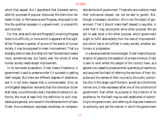which they appeal. But I apprehend that (however admissible for purposes of popular discourse) the distinction between Order, or Permanence and Progress, employed to define the qualities necessary in a government, is unscientific and incorrect.

For, first, what are Order and Progress? Concerning Progress there is no difficulty, or none which is apparent at first sight. When Progress is spoken of as one of the wants of human society, it may be supposed to mean Improvement. That is a tolerably distinct idea. But what is Order? Sometimes it means more, sometimes less, but hardly ever the whole of what human society needs except improvement.

In its narrowest acceptation, Order means Obedience. A government is said to preserve order if it succeeds in getting itself obeyed. But there are different degrees of obedience, and it is not every degree that is commendable. Only an unmitigated despotism demands that the individual citizen shall obey unconditionally every mandate of persons in authority. We must at least limit the definition to such mandates as are general, and issued in the deliberate form of laws. Order, thus understood, expresses, doubtless, an indispens-

able attribute of government. Those who are unable to make their ordinances obeyed, can not be said to govern. But, though a necessary condition, this is not the object of government. That it should make itself obeyed is requisite, in order that it may accomplish some other purpose. We are still to seek what is this other purpose, which government ought to fulfill abstractedly from the idea of improvement, and which has to be fulfilled in every society, whether stationary or progressive.

In a sense somewhat more enlarged, Order means the preservation of peace by the cessation of private violence. Order is said to exist where the people of the country have, as a general rule, ceased to prosecute their quarrels by private force, and acquired the habit of referring the decision of their disputes and the redress of their injuries to the public authorities. But in this larger use of the term, as well as in the former narrow one, Order expresses rather one of the conditions of government, than either its purpose or the criterion of its excellence; for the habit may be well established of submitting to the government, and referring all disputed matters to its authority, and yet the manner in which the government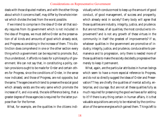deals with those disputed matters, and with the other things about which it concerns itself, may differ by the whole interval which divides the best from the worst possible.

If we intend to comprise in the idea of Order all that society requires from its government which is not included in the idea of Progress, we must define Order as the preservation of all kinds and amounts of good which already exist, and Progress as consisting in the increase of them. This distinction does comprehend in one or the other section every thing which a government can be required to promote. But, thus understood, it affords no basis for a philosophy of government. We can not say that, in constituting a polity, certain provisions ought to be made for Order and certain others for Progress, since the conditions of Order, in the sense now indicated, and those of Progress, are not opposite, but the same. The agencies which tend to preserve the social good which already exists are the very same which promote the increase of it, and *vice versâ*, the sole difference being, that a greater degree of those agencies is required for the latter purpose than for the former.

What, for example, are the qualities in the citizens indi-

vidually which conduce most to keep up the amount of good conduct, of good management, of success and prosperity, which already exist in society? Every body will agree that those qualities are industry, integrity, justice, and prudence. But are not these, of all qualities, the most conducive to improvement? and is not any growth of these virtues in the community in itself the greatest of improvements? If so, whatever qualities in the government are promotive of industry, integrity, justice, and prudence, conduce alike to permanence and to progression, only there is needed more of those qualities to make the society decidedly progressive than merely to keep it permanent.

What, again, are the particular attributes in human beings which seem to have a more especial reference to Progress, and do not so directly suggest the ideas of Order and Preservation? They are chiefly the qualities of mental activity, enterprise, and courage. But are not all these qualities fully as much required for preserving the good we have as for adding to it? If there is any thing certain in human affairs, it is that valuable acquisitions are only to be retained by the continuation of the same energies which gained them. Things left to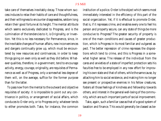take care of themselves inevitably decay. Those whom success induces to relax their habits of care and thoughtfulness, and their willingness to encounter disagreeables, seldom long retain their good fortune at its height. The mental attribute which seems exclusively dedicated to Progress, and is the culmination of the tendencies to it, is Originality, or Invention. Yet this is no less necessary for Permanence, since, in the inevitable changes of human affairs, new inconveniences and dangers continually grow up, which must be encountered by new resources and contrivances, in order to keep things going on even only as well as they did before. Whatever qualities, therefore, in a government, tend to encourage activity, energy, courage, originality, are requisites of Permanence as well as of Progress, only a somewhat less degree of them will, on the average, suffice for the former purpose than for the latter.

To pass now from the mental to the outward and objective requisites of society: it is impossible to point out any contrivance in politics, or arrangement of social affairs, which conduces to Order only, or to Progress only; whatever tends to either promotes both. Take, for instance, the common institution of a police. Order is the object which seems most immediately interested in the efficiency of this part of the social organization. Yet, if it is effectual to promote Order, that is, if it represses crime, and enables every one to feel his person and property secure, can any state of things be more conducive to Progress? The greater security of property is one of the main conditions and causes of greater production, which is Progress in its most familiar and vulgarest aspect. The better repression of crime represses the dispositions which tend to crime, and this is Progress in a somewhat higher sense. The release of the individual from the cares and anxieties of a state of imperfect protection sets his faculties free to be employed in any new effort for improving his own state and that of others, while the same cause, by attaching him to social existence, and making him no longer see present or prospective enemies in his fellow creatures, fosters all those feelings of kindness and fellowship towards others, and interest in the general well-being of the community, which are such important parts of social improvement.

Take, again, such a familiar case as that of a good system of taxation and finance. This would generally be classed as be-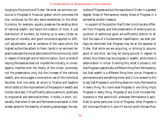longing to the province of Order. Yet what can be more conducive to Progress? A financial system which promotes the one, conduces, by the very same excellences, to the other. Economy, for example, equally preserves the existing stock of national wealth, and favors the creation of more. A just distribution of burdens, by holding up to every citizen an example of morality and good conscience applied to difficult adjustments, and an evidence of the value which the highest authorities attach to them, tends in an eminent degree to educate the moral sentiments of the community, both in respect of strength and of discrimination. Such a mode of levying the taxes as does not impede the industry, or unnecessarily interfere with the liberty of the citizen, promotes, not the preservation only, but the increase of the national wealth, and encourages a more active use of the individual faculties. And *vice versâ*, all errors in finance and taxation which obstruct the improvement of the people in wealth and morals, tend also, if of sufficiently serious amount, positively to impoverish and demoralize them. It holds, in short, universally, that when Order and Permanence are taken in their widest sense for the stability of existing advantages, the requisites of Progress are but the requisites of Order in a greater degree; those of Permanence merely those of Progress in a somewhat smaller measure.

In support of the position that Order is intrinsically different from Progress, and that preservation of existing and acquisition of additional good are sufficiently distinct to afford the basis of a fundamental classification, we shall perhaps be reminded that Progress may be at the expense of Order; that while we are acquiring, or striving to acquire, good of one kind, we may be losing ground in respect to others; thus there may be progress in wealth, while there is deterioration in virtue. Granting this, what it proves is, not that Progress is generically a different thing from Permanence, but that wealth is a different thing from virtue. Progress is permanence and something more; and it is no answer to this to say that Progress in one thing does not imply Permanence in every thing. No more does Progress in one thing imply Progress in every thing. Progress of any kind includes Permanence in that same kind: whenever Permanence is sacrificed to some particular kind of Progress, other Progress is still more sacrificed to it; and if it be not worth the sacrifice,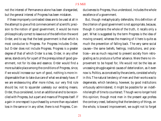not the interest of Permanence alone has been disregarded, but the general interest of Progress has been mistaken.

If these improperly contrasted ideas are to be used at all in the attempt to give a first commencement of scientific precision to the notion of good government, it would be more philosophically correct to leave out of the definition the word Order, and to say that the best government is that which is most conducive to Progress. For Progress includes Order, but Order does not include Progress. Progress is a greater degree of that of which Order is a less. Order, in any other sense, stands only for a part of the prerequisites of good government, not for its idea and essence. Order would find a more suitable place among the conditions of Progress, since, if we would increase our sum of good, nothing is more indispensable than to take due care of what we already have. If we are endeavouring after more riches, our very first rule should be, not to squander uselessly our existing means. Order, thus considered, is not an additional end to be reconciled with Progress, but a part and means of Progress itself. If a gain in one respect is purchased by a more than equivalent loss in the same or in any other, there is not Progress. Conduciveness to Progress, thus understood, includes the whole excellence of a government.

But, though metaphysically defensible, this definition of the criterion of good government is not appropriate, because, though it contains the whole of the truth, it recalls only a part. What is suggested by the term Progress is the idea of moving onward, whereas the meaning of it here is quite as much the prevention of falling back. The very same social causes—the same beliefs, feelings, institutions, and practices—are as much required to prevent society from retrograding as to produce a further advance. Were there no improvement to be hoped for, life would not be the less an unceasing struggle against causes of deterioration, as it even now is. Politics, as conceived by the ancients, consisted wholly in this. The natural tendency of men and their works was to degenerate, which tendency, however, by good institutions virtuously administered, it might be possible for an indefinite length of time to counteract. Though we no longer hold this opinion; though most men in the present age profess the contrary creed, believing that the tendency of things, on the whole, is toward improvement, we ought not to forget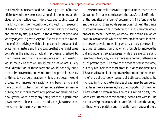that there is an incessant and ever-flowing current of human affairs toward the worse, consisting of all the follies, all the vices, all the negligences, indolences, and supinenesses of mankind, which is only controlled, and kept from sweeping all before it, by the exertions which some persons constantly, and others by fits, put forth in the direction of good and worthy objects. It gives a very insufficient idea of the importance of the strivings which take place to improve and elevate human nature and life to suppose that their chief value consists in the amount of actual improvement realized by their means, and that the consequence of their cessation would merely be that we should remain as we are. A very small diminution of those exertions would not only put a stop to improvement, but would turn the general tendency of things toward deterioration, which, once begun, would proceed with increasingly rapidity, and become more and more difficult to check, until it reached a state often seen in history, and in which many large portions of mankind even now grovel; when hardly any thing short of superhuman power seems sufficient to turn the tide, and give a fresh commencement to the upward movement.

These reasons make the word Progress as unapt as the terms Order and Permanence to become the basis for a classification of the requisites of a form of government. The fundamental antithesis which these words express does not lie in the things themselves, so much as in the types of human character which answer to them. There are, we know, some minds in which caution, and others in which boldness, predominates; in some, the desire to avoid imperilling what is already possessed is a stronger sentiment than that which prompts to improve the old and acquire new advantages; while there are others who lean the contrary way, and are more eager for future than careful of present good. The road to the ends of both is the same; but they are liable to wander from it in opposite directions. This consideration is of importance in composing the *personnel* of any political body: persons of both types ought to be included in it, that the tendencies of each may be tempered, in so far as they are excessive, by a due proportion of the other. There needs no express provision to insure this object, provided care is taken to admit nothing inconsistent with it. The natural and spontaneous admixture of the old and the young, of those whose position and reputation are made and those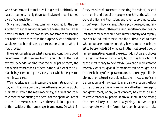who have them still to make, will in general sufficiently answer the purpose, if only this natural balance is not disturbed by artificial regulation.

Since the distinction most commonly adopted for the classification of social exigencies does not possess the properties needful for that use, we have to seek for some other leading distinction better adapted to the purpose. Such a distinction would seem to be indicated by the considerations to which I now proceed.

If we ask ourselves on what causes and conditions good government in all its senses, from the humblest to the most exalted, depends, we find that the principal of them, the one which transcends all others, is the qualities of the human beings composing the society over which the government is exercised.

We may take, as a first instance, the administration of justice; with the more propriety, since there is no part of public business in which the mere machinery, the rules and contrivances for conducting the details of the operation, are of such vital consequence. Yet even these yield in importance to the qualities of the human agents employed. Of what efficacy are rules of procedure in securing the ends of justice if the moral condition of the people is such that the witnesses generally lie, and the judges and their subordinates take bribes? Again, how can institutions provide a good municipal administration if there exists such indifference to the subject that those who would administer honestly and capably can not be induced to serve, and the duties are left to those who undertake them because they have some private interest to be promoted? Of what avail is the most broadly popular representative system if the electors do not care to choose the best member of Parliament, but choose him who will spend most money to be elected? How can a representative assembly work for good if its members can be bought, or if their excitability of temperament, uncorrected by public discipline or private self-control, makes them incapable of calm deliberation, and they resort to manual violence on the floor of the House, or shoot at one another with rifles? How, again, can government, or any joint concern, be carried on in a tolerable manner by people so envious that, if one among them seems likely to succeed in any thing, those who ought to cooperate with him form a tacit combination to make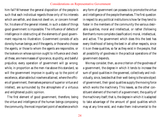him fail? Whenever the general disposition of the people is such that each individual regards those only of his interests which are selfish, and does not dwell on, or concern himself for, his share of the general interest, in such a state of things good government is impossible. The influence of defects of intelligence in obstructing all the elements of good government requires no illustration. Government consists of acts done by human beings; and if the agents, or those who choose the agents, or those to whom the agents are responsible, or the lookers-on whose opinion ought to influence and check all these, are mere masses of ignorance, stupidity, and baleful prejudice, every operation of government will go wrong; while, in proportion as the men rise above this standard, so will the government improve in quality up to the point of excellence, attainable but nowhere attained, where the officers of government, themselves persons of superior virtue and intellect, are surrounded by the atmosphere of a virtuous and enlightened public opinion.

The first element of good government, therefore, being the virtue and intelligence of the human beings composing the community, the most important point of excellence which any form of government can possess is to promote the virtue and intelligence of the people themselves. The first question in respect to any political institutions is how far they tend to foster in the members of the community the various desirable qualities, moral and intellectual, or rather (following Bentham's more complete classification) moral, intellectual, and active. The government which does this the best has every likelihood of being the best in all other respects, since it is on these qualities, so far as they exist in the people, that all possibility of goodness in the practical operations of the government depends.

We may consider, then, as one criterion of the goodness of a government, the degree in which it tends to increase the sum of good qualities in the governed, collectively and individually, since, besides that their well-being is the sole object of government, their good qualities supply the moving force which works the machinery. This leaves, as the other constituent element of the merit of a government, the quality of the machinery itself; that is, the degree in which it is adapted to take advantage of the amount of good qualities which may at any time exist, and make them instrumental to the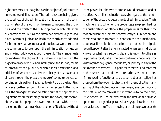right purposes. Let us again take the subject of judicature as an example and illustration. The judicial system being given, the goodness of the administration of justice is in the compound ratio of the worth of the men composing the tribunals, and the worth of the public opinion which influences or controls them. But all the difference between a good and a bad system of judicature lies in the contrivances adopted for bringing whatever moral and intellectual worth exists in the community to bear upon the administration of justice, and making it duly operative on the result. The arrangements for rendering the choice of the judges such as to obtain the highest average of virtue and intelligence; the salutary forms of procedure; the publicity which allows observation and criticism of whatever is amiss; the liberty of discussion and cinsure through the press; the mode of taking evidence, according as it is well or ill adapted to elicit truth; the facilities, whatever be their amount, for obtaining access to the tribunals; the arrangements for detecting crimes and apprehending offenders-all these things are not the power, but the machinery for bringing the power into contact with the obstacle; and the machinery has no action of itself, but without it the power, let it be ever so ample, would be wasted and of no effect. A similar distinction exists in regard to the constitution of the executive departments of administration. Their machinery is good, when the proper tests are prescribed for the qualifications of officers, the proper rules for their promotion; when the business is conveniently distributed among those who are to transact it, a convenient and methodical order established for its transaction, a correct and intelligible record kept of it after being transacted; when each individual knows for what he is responsible, and is known to others as responsible for it; when the best-contrived checks are provided against negligence, favoritism, or jobbery in any of the acts of the department. But political checks will no more act of themselves than a bridle will direct a horse without a rider. If the checking functionaries are as corrupt or as negligent as those whom they ought to check, and if the public, the mainspring of the whole checking machinery, are too ignorant, too passive, or too careless and inattentive to do their part, little benefit will be derived from the best administrative apparatus. Yet a good apparatus is always preferable to a bad. It enables such insufficient moving or checking power as exists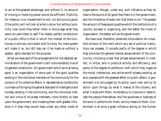to act at the greatest advantage; and without it, no amount of moving or checking power would be sufficient. Publicity, for instance, is no impediment to evil, nor stimulus to good, if the public will not look at what is done; but without publicity, how could they either check or encourage what they were not permitted to see? The ideally perfect constitution of a public office is that in which the interest of the functionary is entirely coincident with his duty. No mere system will make it so, but still less can it be made so without a system, aptly devised for the purpose.

What we have said of the arrangements for the detailed administration of the government is still more evidently true of its general constitution. All government which aims at being good is an organization of some part of the good qualities existing in the individual members of the community for the conduct of its collective affairs. A representative constitution is a means of bringing the general standard of intelligence and honesty existing in the community, and the individual intellect and virtue of its wisest members, more directly to bear upon the government, and investing them with greater influence in it than they would have under any other mode of

organization; though, under any, such influence as they do have is the source of all good that there is in the government, and the hindrance of every evil that there is not. The greater the amount of these good qualities which the institutions of a country succeed in organizing, and the better the mode of organization, the better will be the government.

We have now, therefore, obtained a foundation for a twofold division of the merit which any set of political institutions can possess. It consists partly of the degree in which they promote the general mental advancement of the community, including under that phrase advancement in intellect, in virtue, and in practical activity and efficiency, and partly of the degree of perfection with which they organize the moral, intellectual, and active worth already existing, so as to operate with the greatest effect on public affairs. A government is to be judged by its action upon men and by its action upon things; by what it makes of the citizens, and what it does with them; its tendency to improve or deteriorate the people themselves, and the goodness or badness of the work it performs for them, and by means of them. Government is at once a great influence acting on the human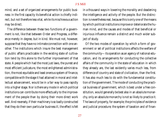mind, and a set of organized arrangements for public business: in the first capacity its beneficial action is chiefly indirect, but not therefore less vital, while its mischievous action may be direct.

The difference between these two functions of a government is not, like that between Order and Progress, a difference merely in degree, but in kind. We must not, however, suppose that they have no intimate connection with one another. The institutions which insure the best management of public affairs practicable in the existing state of cultivation tend by this alone to the further improvement of that state. A people which had the most just laws, the purest and most efficient judicature, the most enlightened administration, the most equitable and least onerous system of finance, compatible with the stage it had attained in moral and intellectual advancement, would be in a fair way to pass rapidly into a higher stage. Nor is there any mode in which political institutions can contribute more effectually to the improvement of the people than by doing their more direct work well. And reversely, if their machinery is so badly constructed that they do their own particular business ill, the effect is felt in a thousand ways in lowering the morality and deadening the intelligence and activity of the people. But the distinction is nevertheless real, because this is only one of the means by which political institutions improve or deteriorate the human mind, and the causes and modes of that beneficial or injurious influence remain a distinct and much wider subject of study.

Of the two modes of operation by which a form of government or set of political institutions affects the welfare of the community—its operation as an agency of national education, and its arrangements for conducting the collective affairs of the community in the state of education in which they already are, the last evidently varies much less, from difference of country and state of civilization, than the first. It has also much less to do with the fundamental constitution of the government. The mode of conducting the practical business of government, which is best under a free constitution, would generally be best also in an absolute monarchy, only an absolute monarchy is not so likely to practice it. The laws of property, for example; the principles of evidence and judicial procedure; the system of taxation and of finan-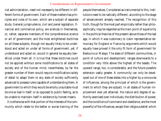cial administration, need not necessarily be different in different forms of government. Each of these matters has principles and rules of its own, which are a subject of separate study. General jurisprudence, civil and penal legislation, financial and commercial policy, are sciences in themselves, or, rather, separate members of the comprehensive science or art of government; and the most enlightened doctrines on all these subjects, though not equally likely to be understood and acted on under all forms of government, yet, if understood and acted on, would in general be equally beneficial under them all. It is true that these doctrines could not be applied without some modifications to all states of society and of the human mind; nevertheless, by far the greater number of them would require modifications solely of detail to adapt them to any state of society sufficiently advanced to possess rulers capable of understanding them. A government to which they would be wholly unsuitable must be one so bad in itself, or so opposed to public feeling, as to be unable to maintain itself in existence by honest means.

It is otherwise with that portion of the interests of the community which relate to the better or worse training of the people themselves. Considered as instrumental to this, institutions need to be radically different, according to the stage of advancement already reached. The recognition of this truth, though for the most part empirically rather than philosophically, may be regarded as the main point of superiority in the political theories of the present above those of the last age, in which it was customary to claim representative democracy for England or France by arguments which would equally have proved it the only fit form of government for Bedouins or Malays. The state of different communities, in point of culture and development, ranges downwards to a condition very little above the highest of the beasts. The upward range, too, is considerable, and the future possible extension vastly greater. A community can only be developed out of one of these states into a higher by a concourse of influences, among the principal of which is the government to which they are subject. In all states of human improvement ever yet attained, the nature and degree of authority exercised over individuals, the distribution of power, and the conditions of command and obedience, are the most powerful of the influences, except their religious belief, which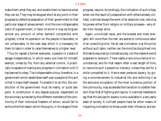make them what they are, and enable them to become what they can be. They may be stopped short at any point in their progress by defective adaptation of their government to that particular stage of advancement. And the one indispensable merit of a government, in favor of which it may be forgiven almost any amount of other demerit compatible with progress, is that its operation on the people is favorable, or not unfavorable, to the next step which it is necessary for them to take in order to raise themselves to a higher level.

Thus (to repeat a former example), a people in a state of savage independence, in which every one lives for himself, exempt, unless by fits, from any external control, is practically incapable of making any progress in civilization until it has learned to obey. The indispensable virtue, therefore, in a government which establishes itself over a people of this sort is that it make itself obeyed. To enable it to do this, the constitution of the government must be nearly, or quite despotic. A constitution in any degree popular, dependent on the voluntary surrender by the different members of the community of their individual freedom of action, would fail to enforce the first lesson which the pupils, in this stage of their

progress, require. Accordingly, the civilization of such tribes, when not the result of juxtaposition with others already civilized, is almost always the work of an absolute ruler, deriving his power either from religion or military prowess—very often from foreign arms.

Again, uncivilized races, and the bravest and most energetic still more than the rest, are averse to continuous labor of an unexciting kind. Yet all real civilization is at this price; without such labor, neither can the mind be disciplined into the habits required by civilized society, nor the material world prepared to receive it. There needs a rare concurrence of circumstances, and for that reason often a vast length of time, to reconcile such a people to industry, unless they are for a while compelled to it. Hence even personal slavery, by giving a commencement to industrial life, and enforcing it as the exclusive occupation of the most numerous portion of the community, may accelerate the transition to a better freedom than that of fighting and rapine. It is almost needless to say that this excuse for slavery is only available in a very early state of society. A civilized people have far other means of imparting civilization to those under their influence; and sla-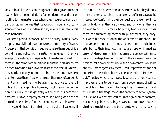very is, in all its details, so repugnant to that government of law, which is the foundation of all modern life, and so corrupting to the master-class when they have once come under civilized influences, that its adoption under any circumstances whatever in modern society is a relapse into worse than barbarism.

At some period, however, of their history, almost every people, now civilized, have consisted, in majority, of slaves. A people in that condition require to raise them out of it a very different polity from a nation of savages. If they are energetic by nature, and especially if there be associated with them in. the same community an industrious class who are neither slaves nor slave-owners (as was the case in Greece), they need, probably, no more to insure their improvement than to make them free: when freed, they may often be fit, like Roman freedmen, to be admitted at once to the full rights of citizenship. This, however, is not the normal condition of slavery, and is generally a sign that it is becoming obsolete. A slave, properly so called, is a being who has not learned to help himself. He is, no doubt, one step in advance of a savage. He has not the first lesson of political society still

to acquire. He has learned to obey. But what he obeys is only a direct command. It is the characteristic of *born* slaves to be incapable of conforming their conduct to a rule or law. They can only do what they are ordered, and only when they are ordered to do it. If a man whom they fear is standing over them and threatening them with punishment, they obey; but when his back is turned, the work remains undone. The motive determining them must appeal, not to their interests, but to their instincts; immediate hope or immediate terror. A despotism, which may tame the savage, will, in so far as it is a despotism, only confirm the slaves in their incapacities. Yet a government under their own control would be entirely unmanageable by them. Their improvement can not come from themselves, but must be superinduced from without. The step which they have to take, and their only path to improvement, is to be raised from a government of will to one of law. They have to be taught self-government, and this, in its initial stage, means the capacity to act on general instructions. What they require is not a government of force, but one of guidance. Being, however, in too low a state to yield to the guidance of any but those to whom they look up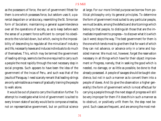as the possessors of force, the sort of government fittest for them is one which possesses force, but seldom uses it; a parental despotism or aristocracy, resembling the St. Simonian form of Socialism; maintaining a general superintendence over all the operations of society, so as to keep before each the sense of a present force sufficient to compel his obedience to the rule laid down, but which, owing to the impossibility of descending to regulate all the minutiæ of industry and life, necessarily leaves and induces individuals to do much of themselves. This, which may be termed the government of leading-strings, seems to be the one required to carry such a people the most rapidly through the next necessary step in social progress. Such appears to have been the idea of the government of the Incas of Peru, and such was that of the Jesuits of Paraguay. I need scarcely remark that leading-strings are only admissible as a means of gradually training the people to walk alone.

It would be out of place to carry the illustration further. To attempt to investigate what kind of government is suited to every known state of society would be to compose a treatise, not on representative government, but on political science

at large. For our more limited purpose we borrow from political philosophy only its general principles. To determine the form of government most suited to any particular people, we must be able, among the defects and shortcomings which belong to that people, to distinguish those that are the immediate impediment to progress—to discover what it is which (as it were) stops the way. The best government for them is the one which tends most to give them that for want of which they can not advance, or advance only in a lame and lopsided manner. We must not, however, forget the reservation necessary in all things which have for their object improvement or Progress, namely, that in seeking the good which is needed, no damage, or as little as possible, be done to that already possessed. A people of savages should be taught obedience, but not in such a manner as to convert them into a people of slaves. And (to give the observation a higher generality) the form of government which is most effectual for carrying a people through the next stage of progress will still be very improper for them if it does this in such a manner as to obstruct, or positively unfit them for, the step next beyond. Such cases are frequent, and are among the most mel-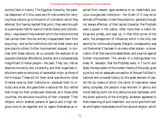ancholy facts in history. The Egyptian hierarchy, the paternal despotism of China, were very fit instruments for carrying those nations up to the point of civilization which they attained. But having reached that point, they were brought to a permanent halt for want of mental liberty and individuality—requisites of improvement which the institutions that had carried them thus far entirely incapacitated them from acquiring—and as the institutions did not break down and give place to others, further improvement stopped. In contrast with these nations, let us consider the example of an opposite character afforded by another and a comparatively insignificant Oriental people—the Jews. They, too, had an absolute monarchy and a hierarchy, and their organized institutions were as obviously of sacerdotal origin as those of the Hindoos. These did for them what was done for other Oriental races by their institutions—subdued them to industry and order, and gave them a national life. But neither their kings nor their priests ever obtained, as in those other countries, the exclusive moulding of their character. Their religion, which enabled persons of genius and a high religious tone to be regarded and to regard themselves as inspired from heaven, gave existence to an inestimably precious unorganized institution—the Order (if it may be so termed) of Prophets. Under the protection, generally though not always effectual, of their sacred character, the Prophets were a power in the nation, often more than a match for kings and priests, and kept up, in that little corner of the earth, the antagonism of influences which is the only real security for continued progress. Religion, consequently, was not there what it has been in so many other places—a consecration of all that was once established, and a barrier against further improvement. The remark of a distinguished Hebrew, M. Salvador, that the Prophets were, in Church and State, the equivalent of the modern liberty of the press, gives a just but not an adequate conception of the part fulfilled in national and universal history by this great element of Jewish life; by means of which, the canon of inspiration never being complete, the persons most eminent in genius and moral feeling could not only denounce and reprobate, with the direct authority of the Almighty, whatever appeared to them deserving of such treatment, but could give forth better and higher interpretations of the national religion, which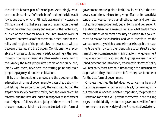thenceforth became part of the religion. Accordingly, whoever can divest himself of the habit of reading the Bible as if it was one book, which until lately was equally inveterate in Christians and in unbelievers, sees with admiration the vast interval between the morality and religion of the Pentateuch, or even of the historical books (the unmistakable work of Hebrew Conservatives of the sacerdotal order), and the morality and religion of the prophecies—a distance as wide as between these last and the Gospels. Conditions more favorable to Progress could not easily exist; accordingly, the Jews, instead of being stationary like other Asiatics, were, next to the Greeks, the most progressive people of antiquity, and, jointly with them, have been the starting-point and main propelling agency of modern cultivation.

It is, then, impossible to understand the question of the adaptation of forms of government to states of society, without taking into account not only the next step, but all the steps which society has yet to make; both those which can be foreseen, and the far wider indefinite range which is at present out of sight. It follows, that to judge of the merits of forms of government, an ideal must be constructed of the form of government most eligible in itself, that is, which, if the necessary conditions existed for giving effect to its beneficial tendencies, would, more than all others, favor and promote, not some one improvement, but all forms and degrees of it. This having been done, we must consider what are the mental conditions of all sorts necessary to enable this government to realize its tendencies, and what, therefore, are the various defects by which a people is made incapable of reaping its benefits. It would then be possible to construct a theorem of the circumstances in which that form of government may wisely be introduced; and also to judge, in cases in which it had better not be introduced, what inferior forms of polity will best carry those communities through the intermediate stages which they must traverse before they can become fit for the best form of government.

Of these inquiries, the last does not concern us here, but the first is an essential part of our subject; for we may, without rashness, at once enunciate a proposition, the proofs and illustrations of which will present themselves in the ensuing pages, that this ideally best form of government will be found in some one or other variety of the Representative System.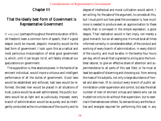#### Chapter III

#### That the ideally best Form of Government is Representative Government

IT HAS LONG (perhaps throughout the entire duration of British freedom) been a common form of speech, that if a good despot could be insured, despotic monarchy would be the best form of government. I look upon this as a radical and most pernicious misconception of what good government is, which, until it can be got rid of, will fatally vitiate all our speculations on government.

The supposition is, that absolute power, in the hands of an eminent individual, would insure a virtuous and intelligent performance of all the duties of government. Good laws would be established and enforced, bad laws would be reformed; the best men would be placed in all situations of trust; justice would be as well administered, the public burdens would be as light and as judiciously imposed, every branch of administration would be as purely and as intelligently conducted as the circumstances of the country and its

degree of intellectual and moral cultivation would admit. I am willing, for the sake of the argument, to concede all this, but I must point out how great the concession is, how much more is needed to produce even an approximation to these results than is conveyed in the simple expression, a good despot. Their realization would in fact imply, not merely a good monarch, but an all-seeing one. He must be at all times informed correctly, in considerable detail, of the conduct and working of every branch of administration, in every district of the country, and must be able, in the twenty-four hours per day, which are all that is granted to a king as to the humblest laborer, to give an effective share of attention and superintendence to all parts of this vast field; or he must at least be capable of discerning and choosing out, from among the mass of his subjects, not only a large abundance of honest and able men, fit to conduct every branch of public administration under supervision and control, but also the small number of men of eminent virtues and talents who can be trusted not only to do without that supervision, but to exercise it themselves over others. So extraordinary are the faculties and energies required for performing this task in any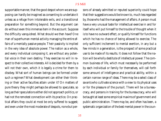supportable manner, that the good despot whom we are supposing can hardly be imagined as consenting to undertake it unless as a refuge from intolerable evils, and a transitional preparation for something beyond. But the argument can do without even this immense item in the account. Suppose the difficulty vanquished. What should we then have? One man of superhuman mental activity managing the entire affairs of a mentally passive people. Their passivity is implied in the very idea of absolute power. The nation as a whole, and every individual composing it, are without any potential voice in their own destiny. They exercise no will in respect to their collective interests. All is decided for them by a will not their own, which it is legally a crime for them to disobey. What sort of human beings can be formed under such a regimen? What development can either their thinking or their active faculties attain under it? On matters of pure theory they might perhaps be allowed to speculate, so long as their speculations either did not approach politics, or had not the remotest connection with its practice. On practical affairs they could at most be only suffered to suggest; and even under the most moderate of despots, none but persons of already admitted or reputed superiority could hope that their suggestions would be known to, much less regarded by, those who had the management of affairs. A person must have a very unusual taste for intellectual exercise in and for itself who will put himself to the trouble of thought when it is to have no outward effect, or qualify himself for functions which he has no chance of being allowed to exercise. The only sufficient incitement to mental exertion, in any but a few minds in a generation, is the prospect of some practical use to be made of its results. It does not follow that the nation will be wholly destitute of intellectual power. The common business of life, which must necessarily be performed by each individual or family for themselves, will call forth some amount of intelligence and practical ability, within a certain narrow range of ideas. There may be a select class of *savants* who cultivate science with a view to its physical uses or for the pleasure of the pursuit. There will be a bureaucracy, and persons in training for the bureaucracy, who will be taught at least some empirical maxims of government and public administration. There may be, and often has been, a systematic organization of the best mental power in the coun-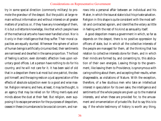try in some special direction (commonly military) to promote the grandeur of the despot. But the public at large remain without information and without interest on all greater matters of practice; or, if they have any knowledge of them, it is but a *dilettante* knowledge, like that which people have of the mechanical arts who have never handled a tool. Nor is it only in their intelligence that they suffer. Their moral capacities are equally stunted. Wherever the sphere of action of human beings is artificially circumscribed, their sentiments are narrowed and dwarfed in the same proportion. The food of feeling is action; even domestic affection lives upon voluntary good offices. Let a person have nothing to do for his country, and he will not care for it. It has been said of old that in a despotism there is at most but one patriot, the despot himself; and the saying rests on a just appreciation of the effects of absolute subjection even to a good and wise master. Religion remains; and here, at least, it may be thought, is an agency that may be relied on for lifting men's eyes and minds above the dust at their feet. But religion, even supposing it to escape perversion for the purposes of despotism, ceases in these circumstances to be a social concern, and narrows into a personal affair between an individual and his Maker, in which the issue at stake is but his private salvation. Religion in this shape is quite consistent with the most selfish and contracted egoism, and identifies the votary as little in feeling with the rest of his kind as sensuality itself.

A good despotism means a government in which, so far as depends on the despot, there is no positive oppression by officers of state, but in which all the collective interests of the people are managed for them, all the thinking that has relation to collective interests done for them, and in which their minds are formed by, and consenting to, this abdication of their own energies. Leaving things to the government, like leaving them to Providence, is synonymous with caring nothing about them, and accepting their results, when disagreeable, as visitations of Nature. With the exception, therefore, of a few studious men who take an intellectual interest in speculation for its own sake, the intelligence and sentiments of the whole people are given up to the material interests, and when these are provided for, to the amusement and ornamentation of private life. But to say this is to say, if the whole testimony of history is worth any thing,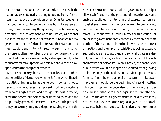that the era of national decline has arrived; that is, if the nation had ever attained any thing to decline from. If it has never risen above the condition of an Oriental people, in that condition it continues to stagnate; but if, like Greece or Rome, it had realized any thing higher, through the energy, patriotism, and enlargement of mind, which, as national qualities, are the fruits solely of freedom, it relapses in a few generations into the Oriental state. And that state does not mean stupid tranquillity, with security against change for the worse; it often means being overrun, conquered, and reduced to domestic slavery either by a stronger despot, or by the nearest barbarous people who retain along with their savage rudeness the energies of freedom.

Such are not merely the natural tendencies, but the inherent necessities of despotic government; from which there is no outlet, unless in so far as the despotism consents not to be despotism; in so far as the supposed good despot abstains from exercising his power, and, though holding it in reserve, allows the general business of government to go on as if the people really governed themselves. However little probable it may be, we may imagine a despot observing many of the

rules and restraints of constitutional government. He might allow such freedom of the press and of discussion as would enable a public opinion to form and express itself on national affairs. He might suffer local interests to be managed, without the interference of authority, by the people themselves. He might even surround himself with a council or councils of government, freely chosen by the whole or some portion of the nation, retaining in his own hands the power of taxation, and the supreme legislative as well as executive authority. Were he to act thus, and so far abdicate as a despot, he would do away with a considerable part of the evils characteristic of despotism. Political activity and capacity for public affairs would no longer be prevented from growing up in the body of the nation, and a public opinion would form itself, not the mere echo of the government. But such improvement would be the beginning of new difficulties. This public opinion, independent of the monarch's dictation, must be either with him or against him; if not the one, it will be the other. All governments must displease many persons, and these having now regular organs, and being able to express their sentiments, opinions adverse to the measures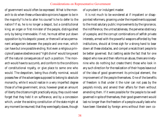of government would often be expressed. What is the monarch to do when these unfavorable opinions happen to be in the majority? Is he to alter his course? Is he to defer to the nation? If so, he is no longer a despot, but a constitutional king; an organ or first minister of the people, distinguished only by being irremovable. If not, he must either put down opposition by his despotic power, or there will arise a permanent antagonism between the people and one man, which can have but one possible ending. Not even a religious principle of passive obedience and "right divine" would long ward off the natural consequences of such a position. The monarch would have to succumb, and conform to the conditions of constitutional royalty, or give place to some one who would. The despotism, being thus chiefly nominal, would possess few of the advantages supposed to belong to absolute monarchy, while it would realize in a very imperfect degree those of a free government, since, however great an amount of liberty the citizens might practically enjoy, they could never forget that they held it on sufferance, and by a concession which, under the existing constitution of the state might at any moment be resumed; that they were legally slaves, though

of a prudent or indulgent master.

It is not much to be wondered at if impatient or disappointed reformers, groaning under the impediments opposed to the most salutary public improvements by the ignorance, the indifference, the untractableness, the perverse obstinacy of a people, and the corrupt combinations of selfish private interests, armed with the powerful weapons afforded by free institutions, should at times sigh for a strong hand to bear down all these obstacles, and compel a recalcitrant people to be better governed. But (setting aside the fact that for one despot who now and then reforms an abuse, there are ninetynine who do nothing but create them) those who look in any such direction for the realization of their hopes leave out of the idea of good government its principal element, the improvement of the people themselves. One of the benefits of freedom is that under it the ruler can not pass by the people's minds, and amend their affairs for them without amending *them*. If it were possible for the people to be well governed in spite of themselves, their good government would last no longer than the freedom of a people usually lasts who have been liberated by foreign arms without their own co-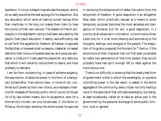operation. It is true, a despot may educate the people, and to do so really would be the best apology for his despotism. But any education which aims at making human beings other than machines, in the long run makes them claim to have the control of their own actions. The leaders of French philosophy in the eighteenth century had been educated by the Jesuits. Even Jesuit education, it seems, was sufficiently real to call forth the appetite for freedom. Whatever invigorates the faculties, in however small a measure, creates an increased desire for their more unimpeded exercise; and a popular education is a failure if it educates the people for any state but that which it will certainly induce them to desire, and most probably to demand.

I am far from condemning, in cases of extreme exigency, the assumption of absolute power in the form of a temporary dictatorship. Free nations have, in times of old, conferred such power by their own choice, as a necessary medicine for diseases of the body politic which could not be got rid of by less violent means. But its acceptance, even for a time strictly limited, can only be excused, if, like Solon or Pittacus, the dictator employs the whole power he assumes in removing the obstacles which debar the nation from the enjoyment of freedom. A good despotism is an altogether false ideal, which practically (except as a means to some temporary purpose) becomes the most senseless and dangerous of chimeras. Evil for evil, a good despotism, in a country at all advanced in civilization, is more noxious than a bad one, for it is far more relaxing and enervating to the thoughts, feelings, and energies of the people. The despotism of Augustus prepared the Romans for Tiberius. If the whole tone of their character had not first been prostrated by nearly two generations of that mild slavery, they would probably have had spirit enough left to rebel against the more odious one.

There is no difficulty in showing that the ideally best form of government is that in which the sovereignty, or supreme controlling power in the last resort, is vested in the entire aggregate of the community, every citizen not only having a voice in the exercise of that ultimate sovereignty, but being, at least occasionally, called on to take an actual part in the government by the personal discharge of some public function, local or general.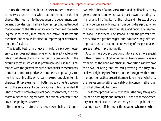To test this proposition, it has to be examined in reference to the two branches into which, as pointed out in the last chapter, the inquiry into the goodness of a government conveniently divides itself, namely, how far it promotes the good management of the affairs of society by means of the existing faculties, moral, intellectual, and active, of its various members, and what is its effect in improving or deteriorating those faculties.

The ideally best form of government, it is scarcely necessary to say, does not mean one which is practicable or eligible in all states of civilization, but the one which, in the circumstances in which it is practicable and eligible, is attended with the greatest amount of beneficial consequences, immediate and prospective. A completely popular government is the only polity which can make out any claim to this character. It is pre-eminent in both the departments between which the excellence of a political Constitution is divided. It is both more favorable to present good government, and promotes a better and higher form of national character than any other polity whatsoever.

Its superiority in reference to present well-being rests upon

two principles, of as universal truth and applicability as any general propositions which can be laid down respecting human affairs. The first is, that the rights and interests of every or any person are only secure from being disregarded when the person interested is himself able, and habitually disposed to stand up for them. The second is, that the general prosperity attains a greater height, and is more widely diffused, in proportion to the amount and variety of the personal energies enlisted in promoting it.

Putting these two propositions into a shape more special to their present application—human beings are only secure from evil at the hands of others in proportion as they have the power of being, and are, self-*protecting*; and they only achieve a high degree of success in their struggle with Nature in proportion as they are self-*dependent*, relying on what they themselves can do, either separately or in concert, rather than on what others do for them.

The former proposition—that each is the only safe guardian of his own rights and interests—is one of those elementary maxims of prudence which every person capable of conducting his own affairs implicitly acts upon wherever he him-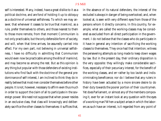self is interested. Many, indeed, have a great dislike to it as a political doctrine, and are fond of holding it up to obloquy as a doctrine of universal selfishness. To which we may answer, that whenever it ceases to be true that mankind, as a rule, prefer themselves to others, and those nearest to them to those more remote, from that moment Communism is not only practicable, but the only defensible form of society, and will, when that time arrives, be assuredly carried into effect. For my own part, not believing in universal selfishness, I have no difficulty in admitting that Communism would even now be practicable among the *élite* of mankind, and may become so among the rest. But as this opinion is any thing but popular with those defenders of existing institutions who find fault with the doctrine of the general predominance of self-interest, I am inclined to think they do in reality believe that most men consider themselves before other people. It is not, however, necessary to affirm even thus much in order to support the claim of all to participate in the sovereign power. We need not suppose that when power resides in an exclusive class, that class will knowingly and deliberately sacrifice the other classes to themselves: it suffices that,

in the absence of its natural defenders, the interest of the excluded is always in danger of being overlooked; and, when looked at, is seen with very different eyes from those of the persons whom it directly concerns. In this country, for example, what are called the working-classes may be considered as excluded from all direct participation in the government. I do not believe that the classes who do participate in it have in general any intention of sacrificing the working classes to themselves. They once had that intention; witness the persevering attempts so long made to keep down wages by law. But in the present day, their ordinary disposition is the very opposite: they willingly make considerable sacrifices, especially of their pecuniary interest, for the benefit of the working classes, and err rather by too lavish and indiscriminating beneficence; nor do I believe that any rulers in history have been actuated by a more sincere desire to do their duty towards the poorer portion of their countrymen. Yet does Parliament, or almost any of the members composing it, ever for an instant look at any question with the eyes of a working man? When a subject arises in which the laborers as such have an interest, is it regarded from any point of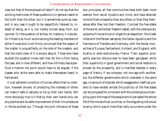view but that of the employers of labor? I do not say that the working men's view of these questions is in general nearer to the truth than the other, but it is sometimes quite as near; and in any case it ought to be respectfully listened to, instead of being, as it is, not merely turned away from, but ignored. On the question of strikes, for instance, it is doubtful if there is so much as one among the leading members of either House who is not firmly convinced that the reason of the matter is unqualifiedly on the side of the masters, and that the men's view of it is simply absurd. Those who have studied the question know well how far this is from being the case, and in how different, and how infinitely less superficial a manner the point would have to be argued, if the classes who strike were able to make themselves heard in Parliament.

It is an adherent condition of human affairs that no intention, however sincere, of protecting the interests of others can make it safe or salutary to tie up their own hands. Still more obviously true is it that by their own hands only can any positive and durable improvement of their circumstances in life be worked out. Through the joint influence of these two principles, all free communities have both been more exempt from social injustice and crime, and have attained more brilliant prosperity than any others, or than they themselves after they lost their freedom. Contrast the free states of the world, while their freedom lasted, with the cotemporary subjects of monarchical or oligarchical despotism: the Greek cities with the Persian satrapies; the Italian republics and the free towns of Flanders and Germany, with the feudal monarchies of Europe; Switzerland, Holland, and England, with Austria or ante-revolutionary France. Their superior prosperity was too obvious ever to have been gainsayed; while their superiority in good government and social relations is proved by the prosperity, and is manifest besides in every page of history. If we compare, not one age with another, but the different governments which coexisted in the same age, no amount of disorder which exaggeration itself can pretend to have existed amidst the publicity of the free states can be compared for a moment with the contemptuous trampling upon the mass of the people which pervaded the whole life of the monarchical countries, or the disgusting individual tyranny which was of more than daily occurrence under the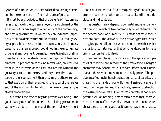systems of plunder which they called fiscal arrangements, and in the secrecy of their frightful courts of justice.

It must be acknowledged that the benefits of freedom, so far as they have hitherto been enjoyed, were obtained by the extension of its privileges to a part only of the community; and that a government in which they are extended impartially to all is a desideratum still unrealized. But, though every approach to this has an independent value, and in many cases more than an approach could not, in the existing state of general improvement, be made, the participation of all in these benefits is the ideally perfect conception of free government. In proportion as any, no matter who, are excluded from it, the interests of the excluded are left without the guaranty accorded to the rest, and they themselves have less scope and encouragement than they might otherwise have to that exertion of their energies for the good of themselves and of the community, to which the general prosperity is always proportioned.

Thus stands the case as regards present well-being—the good management of the affairs of the existing generation. If we now pass to the influence of the form of government

upon character, we shall find the superiority of popular government over every other to be, if possible, still more decided and indisputable.

This question really depends upon a still more fundamental one, viz., which of two common types of character, for the general good of humanity, it is most desirable should predominate—the active or the passive type; that which struggles against evils, or that which endures them; that which bends to circumstances, or that which endeavours to make circumstances bend to itself.

The commonplaces of moralists and the general sympathies of mankind are in favor of the passive type. Energetic characters may be admired, but the acquiescent and submissive are those which most men personally prefer. The passiveness of our neighbors increases our sense of security, and plays into the hands of our wilfulness. Passive characters, if we do not happen to need their activity, seem an obstruction the less in our own path. A contented character is not a dangerous rival. Yet nothing is more certain than that improvement in human affairs is wholly the work of the uncontented characters; and, moreover, that it is much easier for an active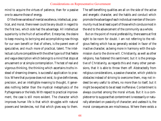mind to acquire the virtues of patience, than for a passive one to assume those of energy.

Of the three varieties of mental excellence, intellectual, practical, and moral, there never could be any doubt in regard to the first two, which side had the advantage. All intellectual superiority is the fruit of active effort. Enterprise, the desire to keep moving, to be trying and accomplishing new things for our own benefit or that of others, is the parent even of speculative, and much more of practical, talent. The intellectual culture compatible with the other type is of that feeble and vague description which belongs to a mind that stops at amusement or at simple contemplation. The test of real and vigorous thinking, the thinking which ascertains truths instead of dreaming dreams, is successful application to practice. Where that purpose does not exist, to give definiteness, precision, and an intelligible meaning to thought, it generates nothing better than the mystical metaphysics of the Pythagoreans or the Veds. With respect to practical improvement, the case is still more evident. The character which improves human life is that which struggles with natural powers and tendencies, not that which gives way to them.

The self-benefiting qualities are all on the side of the active and energetic character, and the habits and conduct which promote the advantage of each individual member of the community must be at least a part of those which conduce most in the end to the advancement of the community as a whole.

But on the point of moral preferability, there seems at first sight to be room for doubt. I am not referring to the religious feeling which has so generally existed in favor of the inactive character, as being more in harmony with the submission due to the divine will. Christianity, as well as other religions, has fostered this sentiment; but it is the prerogative of Christianity, as regards this and many other perversions, that it is able to throw them off. Abstractedly from religious considerations, a passive character, which yields to obstacles instead of striving to overcome them, may not indeed be very useful to others, no more than to itself, but it might be expected to be at least inoffensive. Contentment is always counted among the moral virtues. But it is a complete error to suppose that contentment is necessarily or naturally attendant on passivity of character; and useless it is, the moral consequences are mischievous. Where there exists a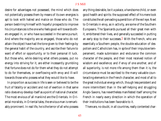desire for advantages not possessed, the mind which does not potentially possess them by means of its own energies is apt to look with hatred and malice on those who do. The person bestirring himself with hopeful prospects to improve his circumstances is the one who feels good-will towards others engaged in, or who have succeeded in the same pursuit. And where the majority are so engaged, those who do not attain the object have had the tone given to their feelings by the general habit of the country, and ascribe their failure to want of effort or opportunity, or to their personal ill luck. But those who, while desiring what others possess, put no energy into striving for it, are either incessantly grumbling that fortune does not do for them what they do not attempt to do for themselves, or overflowing with envy and ill-will towards those who possess what they would like to have.

In proportion as success in life is seen or believed to be the fruit of fatality or accident and not of exertion in that same ratio does envy develop itself as a point of national character. The most envious of all mankind are the Orientals. In Oriental moralists, in Oriental tales, the envious man is remarkably prominent. In real life, he is the terror of all who possess

any thing desirable, be it a palace, a handsome child, or even good health and spirits: the supposed effect of his mere look constitutes the all-pervading superstition of the evil eye. Next to Orientals in envy, as in activity, are some of the Southern Europeans. The Spaniards pursued all their great men with it, embittered their lives, and generally succeeded in putting an early stop to their successes.<sup>1</sup> With the French, who are essentially a Southern people, the double education of despotism and Catholicism has, in spite of their impulsive temperament, made submission and endurance the common character of the people, and their most received notion of wisdom and excellence; and if envy of one another, and of all superiority, is not more rife among them than it is, the circumstance must be ascribed to the many valuable counteracting elements in the French character, and most of all to the great individual energy which, though less persistent and more intermittent than in the self-helping and struggling Anglo-Saxons, has nevertheless manifested itself among the French in nearly every direction in which the operation of their institutions has been favorable to it.

There are, no doubt, in all countries, really contented char-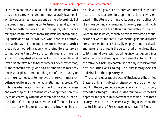acters, who not merely do not seek, but do not desire, what they do not already possess, and these naturally bear no illwill towards such as have apparently a more favored lot. But the great mass of seeming contentment is real discontent, combined with indolence or self-indulgence, which, while taking no legitimate means of raising itself, delights in bringing others down to its own level. And if we look narrowly even at the cases of innocent contentment, we perceive that they only win our admiration when the indifference is solely to improvement in outward circumstances, and there is a striving for perpetual advancement in spiritual worth, or at least a disinterested zeal to benefit others. The contented man, or the contented family, who have no ambition to make any one else happier, to promote the good of their country or their neighborhood, or to improve themselves in moral excellence, excite in us neither admiration nor approval. We rightly ascribe this sort of contentment to mere unmanliness and want of spirit. The content which we approve is an ability to do cheerfully without what can not be had, a just appreciation of the comparative value of different objects of desire, and a willing renunciation of the less when incompatible with the greater. These, however, are excellences more natural to the character, in proportion as it is actively engaged in the attempt to improve its own or some other lot. He who is continually measuring his energy against difficulties, learns what are the difficulties insuperable to him, and what are those which, though he might overcome, the success is not worth the cost. He whose thoughts and activities are all needed for, and habitually employed in, practicable and useful enterprises, is the person of all others least likely to let his mind dwell with brooding discontent upon things either not worth attaining, or which are not so to him. Thus the active, self-helping character is not only intrinsically the best, but is the likeliest to acquire all that is really excellent or desirable in the opposite type.

The striving, go-ahead character of England and the United States is only a fit subject of disapproving criticism on account of the very secondary objects on which it commonly expends its strength. In itself it is the foundation of the best hopes for the general improvement of mankind. It has been acutely remarked that whenever any thing goes amiss, the habitual impulse of French people is to say, "Il faut de la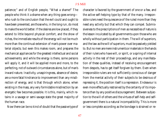patience;" and of English people, "What a shame!" The people who think it a shame when any thing goes wrong who rush to the conclusion that the evil could and ought to have been prevented, are those who, in the long run, do most to make the world better. If the desires are low placed, if they extend to little beyond physical comfort, and the show of riches, the immediate results of the energy will not be much more than the continual extension of man's power over material objects; but even this makes room, and prepares the mechanical appliances for the greatest intellectual and social achievements; and while the energy is there, some persons will apply it, and it will be applied more and more, to the perfecting, not of outward circumstances alone, but of man's inward nature. Inactivity, unaspiringness, absence of desire, are a more fatal hindrance to improvement than any misdirection of energy, and is that through which alone, when existing in the mass, any very formidable misdirection by an energetic few becomes possible. It is this, mainly, which retains in a savage or semi-savage state the great majority of the human race.

Now there can be no kind of doubt that the passive type of

character is favored by the government of one or a few, and the active self-helping type by that of the many. Irresponsible rulers need the quiescence of the ruled more than they need any activity but that which they can compel. Submissiveness to the prescriptions of men as necessities of nature is the lesson inculcated by all governments upon those who are wholly without participation in them. The will of superiors, and the law as the will of superiors, must be passively yielded to. But no men are mere instruments or materials in the hands of their rulers who have will, or spirit, or a spring of internal activity in the rest of their proceedings, and any manifestation of these qualities, instead of receiving encouragement from despots, has to get itself forgiven by them. Even when irresponsible rulers are not sufficiently conscious of danger from the mental activity of their subjects to be desirous of repressing it, the position itself is a repression. Endeavour is even more effectually restrained by the certainty of its impotence than by any positive discouragement. Between subjection to the will of others and the virtues of self-help and selfgovernment there is a natural incompatibility. This is more or less complete according as the bondage is strained or re-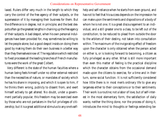laxed. Rulers differ very much in the length to which they carry the control of the free agency of their subjects, or the supersession of it by managing their business for them. But the difference is in degree, not in principle; and the best despots often go the greatest lengths in chaining up the free agency of their subjects. A bad despot, when his own personal indulgences have been provided for, may sometimes be willing to let the people alone; but a good despot insists on doing them good by making them do their own business in a better way than they themselves know of. The regulations which restricted to fixed processes all the leading branches of French manufactures were the work of the great Colbert.

Very different is the state of the human faculties where a human being feels himself under no other external restraint than the necessities of nature, or mandates of society which he has his share in imposing, and which it is open to him, if he thinks them wrong, publicly to dissent from, and exert himself actively to get altered. No doubt, under a government partially popular, this freedom may be exercised even by those who are not partakers in the full privileges of citizenship; but it is a great additional stimulus to any one's selfhelp and self-reliance when he starts from even ground, and has not to feel that his success depends on the impression he can make upon the sentiments and dispositions of a body of whom he is not one. It is a great discouragement to an individual, and a still greater one to a class, to be left out of the constitution; to be reduced to plead from outside the door to the arbiters of their destiny, not taken into consultation within. The maximum of the invigorating effect of freedom upon the character is only obtained when the person acted on either is, or is looking forward to becoming, a citizen as fully privileged as any other. What is still more important than even this matter of feeling is the practical discipline which the character obtains from the occasional demand made upon the citizens to exercise, for a time and in their turn, some social function. It is not sufficiently considered how little there is in most men's ordinary life to give any largeness either to their conceptions or to their sentiments. Their work is a routine; not a labor of love, but of self-interest in the most elementary form, the satisfaction of daily wants; neither the thing done, nor the process of doing it, introduces the mind to thoughts or feelings extending be-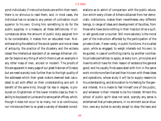yond individuals; if instructive books are within their reach, there is no stimulus to read them; and, in most cases, the individual has no access to any person of cultivation much superior to his own. Giving him something to do for the public supplies, in a measure, all these deficiencies. If circumstances allow the amount of public duty assigned him to be considerable, it makes him an educated man. Notwithstanding the defects of the social system and moral ideas of antiquity, the practice of the dicastery and the ecclesia raised the intellectual standard of an average Athenian citizen far beyond any thing of which there is yet an example in any other mass of men, ancient or modern. The proofs of this are apparent in every page of our great historian of Greece; but we need scarcely look further than to the high quality of the addresses which their great orators deemed best calculated to act with effect on their understanding and will. A benefit of the same kind, though far less in degree, is produced on Englishmen of the lower middle class by their liability to be placed on juries and to serve parish offices, which, though it does not occur to so many, nor is so continuous, nor introduces them to so great a variety of elevated considerations as to admit of comparison with the public education which every citizen of Athens obtained from her democratic institutions, makes them nevertheless very different beings, in range of ideas and development of faculties, from those who have done nothing in their lives but drive a quill, or sell goods over a counter. Still more salutary is the moral part of the instruction afforded by the participation of the private citizen, if even rarely, in public functions. He is called upon, while so engaged, to weigh interests not his own; to be guided, in case of conflicting claims, by another rule than his private partialities; to apply, at every turn, principles and maxims which have for their reason of existence the general good; and he usually finds associated with him in the same work minds more familiarized than his own with these ideas and operations, whose study it will be to supply reasons to his understanding, and stimulation to his feeling for the general interest. He is made to feel himself one of the public, and whatever is their interest to be his interest. Where this school of public spirit does not exist, scarcely any sense is entertained that private persons, in no eminent social situation, owe any duties to society except to obey the laws and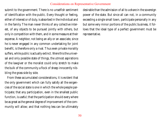submit to the government. There is no unselfish sentiment of identification with the public. Every thought or feeling, either of interest or of duty, is absorbed in the individual and in the family. The man never thinks of any collective interest, of any objects to be pursued jointly with others, but only in competition with them, and in some measure at their expense. A neighbor, not being an ally or an associate, since he is never engaged in any common undertaking for joint benefit, is therefore only a rival. Thus even private morality suffers, while public is actually extinct. Were this the universal and only possible state of things, the utmost aspirations of the lawgiver or the moralist could only stretch to make the bulk of the community a flock of sheep innocently nibbling the grass side by side.

From these accumulated considerations, it is evident that the only government which can fully satisfy all the exigencies of the social state is one in which the whole people participate; that any participation, even in the smallest public function, is useful; that the participation should every where be as great as the general degree of improvement of the community will allow; and that nothing less can be ultimately desirable than the admission of all to a share in the sovereign power of the state. But since all can not, in a community exceeding a single small town, participate personally in any but some very minor portions of the public business, it follows that the ideal type of a perfect government must be representative.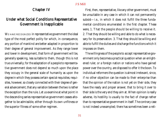# Chapter IV

# Under what Social Conditions Representative Government is Inapplicable

WE HAVE RECOGNIZED in representative government the ideal type of the most perfect polity for which, in consequence, any portion of mankind are better adapted in proportion to their degree of general improvement. As they range lower and lower in development, that form of government will be, generally speaking, less suitable to them, though this is not true universally; for the adaptation of a people to representative government does not depend so much upon the place they occupy in the general scale of humanity as upon the degree in which they possess certain special requisites; requisites, however, so closely connected with their degree of general advancement, that any variation between the two is rather the exception than the rule. Let us examine at what point in the descending series representative government ceases altogether to be admissible, either through its own unfitness or the superior fitness of some other regimen.

First, then, representative, like any other government, must be unsuitable in any case in which it can not permanently subsist—*i.e.*, in which it does not fulfill the three fundamental conditions enumerated in the first chapter. These were, 1. That the people should be willing to receive it. 2. That they should be willing and able to do what is necessary for its preservation. 3. That they should be willing and able to fulfill the duties and discharge the functions which it imposes on them.

The willingness of the people to accept representative government only becomes a practical question when an enlightened ruler, or a foreign nation or nations who have gained power over the country, are disposed to offer it the boon. To individual reformers the question is almost irrelevant, since, if no other objection can be made to their enterprise than that the opinion of the nation is not yet on their side, they have the ready and proper answer, that to bring it over to their side is the very end they aim at. When opinion is really adverse, its hostility is usually to the fact of change rather than to representative government in itself. The contrary case is not indeed unexampled; there has sometimes been a reli-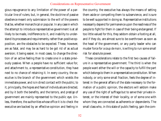gious repugnance to any limitation of the power of a particular line of rulers; but, in general, the doctrine of passive obedience meant only submission to the will of the powers that be, whether monarchical or popular. In any case in which the attempt to introduce representative government is at all likely to be made, indifference to it, and inability to understand its processes and requirements, rather than positive opposition, are the obstacles to be expected. These, however, are as fatal, and may be as hard to be got rid of as actual aversion; it being easier, in most cases, to change the direction of an active feeling than to create one in a state previously passive. When a people have no sufficient value for, and attachment to, a representative constitution, they have next to no chance of retaining it. In every country, the executive is the branch of the government which wields the immediate power, and is in direct contact with the public; to it, principally, the hopes and fears of individuals are directed, and by it both the benefits, and the terrors, and *prestige* of government are mainly represented to the public eye. Unless, therefore, the authorities whose office it is to check the executive are backed by an effective opinion and feeling in

the country, the executive has always the means of setting them aside or compelling them to subservience, and is sure to be well supported in doing so. Representative institutions necessarily depend for permanence upon the readiness of the people to fight for them in case of their being endangered. If too little valued for this, they seldom obtain a footing at all, and if they do, are almost sure to be overthrown as soon as the head of the government, or any party leader who can muster force for a *coup de main*, is willing to run some small risk for absolute power.

These considerations relate to the first two causes of failure in a representative government. The third is when the people want either the will or the capacity to fulfill the part which belongs to them in a representative constitution. When nobody, or only some small fraction, feels the degree of interest in the general affairs of the state necessary to the formation of a public opinion, the electors will seldom make any use of the right of suffrage but to serve their private interest, or the interest of their locality, or of some one with whom they are connected as adherents or dependents. The small class who, in this state of public feeling, gain the com-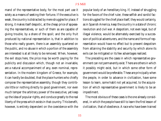mand of the representative body, for the most part use it solely as a means of seeking their fortune. If the executive is weak, the country is distracted by mere struggles for place; if strong, it makes itself despotic, at the cheap price of appeasing the representatives, or such of them as are capable of giving trouble, by a share of the spoil; and the only fruit produced by national representation is, that in addition to those who really govern, there is an assembly quartered on the public, and no abuse in which a portion of the assembly are interested is at all likely to be removed. When, however, the evil stops here, the price may be worth paying for the publicity and discussion which, though not an invariable, are a natural accompaniment of any, even nominal, representation. In the modern kingdom of Greece, for example, it can hardly be doubted, that the place-hunters who chiefly compose the representative assembly, though they contribute little or nothing directly to good government, nor even much temper the arbitrary power of the executive, yet keep up the idea of popular rights, and conduce greatly to the real liberty of the press which exists in that country. This benefit, however, is entirely dependent on the coexistence with the

popular body of an hereditary king. If, instead of struggling for the favors of the chief ruler, these selfish and sordid factions struggled for the chief place itself, they would certainly, as in Spanish America, keep the country in a state of chronic revolution and civil war. A despotism, not even legal, but of illegal violence, would be alternately exercised by a succession of political adventurers, and the name and forms of representation would have no effect but to prevent despotism from attaining the stability and security by which alone its evils can be mitigated or its few advantages realized.

The preceding are the cases in which representative government can not permanently exist. There are others in which it possibly might exist, but in which some other form of government would be preferable. These are principally when the people, in order to advance in civilization, have some lesson to learn, some habit not yet acquired, to the acquisition of which representative government is likely to be an impediment.

The most obvious of these cases is the one already considered, in which the people have still to learn the first lesson of civilization, that of obedience. A race who have been trained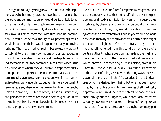in energy and courage by struggles with Nature and their neighbors, but who have not yet settled down into permanent obedience to any common superior, would be little likely to acquire this habit under the collective government of their own body. A representative assembly drawn from among themselves would simply reflect their own turbulent insubordination. It would refuse its authority to all proceedings which would impose, on their savage independence, any improving restraint. The mode in which such tribes are usually brought to submit to the primary conditions of civilized society is through the necessities of warfare, and the despotic authority indispensable to military command. A military leader is the only superior to whom they will submit, except occasionally some prophet supposed to be inspired from above, or conjurer regarded as possessing miraculous power. These may exercise a temporary ascendancy, but as it is merely personal, it rarely effects any change in the general habits of the people, unless the prophet, like Mohammed, is also a military chief, and goes forth the armed apostle of a new religion; or unless the military chiefs ally themselves with his influence, and turn it into a prop for their own government.

A people are no less unfitted for representative government by the contrary fault to that last specified—by extreme passiveness, and ready submission to tyranny. If a people thus prostrated by character and circumstances could obtain representative institutions, they would inevitably choose their tyrants as their representatives, and the yoke would be made heavier on them by the contrivance which *primâ facie* might be expected to lighten it. On the contrary, many a people has gradually emerged from this condition by the aid of a central authority, whose position has made it the rival, and has ended by making it the master, of the local despots, and which, above all, has been single. French history, from Hugh Capet to Richelieu and Louis XIV., is a continued example of this course of things. Even when the king was scarcely so powerful as many of his chief feudatories, the great advantage which he derived from being but one has been recognized by French historians. To him the eyes of *all* the locally oppressed were turned; he was the object of hope and reliance throughout the kingdom, while each local potentate was only powerful within a more or less confined space. At his hands, refuge and protection were sought from every part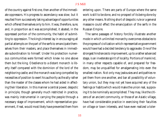of the country against first one, then another of the immediate oppressors. His progress to ascendancy was slow; but it resulted from successively taking advantage of opportunities which offered themselves only to him. It was, therefore, sure; and, in proportion as it was accomplished, it abated, in the oppressed portion of the community, the habit of submitting to oppression. The king's interest lay in encouraging all partial attempts on the part of the serfs to emancipate themselves from their masters, and place themselves in immediate subordination to himself. Under his protection numerous communities were formed which knew no one above them but the king. Obedience to a distant monarch is liberty itself compared with the dominion of the lord of the neighboring castle; and the monarch was long compelled by necessities of position to exert his authority as the ally rather than the master of the classes whom he had aided in affecting their liberation. In this manner a central power, despotic in principle, though generally much restricted in practice, was mainly instrumental in carrying the people through a necessary stage of improvement, which representative government, if real, would most likely have prevented them from entering upon. There are parts of Europe where the same work is still to be done, and no prospect of its being done by any other means. Nothing short of despotic rule or a general massacre could effect the emancipation of the serfs in the Russian Empire.

The same passages of history forcibly illustrate another mode in which unlimited monarchy overcomes obstacles to the progress of civilization which representative government would have had a decided tendency to aggravate. One of the strongest hindrances to improvement, up to a rather advanced stage, is an inveterate spirit of locality. Portions of mankind, in many other respects capable of, and prepared for freedom, may be unqualified for amalgamating into even the smallest nation. Not only may jealousies and antipathies repel them from one another, and bar all possibility of voluntary union, but they may not yet have acquired any of the feelings or habits which would make the union real, supposing it to be nominally accomplished. They may, like the citizens of an ancient community, or those of an Asiatic village, have had considerable practice in exercising their faculties on village or town interests, and have even realized a toler-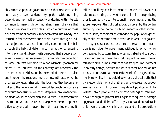ably effective popular government on that restricted scale, and may yet have but slender sympathies with any thing beyond, and no habit or capacity of dealing with interests common to many such communities. I am not aware that history furnishes any example in which a number of these political atoms or corpuscles have coalesced into a body, and learned to feel themselves one people, except through previous subjection to a central authority common to all.2 It is through the habit of deferring to that authority, entering into its plans and subserving its purposes, that a people such as we have supposed receive into their minds the conception of large interests common to a considerable geographical extent. Such interests, on the contrary, are necessarily the predominant consideration in the mind of the central ruler; and through the relations, more or less intimate, which he progressively establishes with the localities, they become familiar to the general mind. The most favorable concurrence of circumstances under which this step in improvement could be made would be one which should raise up representative institutions without representative government; a representative body or bodies, drawn from the localities, making itself the auxiliary and instrument of the central power, but seldom attempting to thwart or control it. The people being thus taken, as it were, into council, though not sharing the supreme power, the political education given by the central authority is carried home, much more effectually than it could otherwise be, to the local chiefs and to the population generally, while, at the same time, a tradition is kept up of government by general consent, or at least, the sanction of tradition is not given to government without it, which, when consecrated by custom, has so often put a bad end to a good beginning, and is one of the most frequent causes of the sad fatality which in most countries has stopped improvement in so early a stage, because the work of some one period has been so done as to bar the needful work of the ages following. Meanwhile, it may be laid down as a political truth, that by irresponsible monarchy rather than by representative government can a multitude of insignificant political units be welded into a people, with common feelings of cohesion, power enough to protect itself against conquest or foreign aggression, and affairs sufficiently various and considerable of its own to occupy worthily and expand to fit proportions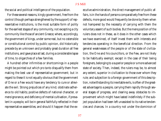the social and political intelligence of the population.

For these several reasons, kingly government, free from the control (though perhaps strengthened by the support) of representative institutions, is the most suitable form of polity for the earliest stages of any community, not excepting a city community like those of ancient Greece; where, accordingly, the government of kings, under some real, but no ostensible or constitutional control by public opinion, did historically precede by an unknown and probably great duration all free institutions, and gave place at last, during a considerable lapse of time, to oligarchies of a few families.

A hundred other infirmities or shortcomings in a people might be pointed out which *pro tanto* disqualify them from making the best use of representative government; but in regard to these it is not equally obvious that the government of One or a Few would have any tendency to cure or alleviate the evil. Strong prejudices of any kind; obstinate adherence to old habits; positive defects of national character, or mere ignorance, and deficiency of mental cultivation, if prevalent in a people, will be in general faithfully reflected in their representative assemblies; and should it happen that the ex-

ecutive administration, the direct management of public affairs, is in the hands of persons comparatively free from these defects, more good would frequently be done by them when not hampered by the necessity of carrying with them the voluntary assent of such bodies. But the mere position of the rulers does not in these, as it does in the other cases which we have examined, of itself invest them with interests and tendencies operating in the beneficial direction. From the general weaknesses of the people or of the state of civilization, the One and his councillors, or the Few, are not likely to be habitually exempt; except in the case of their being foreigners, belonging to a superior people or a more advanced state of society. Then, indeed, the rulers may be, to almost any extent, superior in civilization to those over whom they rule; and subjection to a foreign government of this description, notwithstanding its inevitable evils, is often of the greatest advantage to a people, carrying them rapidly through several stages of progress, and clearing away obstacles to improvement which might have lasted indefinitely if the subject population had been left unassisted to its native tendencies and chances. In a country not under the dominion of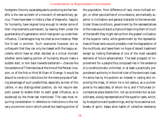foreigners, the only cause adequate to producing similar benefits is the rare accident of a monarch of extraordinary genius. There have been in history a few of these who, happily for humanity, have reigned long enough to render some of their improvements permanent, by leaving them under the guardianship of a generation which had grown up under their influence. Charlemagne may be cited as one instance; Peter the Great is another. Such examples however are so unfrequent that they can only be classed with the happy accidents which have so often decided at a critical moment whether some leading portion of humanity should make a sudden start, or sink back towards barbarism—chances like the existence of Themistocles at the time of the Persian invasion, or of the first or third William of Orange. It would be absurd to construct institutions for the mere purpose of taking advantage of such possibilities, especially as men of this calibre, in any distinguished position, do not require despotic power to enable them to exert great influence, as is evidenced by the three last mentioned. The case most requiring consideration in reference to institutions is the not very uncommon one in which a small but leading portion of the population, from difference of race, more civilized origin, or other peculiarities of circumstance, are markedly superior in civilization and general character to the remainder. Under those conditions, government by the representatives of the mass would stand a chance of depriving them of much of the benefit they might derive from the greater civilization of the superior ranks, while government by the representatives of those ranks would probably rivet the degradation of the multitude, and leave them no hope of decent treatment except by ridding themselves of one of the most valuable elements of future advancement. The best prospect of improvement for a people thus composed lies in the existence of a constitutionally unlimited, or at least a practically preponderant authority in the chief ruler of the dominant class. He alone has by his position an interest in raising and improving the mass, of whom he is not jealous, as a counterpoise to his associates, of whom he is; and if fortunate circumstances place beside him, not as controllers but as subordinates, a body representative of the superior caste, which, by its objections and questionings, and by its occasional outbreaks of spirit, keeps alive habits of collective resistance,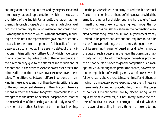and may admit of being, in time and by degrees, expanded into a really national representation (which is in substance the history of the English Parliament), the nation has then the most favorable prospects of improvement which can well occur to a community thus circumstanced and constituted.

Among the tendencies which, without absolutely rendering a people unfit for representative government, seriously incapacitate them from reaping the full benefit of it, one deserves particular notice. There are two states of the inclinations, intrinsically very different, but which have something in common, by virtue of which they often coincide in the direction they give to the efforts of individuals and of nations; one is, the desire to exercise power over others; the other is disinclination to have power exercised over themselves. The difference between different portions of mankind in the relative strength of these two dispositions is one of the most important elements in their history. There are nations in whom the passion for governing others is so much stronger than the desire of personal independence, that for the mere shadow of the one they are found ready to sacrifice the whole of the other. Each one of their number is willing,

like the private soldier in an army, to abdicate his personal freedom of action into the hands of his general, provided the army is triumphant and victorious, and he is able to flatter himself that he is one of a conquering host, though the notion that he has himself any share in the domination exercised over the conquered is an illusion. A government strictly limited in its powers and attributions, required to hold its hands from overmeddling, and to let most things go on without its assuming the part of guardian or director, is not to the taste of such a people; in their eyes the possessors of authority can hardly take too much upon themselves, provided the authority itself is open to general competition. An average individual among them prefers the chance, however distant or improbable, of wielding some share of power over his fellow-citizens, above the certainty, to himself and others, of having no unnecessary power exercised over them. These are the elements of a people of place-hunters, in whom the course of politics is mainly determined by place-hunting; where equality alone is cared for, but not liberty; where the contests of political parties are but struggles to decide whether the power of meddling in every thing shall belong to one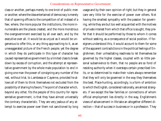class or another, perhaps merely to one knot of public men or another; where the idea entertained of democracy is merely that of opening offices to the competition of all instead of a few; where, the more popular the institutions, the more innumerable are the places created, and the more monstrous the overgovernment exercised by all over each, and by the executive over all. It would be as unjust as it would be ungenerous to offer this, or any thing approaching to it, as an unexaggerated picture of the French people; yet the degree in which they do participate in this type of character has caused representative government by a limited class to break down by excess of corruption, and the attempt at representative government by the whole male population to end in giving one man the power of consigning any number of the rest, without trial, to Lambessa or Cayenne, provided he allows all of them to think themselves not excluded from the possibility of sharing his favors. The point of character which, beyond any other, fits the people of this country for representative government, is that they have almost universally the contrary characteristic. They are very jealous of any attempt to exercise power over them not sanctioned by long

usage and by their own opinion of right; but they in general care very little for the exercise of power over others. Not having the smallest sympathy with the passion for governing, while they are but too well acquainted with the motives of private interest from which that office is sought, they prefer that it should be performed by those to whom it comes without seeking, as a consequence of social position. If foreigners understood this, it would account to them for some of the apparent contradictions in the political feelings of Englishmen; their unhesitating readiness to let themselves be governed by the higher classes, coupled with so little personal subservience to them, that no people are so fond of resisting authority when it oversteps certain prescribed limits, or so determined to make their rulers always remember that they will only be governed in the way they themselves like best. Place-hunting, accordingly, is a form of ambition to which the English, considered nationally, are almost strangers. If we except the few families or connections of whom official employment lies directly in the way, Englishmen's views of advancement in life take an altogether different direction—that of success in business or in a profession. They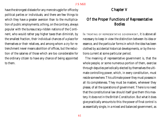have the strongest distaste for any mere struggle for office by political parties or individuals; and there are few things to which they have a greater aversion than to the multiplication of public employments; a thing, on the contrary, always popular with the bureaucracy-ridden nations of the Continent, who would rather pay higher taxes than diminish, by the smallest fraction, their individual chances of a place for themselves or their relatives, and among whom a cry for retrenchment never means abolition of offices, but the reduction of the salaries of those which are too considerable for the ordinary citizen to have any chance of being appointed to them.

# Chapter V

# Of the Proper Functions of Representative Bodies

IN TREATING OF REPRESENTATIVE GOVERNMENT, it is above all necessary to keep in view the distinction between its idea or essence, and the particular forms in which the idea has been clothed by accidental historical developments, or by the notions current at some particular period.

The meaning of representative government is, that the whole people, or some numerous portion of them, exercise through deputies periodically elected by themselves the ultimate controlling power, which, in every constitution, must reside somewhere. This ultimate power they must possess in all its completeness. They must be masters, whenever they please, of all the operations of government. There is no need that the constitutional law should itself give them this mastery. It does not in the British Constitution. But what it does give practically amounts to this: the power of final control is as essentially single, in a mixed and balanced government, as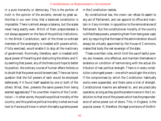in a pure monarchy or democracy. This is the portion of truth in the opinion of the ancients, revived by great authorities in our own time, that a balanced constitution is impossible. There is almost always a balance, but the scales never hang exactly even. Which of them preponderates is not always apparent on the face of the political institutions. In the British Constitution, each of the three co-ordinate members of the sovereignty is invested with powers which, if fully exercised, would enable it to stop all the machinery of government. Nominally, therefore, each is invested with equal power of thwarting and obstructing the others; and if, by exerting that power, any of the three could hope to better its position, the ordinary course of human affairs forbids us to doubt that the power would be exercised. There can be no question that the full powers of each would be employed defensively if it found itself assailed by one or both of the others. What, then, prevents the same powers from being exerted aggressively? The unwritten maxims of the Constitution—in other words, the positive political morality of the country; and this positive political morality is what we must look to if we would know in whom the really supreme power

in the Constitution resides.

By constitutional law, the crown can refuse its assent to any act of Parliament, and can appoint to office and maintain in it any minister, in opposition to the remonstrances of Parliament. But the constitutional morality of the country nullifies these powers, preventing them from being ever used; and, by requiring that the head of the administration should always be virtually appointed by the House of Commons, makes that body the real sovereign of the state.

These unwritten rules, which limit the use of lawful powers, are, however, only effectual, and maintain themselves in existence on condition of harmonising with the actual distribution of real political strength. There is in every constitution a strongest power—one which would gain the victory if the compromises by which the Constitution habitually works were suspended, and there came a trial of strength. Constitutional maxims are adhered to, and are practically operative, so long as they give the predominance in the Constitution to that one of the powers which has the preponderance of active power out of doors. This, in England, is the popular power. If, therefore, the legal provisions of the Brit-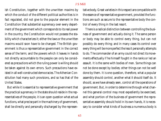ish Constitution, together with the unwritten maxims by which the conduct of the different political authorities is in fact regulated, did not give to the popular element in the Constitution that substantial supremacy over every department of the government which corresponds to its real power in the country, the Constitution would not possess the stability which characterizes it; either the laws or the unwritten maxims would soon have to be changed. The British government is thus a representative government in the correct sense of the term; and the powers which it leaves in hands not directly accountable to the people can only be considered as precautions which the ruling power is willing should be taken against its own errors. Such precautions have existed in all well-constructed democracies. The Athenian Constitution had many such provisions, and so has that of the United States.

But while it is essential to representative government that the practical supremacy in the state should reside in the representatives of the people, it is an open question what actual functions, what precise part in the machinery of government, shall be directly and personally discharged by the representative body. Great varieties in this respect are compatible with the essence of representative government, provided the functions are such as secure to the representative body the control of every thing in the last resort.

There is a radical distinction between controlling the business of government and actually doing it. The same person or body may be able to control every thing, but can not possibly do every thing; and in many cases its control over every thing will be more perfect the less it personally attempts to do. The commander of an army could not direct its movements effectually if he himself fought in the ranks or led an assault. It is the same with bodies of men. Some things can not be done except by bodies; other things can not be well done by them. It is one question, therefore, what a popular assembly should control, another what it should itself do. It should, as we have already seen, control all the operations of government. But, in order to determine through what channel this general control may most expediently be exercised, and what portion of the business of government the representative assembly should hold in its own hands, it is necessary to consider what kinds of business a numerous body is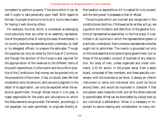competent to perform properly. That alone which it can do well it ought to take personally upon itself. With regard to the rest, its proper province is not to do it, but to take means for having it well done by others.

For example, the duty which is considered as belonging more peculiarly than any other to an assembly representative of the people is that of voting the taxes. Nevertheless, in no country does the representative body undertake, by itself or its delegated officers, to prepare the estimates. Though the supplies can only be voted by the House of Commons, and though the sanction of the House is also required for the appropriation of the revenues to the different items of the public expenditure, it is the maxim and the uniform practice of the Constitution that money can be granted only on the proposition of the crown. It has, no doubt, been felt that moderation as to the amount, and care and judgment in the detail of its application, can only be expected when the executive government, through whose hands it is to pass, is made responsible for the plans and calculations on which the disbursements are grounded. Parliament, accordingly, is not expected, nor even permitted, to originate directly either taxation or expenditure. All it is asked for is its consent, and the sole power it possesses is that of refusal.

The principles which are involved and recognized in this constitutional doctrine, if followed as far as they will go, are a guide to the limitation and definition of the general functions of representative assemblies. In the first place, it is admitted in all countries in which the representative system is practically understood, that numerous representative bodies ought not to administer. The maxim is grounded not only on the most essential principles of good government, but on those of the successful conduct of business of any description. No body of men, unless organized and under command, is fit for action, in the proper sense. Even a select board, composed of few members, and these specially conversant with the business to be done, is always an inferior instrument to some one individual who could be found among them, and would be improved in character if that one person were made the chief, and all the others reduced to subordinates. What can be done better by a body than by any individual is deliberation. When it is necessary or important to secure hearing and consideration to many con-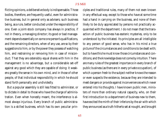flicting opinions, a deliberative body is indispensable. Those bodies, therefore, are frequently useful, even for administrative business, but in general only as advisers; such business being, as a rule, better conducted under the responsibility of one. Even a joint-stock company has always in practice, if not in theory, a managing director; its good or bad management depends essentially on some one person's qualifications, and the remaining directors, when of any use, are so by their suggestions to him, or by the power they possess of watching him, and restraining or removing him in case of misconduct. That they are ostensibly equal shares with him in the management is no advantage, but a considerable set-off against any good which they are capable of doing: it weakens greatly the sense in his own mind, and in those of other people, of that individual responsibility in which he should stand forth personally and undividedly.

But a popular assembly is still less fitted to administer, or to dictate in detail to those who have the charge of administration. Even when honestly meant, the interference is almost always injurious. Every branch of public administration is a skilled business, which has its own peculiar principles and traditional rules, many of them not even known in any effectual way, except to those who have at some time had a hand in carrying on the business, and none of them likely to be duly appreciated by persons not practically acquainted with the department. I do not mean that the transaction of public business has esoteric mysteries, only to be understood by the initiated. Its principles are all intelligible to any person of good sense, who has in his mind a true picture of the circumstances and conditions to be dealt with; but to have this he must know those circumstances and conditions; and the knowledge does not come by intuition. There are many rules of the greatest importance in every branch of public business (as there are in every private occupation), of which a person fresh to the subject neither knows the reason or even suspects the existence, because they are intended to meet dangers or provide against inconveniences which never entered into his thoughts. I have known public men, ministers of more than ordinary natural capacity, who, on their first introduction to a department of business new to them, have excited the mirth of their inferiors by the air with which they announced as a truth hitherto set at nought, and brought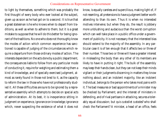to light by themselves, something which was probably the first thought of every body who ever looked at the subject, given up as soon as he had got on to a second. It is true that a great statesman is he who knows when to depart from traditions, as well as when to adhere to them; but it is a great mistake to suppose that he will do this better for being ignorant of the traditions. No one who does not thoroughly know the modes of action which common experience has sanctioned is capable of judging of the circumstances which require a departure from those ordinary modes of action. The interests dependent on the acts done by a public department, the consequences liable to follow from any particular mode of conducting it, require for weighing and estimating them a kind of knowledge, and of specially exercised judgment, almost as rarely found in those not bred to it, as the capacity to reform the law in those who have not professionally studied it. All these difficulties are sure to be ignored by a representative assembly which attempts to decide on special acts of administration. At its best, it is inexperience sitting in judgment on experience, ignorance on knowledge; ignorance which, never suspecting the existence of what it does not

know, is equally careless and supercilious, making light of, if not resenting, all pretensions to have a judgment better worth attending to than its own. Thus it is when no interested motives intervene; but when they do, the result is jobbery more unblushing and audacious than the worst corruption which can well take place in a public office under a government of publicity. It is not necessary that the interested bias should extend to the majority of the assembly. In any particular case it is of ten enough that it affects two or three of their number. Those two or three will have a greater interest in misleading the body than any other of its members are likely to have in putting it right. The bulk of the assembly may keep their hands clean, but they can not keep their minds vigilant or their judgments discerning in matters they know nothing about; and an indolent majority, like an indolent individual, belongs to the person who takes most pains with it. The bad measures or bad appointments of a minister may be checked by Parliament; and the interest of ministers in defending, and of rival partisans in attacking, secures a tolerably equal discussion; but *quis custodiet custodes?* who shall check the Parliament? A minister, a head of an office, feels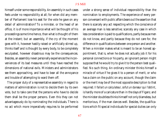himself under some responsibility. An assembly in such cases feels under no responsibility at all; for when did any member of Parliament lose his seat for the vote he gave on any detail of administration? To a minister, or the head of an office, it is of more importance what will be thought of his proceedings some time hence, than what is thought of them at the instant; but an assembly, if the cry of the moment goes with it, however hastily raised or artificially stirred up, thinks itself and is thought by every body, to be completely exculpated, however disastrous may be the consequences. Besides, an assembly never personally experiences the inconveniences of its bad measures until they have reached the dimensions of national evils. Ministers and administrators see them approaching, and have to bear all the annoyance and trouble of attempting to ward them off.

The proper duty of a representative assembly in regard to matters of administration is not to decide them by its own vote, but to take care that the persons who have to decide them shall be the proper persons. Even this they can not advantageously do by nominating the individuals. There is no act which more imperatively requires to be performed

under a strong sense of individual responsibility than the nomination to employments. The experience of every person conversant with public affairs bears out the assertion that there is scarcely any act respecting which the conscience of an average man is less sensitive; scarcely any case in which less consideration is paid to qualifications, partly because men do not know, and partly because they do not care for, the difference in qualifications between one person and another. When a minister makes what is meant to be an honest appointment, that is, when he does not actually job it for his personal connections or his party, an ignorant person might suppose that he would try to give it to the person best qualified. No such thing. An ordinary minister thinks himself a miracle of virtue if he gives it to a person of merit, or who has a claim on the public on any account, though the claim or the merit may be of the most opposite description to that required. *Il fallait un calculateur, ce fut un danseur qui l'obtint*, is hardly more of a caricature than in the days of Figaro; and the minister doubtless thinks himself not only blameless, but meritorious, if the man dances well. Besides, the qualifications which fit special individuals for special duties can only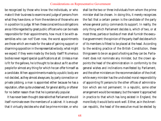be recognized by those who know the individuals, or who make it their business to examine and judge of persons from what they have done, or from the evidence of those who are in a position to judge. When these conscientious obligations are so little regarded by great public officers who can be made responsible for their appointments, how must it be with assemblies who can not? Even now, the worst appointments are those which are made for the sake of gaining support or disarming opposition in the representative body; what might we expect if they were made by the body itself? Numerous bodies never regard special qualifications at all. Unless a man is fit for the gallows, he is thought to be about as fit as other people for almost any thing for which he can offer himself as a candidate. When appointments made by a public body are not decided, as they almost always are, by party connection or private jobbing, a man is appointed either because he has a reputation, often quite undeserved, for *general* ability, or oftener for no better reason than that he is personally popular.

It has never been thought desirable that Parliament should itself nominate even the members of a cabinet. It is enough that it virtually decides who shall be prime minister, or who

shall be the two or three individuals from whom the prime minister shall be chosen. In doing this, it merely recognizes the fact that a certain person is the candidate of the party whose general policy commands its support. In reality, the only thing which Parliament decides is, which of two, or at most three, parties or bodies of men shall furnish the executive government: the opinion of the party itself decides which of its members is fittest to be placed at the head. According to the existing practice of the British Constitution, these things seem to be on as good a footing as they can be. Parliament does not nominate any minister, but the crown appoints the head of the administration in conformity to the general wishes and inclinations manifested by Parliament, and the other ministers on the recommendation of the chief; while every minister has the undivided moral responsibility of appointing fit persons to the other offices of administration which are not permanent. In a republic, some other arrangement would be necessary; but the nearer it approached in practice to that which has long existed in England, the more likely it would be to work well. Either, as in the American republic, the head of the executive must be elected by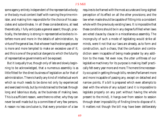some agency entirely independent of the representative body; or the body must content itself with naming the prime minister, and making him responsible for the choice of his associates and subordinates. In all these considerations, at least theoretically, I fully anticipate a general assent; though, practically, the tendency is strong in representative bodies to interfere more and more in the details of administration, by virtue of the general law, that whoever has the strongest power is more and more tempted to make an excessive use of it; and this is one of the practical dangers to which the futurity of representative governments will be exposed.

But it is equally true, though only of late and slowly beginning to be acknowledged, that a numerous assembly is as little fitted for the direct business of legislation as for that of administration. There is hardly any kind of intellectual work which so much needs to be done not only by experienced and exercised minds, but by minds trained to the task through long and laborious study, as the business of making laws. This is a sufficient reason, were there no other, why they can never be well made but by a committee of very few persons. A reason no less conclusive is, that every provision of a law

requires to be framed with the most accurate and long-sighted perception of its effect on all the other provisions; and the law when made should be capable of fitting into a consistent whole with the previously existing laws. It is impossible that these conditions should be in any degree fulfilled when laws are voted clause by clause in a miscellaneous assembly. The incongruity of such a mode of legislating would strike all minds, were it not that our laws are already, as to form and construction, such a chaos, that the confusion and contradiction seem incapable of being made greater by any addition to the mass. Yet even now, the utter unfitness of our legislative machinery for its purpose is making itself practically felt every year more and more. The mere time necessarily occupied in getting through bills, renders Parliament more and more incapable of passing any, except on detached and narrow points. If a bill is prepared which even attempts to deal with the whole of any subject (and it is impossible to legislate properly on any part without having the whole present to the mind), it hangs over from session to session through sheer impossibility of finding time to dispose of it. It matters not though the bill may have been deliberately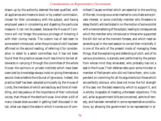drawn up by the authority deemed the best qualified, with all appliances and means to boot; or by a select commission, chosen for their conversancy with the subject, and having employed years in considering and digesting the particular measure: it can not be passed, because the House of Commons will not forego the precious privilege of tinkering it with their clumsy hands. The custom has of late been to some extent introduced, when the principle of a bill has been affirmed on the second reading, of referring it for consideration in detail to a select committee; but it has not been found that this practice causes much less time to be lost afterwards in carrying it through the committee of the whole House: the opinions or private crotchets which have been overruled by knowledge always insist on giving themselves a second chance before the tribunal of ignorance. Indeed, the practice itself has been adopted principally by the House of Lords, the members of which are less busy and fond of meddling, and less jealous of the importance of their individual voices, than those of the elective House. And when a bill of many clauses does succeed in getting itself discussed in detail, what can depict the state in which it comes out of committee! Clauses omitted which are essential to the working of the rest; incongruous ones inserted to conciliate some private interest, or some crotchety member who threatens to delay the bill; articles foisted in on the motion of some sciolist with a mere smattering of the subject, leading to consequences which the member who introduced or those who supported the bill did not at the moment foresee, and which need an amending act in the next session to correct their mischiefs. It is one of the evils of the present mode of managing these things, that the explaining and defending of a bill, and of its various provisions, is scarcely ever performed by the person from whose mind they emanated, who probably has not a seat in the House. Their defense rests upon some minister or member of Parliament who did not frame them, who is dependent on cramming for all his arguments but those which are perfectly obvious, who does not know the full strength of his case, nor the best reasons by which to support it, and is wholly incapable of meeting unforeseen objections. This evil, as far as government bills are concerned, admits of remedy, and has been remedied in some representative constitutions, by allowing the government to be represented in ei-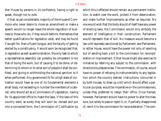ther House by persons in its confidence, having a right to speak, though not to vote.

If that, as yet considerable, majority of the House of Commons who never desire to move an amendment or make a speech would no longer leave the whole regulation of business to those who do; if they would bethink themselves that better qualifications for legislation exist, and may be found if sought for, than a fluent tongue, and the faculty of getting elected by a constituency, it would soon be recognized that, in legislation as well as administration, the only task to which a representative assembly can possibly be competent is not that of doing the work, but of causing it to be done; of determining to whom or to what sort of people it shall be confided, and giving or withholding the national sanction to it when performed. Any government fit for a high state of civilization would have as one of its fundamental elements a small body, not exceeding in number the members of a cabinet, who should act as a Commission of Legislation, having for its appointed office to make the laws. If the laws of this country were, as surely they will soon be, revised and put into a connected form, the Commission of Codification by

which this is effected should remain as a permanent institution, to watch over the work, protect it from deterioration, and make further improvements as often as required. No one would wish that this body should of itself have any power of *enacting* laws; the Commission would only embody the element of intelligence in their construction; Parliament would represent that of will. No measure would become a law until expressly sanctioned by Parliament; and Parliament, or either house, would have the power not only of rejecting but of sending back a bill to the commission for reconsideration or improvement. Either house might also exercise its initiative by referring any subject to the commission, with directions to prepare a law. The commission, of course, would have no power of refusing its instrumentality to any legislation which the country desired. Instructions, concurred in by both houses, to draw up a bill which should effect a particular purpose, would be imperative on the commissioners, unless they preferred to resign their office. Once framed, however, Parliament should have no power to alter the measure, but solely to pass or reject it; or, if partially disapproved of, remit it to the commission for reconsideration. The com-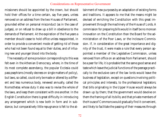missioners should be appointed by the crown, but should hold their offices for a time certain, say five years, unless removed on an address from the two Houses of Parliament, grounded either on personal misconduct (as in the case of judges), or on refusal to draw up a bill in obedience to the demands of Parliament. At the expiration of the five years a member should cease to hold office unless reappointed, in order to provide a convenient mode of getting rid of those who had not been found equal to their duties, and of infusing new and younger blood into the body.

The necessity of some provision corresponding to this was felt even in the Athenian Democracy, where, in the time of its most complete ascendancy, the popular Ecclesia could pass psephisms (mostly decrees on single matters of policy), but laws, so called, could only be made or altered by a different and less numerous body, renewed annually, called the Nomothetæ, whose duty it also was to revise the whole of the laws, and keep them consistent with one another. In the English Constitution there is great difficulty in introducing any arrangement which is new both in form and in substance, but comparatively little repugnance is felt to the at-

tainment of new purposes by an adaptation of existing forms and traditions. It appears to me that the means might be devised of enriching the Constitution with this great improvement through the machinery of the House of Lords. A commission for preparing bills would in itself be no more an innovation on the Constitution than the Board for the administration of the Poor Laws, or the Inclosure Commission. If, in consideration of the great importance and dignity of the trust, it were made a rule that every person appointed a member of the Legislative Commission, unless removed from office on an address from Parliament, should be a peer for life, it is probable that the same good sense and taste which leave the judicial functions of the peerage practically to the exclusive care of the law lords would leave the business of legislation, except on questions involving political principles and interests, to the professional legislators; that bills originating in the Upper House would always be drawn up by them; that the government would devolve on them the framing of all its bills; and that private members of the House of Commons would gradually find it convenient, and likely to facilitate the passing of their measures through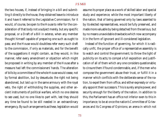the two houses, if, instead of bringing in a bill and submitting it directly to the house, they obtained leave to introduce it and have it referred to the Legislative Commission; for it would, of course, be open to the House to refer for the consideration of that body not a subject merely, but any specific proposal, or a Draft of a Bill *in extenso*, when any member thought himself capable of preparing one such as ought to pass; and the House would doubtless refer every such draft to the commission, if only as materials, and for the benefit of the suggestions it might contain, as they would, in like manner, refer every amendment or objection which might be proposed in writing by any member of the House after a measure had left the commissioners' hands. The alteration of bills by a committee of the whole House would cease, not by formal abolition, but by desuetude; the right not being abandoned, but laid up in the same armoury with the royal veto, the right of withholding the supplies, and other ancient instruments of political warfare, which no one desires to see used, but no one likes to part with, lest they should any time be found to be still needed in an extraordinary emergency. By such arrangements as these, legislation would

assume its proper place as a work of skilled labor and special study and experience; while the most important liberty of the nation, that of being governed only by laws assented to by its elected representatives, would be fully preserved, and made more valuable by being detached from the serious, but by no means unavoidable drawbacks which now accompany it in the form of ignorant and ill-considered legislation.

Instead of the function of governing, for which it is radically unfit, the proper office of a representative assembly is to watch and control the government; to throw the light of publicity on its acts; to compel a full exposition and justification of all of them which any one considers questionable; to cinsure them if found condemnable, and, if the men who compose the government abuse their trust, or fulfill it in a manner which conflicts with the deliberate sense of the nation, to expel them from office, and either expressly or virtually appoint their successors. This is surely ample power, and security enough for the liberty of the nation. In addition to this, the Parliament has an office not inferior even to this in importance; to be at once the nation's Committee of Grievances and its Congress of Opinions; an arena in which not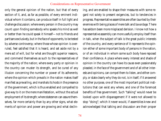only the general opinion of the nation, but that of every section of it, and, as far as possible, of every eminent individual whom it contains, can produce itself in full light and challenge discussion; where every person in the country may count upon finding somebody who speaks his mind as well or better than he could speak it himself—not to friends and partisans exclusively, but in the face of opponents, to be tested by adverse controversy; where those whose opinion is overruled, feel satisfied that it is heard, and set aside not by a mere act of will, but for what are thought superior reasons, and commend themselves as such to the representatives of the majority of the nation; where every party or opinion in the country can muster its strength, and be cured of any illusion concerning the number or power of its adherents; where the opinion which prevails in the nation makes itself manifest as prevailing, and marshals its hosts in the presence of the government, which is thus enabled and compelled to give way to it on the mere manifestation, without the actual employment of its strength; where statesmen can assure themselves, far more certainly than by any other signs, what elements of opinion and power are growing and what declining, and are enabled to shape their measures with some regard not solely to present exigencies, but to tendencies in progress. Representative assemblies are often taunted by their enemies with being places of mere talk and *bavardage*. There has seldom been more misplaced derision. I know not how a representative assembly can more usefully employ itself than in talk, when the subject of talk is the great public interests of the country, and every sentence of it represents the opinion either of some important body of persons in the nation, or of an individual in whom some such body have reposed their confidence. A place where every interest and shade of opinion in the country can have its cause even passionately pleaded, in the face of the government and of all other interests and opinions, can compel them to listen, and either comply, or state clearly why they do not, is in itself, if it answered no other purpose, one of the most important political institutions that can exist any where, and one of the foremost benefits of free government. Such "talking" would never be looked upon with disparagement if it were not allowed to stop "doing"; which it never would, if assemblies knew and acknowledged that talking and discussion are their proper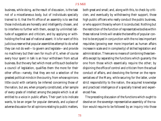business, while *doing*, as the result of discussion, is the task not of a miscellaneous body, but of individuals specially trained to it; that the fit office of an assembly is to see that those individuals are honestly and intelligently chosen, and to interfere no further with them, except by unlimited latitude of suggestion and criticism, and by applying or withholding the final seal of national assent. It is for want of this judicious reserve that popular assemblies attempt to do what they can not do well—to govern and legislate—and provide no machinery but their own for much of it, when of course every hour spent in talk is an hour withdrawn from actual business. But the very fact which most unfits such bodies for a council of legislation, qualifies them the more for their other office—namely, that they are not a selection of the greatest political minds in the country, from whose opinions little could with certainty be inferred concerning those of the nation, but are, when properly constituted, a fair sample of every grade of intellect among the people which is at all entitled to a voice in public affairs. Their part is to indicate wants, to be an organ for popular demands, and a place of adverse discussion for all opinions relating to public matters,

both great and small; and, along with this, to check by criticism, and eventually by withdrawing their support, those high public officers who really conduct the public business, or who appoint those by whom it is conducted. Nothing but the restriction of the function of representative bodies within these rational limits will enable the benefits of popular control to be enjoyed in conjunction with the no less important requisites (growing ever more important as human affairs increase in scale and in complexity) of skilled legislation and administration. There are no means of combining these benefits except by separating the functions which guaranty the one from those which essentially require the other; by disjoining the office of control and criticism from the actual conduct of affairs, and devolving the former on the representatives of the Many, while securing for the latter, under strict responsibility to the nation, the acquired knowledge and practiced intelligence of a specially trained and experienced Few.

The preceding discussion of the functions which ought to devolve on the sovereign representative assembly of the nation would require to be followed by an inquiry into those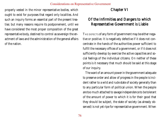properly vested in the minor representative bodies, which ought to exist for purposes that regard only localities. And such an inquiry forms an essential part of the present treatise; but many reasons require its postponement, until we have considered the most proper composition of the great representative body, destined to control as sovereign the enactment of laws and the administration of the general affairs of the nation.

# Chapter VI

# Of the Infirmities and Dangers to which Representative Government is Liable

THE DEFECTS of any form of government may be either negative or positive. It is negatively defective if it does not concentrate in the hands of the authorities power sufficient to fulfill the necessary offices of a government, or if it does not sufficiently develop by exercise the active capacities and social feelings of the individual citizens. On neither of these points is it necessary that much should be said at this stage of our inquiry.

The want of an amount power in the government adequate to preserve order and allow of progress in the people is incident rather to a wild and rude state of society generally than to any particular form of political union. When the people are too much attached to savage independence to be tolerant of the amount of power to which it is for their good that they should be subject, the state of society (as already observed) is not yet ripe for representative government. When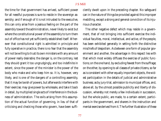the time for that government has arrived, sufficient power for all needful purposes is sure to reside in the sovereign assembly; and if enough of it is not intrusted to the executive, this can only arise from a jealous feeling on the part of the assembly toward the administration, never likely to exist but where the constitutional power of the assembly to turn them out of office has not yet sufficiently established itself. Wherever that constitutional right is admitted in principle and fully operative in practice, there is no fear that the assembly will not be willing to trust its own ministers with any amount of power really desirable; the danger is, on the contrary, lest they should grant it too ungrudgingly, and too indefinite in extent, since the power of the minister is the power of the body who make and who keep him so. It is, however, very likely, and is one of the dangers of a controlling assembly, that it may be lavish of powers, but afterwards interfere with their exercise; may give power by wholesale, and take it back in detail, by multiplied single acts of interference in the business of administration. The evils arising from this assumption of the actual function of governing, in lieu of that of criticising and checking those who govern, have been sufficiently dwelt upon in the preceding chapter. No safeguard can in the nature of things be provided against this improper meddling, except a strong and general conviction of its injurious character.

The other negative defect which may reside in a government, that of not bringing into sufficient exercise the individual faculties, moral, intellectual, and active, of the people, has been exhibited generally in setting forth the distinctive mischiefs of despotism. As between one form of popular government and another, the advantage in this respect lies with that which most widely diffuses the exercise of public functions; on the one hand, by excluding fewest from the suffrage; on the other, by opening to all classes of private citizens, so far as is consistent with other equally important objects, the widest participation in the details of judicial and administrative business; as by jury-trial, admission to municipal offices, and, above all, by the utmost possible publicity and liberty of discussion, whereby not merely a few individuals in succession, but the whole public, are made, to a certain extent, participants in the government, and sharers in the instruction and mental exercise derived from it. The further illustration of these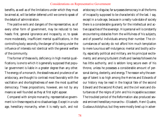benefits, as well as of the limitations under which they must be aimed at, will be better deferred until we come to speak of the details of administration.

The *positive* evils and dangers of the representative, as of every other form of government, may be reduced to two heads: first, general ignorance and incapacity, or, to speak more moderately, insufficient mental qualifications, in the controlling body; secondly, the danger of its being under the influence of interests not identical with the general welfare of the community.

The former of these evils, deficiency in high mental qualifications, is one to which it is generally supposed that popular government is liable in a greater degree than any other. The energy of a monarch, the steadiness and prudence of an aristocracy, are thought to contrast most favorably with the vacillation and shortsightedness of even the most qualified democracy. These propositions, however, are not by any means so well founded as they at first sight appear.

Compared with simple monarchy, representative government is in these respects at no disadvantage. Except in a rude age, hereditary monarchy, when it is really such, and not aristocracy in disguise, far surpasses democracy in all the forms of incapacity supposed to be characteristic of the last. I say, except in a rude age, because in a really rude state of society there is a considerable guaranty for the intellectual and active capacities of the sovereign. His personal will is constantly encountering obstacles from the willfulness of his subjects, and of powerful individuals among their number. The circumstances of society do not afford him much temptation to mere luxurious self-indulgence; mental and bodily activity, especially political and military, are his principal excitements; and among turbulent chiefs and lawless followers he has little authority, and is seldom long secure even of his throne, unless he possesses a considerable amount of personal daring, dexterity, and energy. The reason why the average of talent is so high among the Henries and Edwards of our history may be read in the tragical fate of the second Edward and the second Richard, and the civil wars and disturbances of the reigns of John and his incapable successor. The troubled period of the Reformation also produced several eminent hereditary monarchs—Elizabeth, Henri Quatre, Gustavus Adolphus; but they were mostly bred up in adver-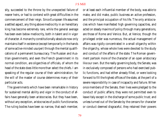sity, succeeded to the throne by the unexpected failure of nearer heirs, or had to contend with great difficulties in the commencement of their reign. Since European life assumed a settled aspect, any thing above mediocrity in an hereditary king has become extremely rare, while the general average has been even below mediocrity, both in talent and in vigor of character. A monarchy constitutionally absolute now only maintains itself in existence (except temporarily in the hands of some active-minded usurper) through the mental qualifications of a permanent bureaucracy. The Russian and Austrian governments, and even the French government in its normal condition, are oligarchies of officials, of whom the head of the state does little more than select the chiefs. I am speaking of the regular course of their administration; for the will of the master of course determines many of their particular acts.

The governments which have been remarkable in history for sustained mental ability and vigor in the conduct of affairs have generally been aristocracies. But they have been, without any exception, aristocracies of public functionaries. The ruling bodies have been so narrow, that each member,

or at least each influential member of the body, was able to make, and did make, public business an active profession, and the principal occupation of his life. The only aristocracies which have manifested high governing capacities, and acted on steady maxims of policy through many generations, are those of Rome and Venice. But, at Venice, though the privileged order was numerous, the actual management of affairs was rigidly concentrated in a small oligarchy within the oligarchy, whose whole lives were devoted to the study and conduct of the affairs of the state. The Roman government partook more of the character of an open aristocracy like our own. But the really governing body, the Senate, was in exclusively composed of persons who had exercised public functions, and had either already filled, or were looking forward to fill the highest offices of the state, at the peril of a severe responsibility in case of incapacity and failure. When once members of the Senate, their lives were pledged to the conduct of public affairs; they were not permitted even to leave Italy except in the discharge of some public trust; and unless turned out of the Senate by the censors for character or conduct deemed disgraceful, they retained their powers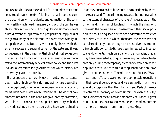and responsibilities to the end of life. In an aristocracy thus constituted, every member felt his personal importance entirely bound up with the dignity and estimation of the commonwealth which he administered, and with the part he was able to play in its councils. This dignity and estimation were quite different things from the prosperity or happiness of the general body of the citizens, and were often wholly incompatible with it. But they were closely linked with the external success and aggrandisement of the state; and it was, consequently, in the pursuit of that object almost exclusively, that either the Roman or the Venetian aristocracies manifested the systematically wise collective policy and the great individual capacities for government for which history has deservedly given them credit.

It thus appears that the only governments, not representative, in which high political skill and ability have been other than exceptional, whether under monarchical or aristocratic forms, have been essentially bureaucracies. The work of government has been in the hands of governors by profession, which is the essence and meaning of bureaucracy. Whether the work is done by them because they have been trained to it, or they are trained to it because it is to be done by them, makes a great difference in many respects, but none at all as to the essential character of the rule. Aristocracies, on the other hand, like that of England, in which the class who possessed the power derived it merely from their social position, without being specially trained or devoting themselves exclusively to it (and in which, therefore, the power was not exercised directly, but through representative institutions oligarchically constituted), have been, in respect to intellectual endowments, much on a par with democracies; that is, they have manifested such qualities in any considerable degree only during the temporary ascendancy which great and popular talents, united with a distinguished position, have given to some one man. Themistocles and Pericles, Washington and Jefferson, were not more completely exceptions in their several democracies, and were assuredly much more splendid exceptions, than the Chathams and Peels of the representative aristocracy of Great Britain, or even the Sullys and Colberts of the aristocratic monarchy of France. A great minister, in the aristocratic governments of modern Europe, is almost as rare a phenomenon as a great king.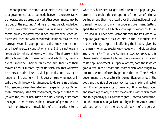The comparison, therefore, as to the intellectual attributes of a government has to be made between a representative democracy and a bureaucracy; all other governments may be left out of the account. And here it must be acknowledged that a bureaucratic government has, in some important respects, greatly the advantage. It accumulates experience, acquires well-tried and well-considered traditional maxims, and makes provision for appropriate practical knowledge in those who have the actual conduct of affairs. But it is not equally favorable to individual energy of mind. The disease which afflicts bureaucratic governments, and which they usually die of, is routine. They perish by the immutability of their maxims, and, still more, by the universal law that whatever becomes a routine loses its vital principle, and, having no longer a mind acting within it, goes on revolving mechanically, though the work it is intended to do remains undone. A bureaucracy always tends to become a pedantocracy. When the bureaucracy is the real government, the spirit of the corps (as with the Jesuits) bears down the individuality of its more distinguished members. In the profession of government, as in other professions, the sole idea of the majority is to do

what they have been taught; and it requires a popular government to enable the conceptions of the man of original genius among them to prevail over the obstructive spirit of trained mediocrity. Only in a popular government (setting apart the accident of a highly intelligent despot) could Sir Rowland Hill have been victorious over the Post-office. A popular government installed him *in* the Post-office, and made the body, in spite of itself, obey the impulse given by the man who united special knowledge with individual vigor and originality. That the Roman aristocracy escaped this characteristic disease of a bureaucracy was evidently owing to its popular element. All special offices, both those which gave a seat in the Senate and those which were sought by senators, were conferred by popular election. The Russian government is a characteristic exemplification of both the good and bad side of bureaucracy: its fixed maxims, directed with Roman perseverance to the same unflinchingly-pursued ends from age to age; the remarkable skill with which those ends are generally pursued; the frightful internal corruption, and the permanent organized hostility to improvements from without, which even the autocratic power of a vigorous-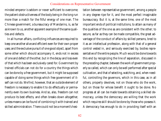minded emperor is seldom or never sufficient to overcome; the patient obstructiveness of the body being in the long run more than a match for the fitful energy of one man. The Chinese government, a bureaucracy of Mandarins, is, as far as known to us, another apparent example of the same qualities and defects.

In all human affairs, conflicting influences are required to keep one another alive and efficient even for their own proper uses; and the exclusive pursuit of one good object, apart from some other which should accompany it, ends not in excess of one and defect of the other, but in the decay and loss even of that which has been exclusively cared for. Government by trained officials can not do for a country the things which can be done by a free government, but it might be supposed capable of doing some things which free government of itself can not do. We find, however, that an outside element of freedom is necessary to enable it to do effectually or permanently even its own business. And so, also, freedom can not produce its best effects, and often breaks down altogether, unless means can be found of combining it with trained and skilled administration. There could not be a moment's hesitation between representative government, among a people in any degree ripe for it, and the most perfect imaginable bureaucracy. But it is, at the same time, one of the most important ends of political institutions, to attain as many of the qualities of the one as are consistent with the other; to secure, as far as they can be made compatible, the great advantage of the conduct of affairs by skilled persons, bred to it as an intellectual profession, along with that of a general control vested in, and seriously exercised by, bodies representative of the entire people. Much would be done towards this end by recognizing the line of separation, discussed in the preceding chapter, between the work of government properly so called, which can only be well performed after special cultivation, and that of selecting, watching, and, when needful, controlling the governors, which in this case, as in all others, properly devolves, not on those who do the work, but on those for whose benefit it ought to be done. No progress at all can be made towards obtaining a skilled democracy, unless the democracy are willing that the work which requires skill should be done by those who possess it. A democracy has enough to do in providing itself with an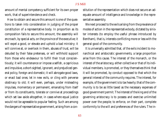amount of mental competency sufficient for its own proper work, that of superintendence and check.

How to obtain and secure this amount is one of the questions to taken into consideration in judging of the proper constitution of a representative body. In proportion as its composition fails to secure this amount, the assembly will encroach, by special acts, on the province of the executive; it will expel a good, or elevate and uphold a bad ministry; it will connive at, or overlook in them, abuses of trust, will be deluded by their false pretenses, or will withhold support from those who endeavour to fulfill their trust conscientiously; it will countenance or impose a selfish, a capricious and impulsive, a short-sighted, ignorant, and prejudiced general policy, foreign and domestic; it will abrogate good laws, or enact bad ones; let in new evils, or cling with perverse obstinacy to old; it will even, perhaps, under misleading impulses, momentary or permanent, emanating from itself or from its constituents, tolerate or connive at proceedings which set law aside altogether, in cases where equal justice would not be agreeable to popular feeling. Such are among the dangers of representative government, arising from a constitution of the representation which does not secure an adequate amount of intelligence and knowledge in the representative assembly.

We next proceed to the evils arising from the prevalence of modes of action in the representative body, dictated by sinister interests (to employ the useful phrase introduced by Bentham), that is, interests conflicting more or less with the general good of the community.

It is universally admitted that, of the evils incident to monarchical and aristocratic governments, a large proportion arise from this cause. The interest of the monarch, or the interest of the aristocracy, either collective or that of its individual members, is promoted, or they themselves think that it will be promoted, by conduct opposed to that which the general interest of the community requires. The interest, for example, of the government is to tax heavily; that of the community is to be as little taxed as the necessary expenses of good government permit. The interest of the king and of the governing aristocracy is to possess and exercise unlimited power over the people; to enforce, on their part, complete conformity to the will and preferences of the rulers. The in-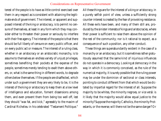terest of the people is to have as little control exercised over them in any respect as is consistent with attaining the legitimate ends of government. The interest, or apparent and supposed interest of the king or aristocracy, is to permit no censure of themselves, at least in any form which they may consider either to threaten their power or seriously to interfere with their free agency. The interest of the people is that there should be full liberty of censure on every public officer, and on every public act or measure. The interest of a ruling class, whether in an aristocracy or an aristocratic monarchy, is to assume to themselves an endless variety of unjust privileges, sometimes benefiting their pockets at the expense of the people, sometimes merely tending to exalt them above others, or, what is the same thing in different words, to degrade others below themselves. If the people are disaffected, which under such a government they are very likely to be, it is the interest of the king or aristocracy to keep them at a low level of intelligence and education, foment dissensions among them, and even prevent them from being too well off, lest they should "wax fat, and kick," agreeably to the maxim of Cardinal Richelieu in his celebrated "Testament Politique."

All these things are for the interest of a king or aristocracy, in a purely selfish point of view, unless a sufficiently strong counter-interest is created by the fear of provoking resistance. All these evils have been, and many of them still are, produced by the sinister interests of kings and aristocracies, where their power is sufficient to raise them above the opinion of the rest of the community; nor is it rational to expect, as a consequence of such a position, any other conduct.

These things are superabundantly evident in the case of a monarchy or an aristocracy; but it is sometimes rather gratuitously assumed that the same kind of injurious influences do not operate in a democracy. Looking at democracy in the way in which it is commonly conceived, as the rule of the numerical majority, it is surely possible that the ruling power may be under the dominion of sectional or class interests, pointing to conduct different from that which would be dictated by impartial regard for the interest of all. Suppose the majority to be whites, the minority negroes, or *vice versâ*: is it likely that the majority would allow equal justice to the minority? Suppose the majority Catholics, the minority Protestants, or the reverse; will there not be the same danger? Or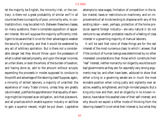let the majority be English, the minority Irish, or the contrary: is there not a great probability of similar evil? In all countries there is a majority of poor, a minority who, in contradistinction, may be called rich. Between these two classes, on many questions, there is complete opposition of apparent interest. We will suppose the majority sufficiently intelligent to be aware that it is not for their advantage to weaken the security of property, and that it would be weakened by any act of arbitrary spoliation. But is there not a considerable danger lest they should throw upon the possessors of what is called realized property, and upon the larger incomes, an unfair share, or even the whole, of the burden of taxation, and having done so, add to the amount without scruple, expending the proceeds in modes supposed to conduce to the profit and advantage of the laboring class? Suppose, again, a minority of skilled laborers, a majority of unskilled: the experience of many Trade Unions, unless they are greatly calumniated, justifies the apprehension that equality of earnings might be imposed as an obligation, and that piecework, and all practices which enable superior industry or abilities to gain a superior reward, might be put down. Legislative

attempts to raise wages, limitation of competition in the labor market, taxes or restrictions on machinery, and on improvements of all kinds tending to dispense with any of the existing labor—even, perhaps, protection of the home producer against foreign industry—are very natural (I do not venture to say whether probable) results of a feeling of class interest in a governing majority of manual laborers.

It will be said that none of these things are for the *real* interest of the most numerous class: to which I answer, that if the conduct of human beings was determined by no other interested considerations than those which constitute their "real" interest, neither monarchy nor oligarchy would be such bad governments as they are; for assuredly very strong arguments may be, and often have been, adduced to show that either a king or a governing senate are in much the most enviable position when ruling justly and vigilantly over an active, wealthy, enlightened, and high-minded people. But a king only now and then, and an oligarchy in no known instance, have taken this exalted view of their self-interest; and why should we expect a loftier mode of thinking from the laboring classes? It is not what their interest is, but what they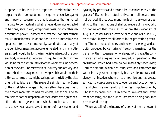suppose it to be, that is the important consideration with respect to their conduct; and it is quite conclusive against any theory of government that it assumes the numerical majority to do habitually what is never done, nor expected to be done, save in very exceptional cases, by any other depositaries of power—namely, to direct their conduct by their real ultimate interest, in opposition to their immediate and apparent interest. No one, surely, can doubt that many of the pernicious measures above enumerated, and many others as bad, would be for the immediate interest of the general body of unskilled laborers. It is quite possible that they would be for the selfish interest of the whole existing generation of the class. The relaxation of industry and activity, and diminished encouragement to saving which would be their ultimate consequence, might perhaps be little felt by the class of unskilled laborers in the space of a single lifetime. Some of the most fatal changes in human affairs have been, as to their more manifest immediate effects, beneficial. The establishment of the despotism of the Cæsars was a great benefit to the entire generation in which it took place. It put a stop to civil war, abated a vast amount of malversation and

tyranny by prætors and proconsuls; it fostered many of the graces of life, and intellectual cultivation in all departments not political; it produced monuments of literary genius dazzling to the imaginations of shallow readers of history, who do not reflect that the men to whom the despotism of Augustus (as well as of Lorenzo de' Medici and of Louis XIV.) owes its brilliancy were all formed in the generation preceding. The accumulated riches, and the mental energy and activity produced by centuries of freedom, remained for the benefit of the first generation of slaves. Yet this was the commencement of a *régime* by whose gradual operation all the civilization which had been gained insensibly faded away, until the empire, which had conquered and embraced the world in its grasp so completely lost even its military efficiency that invaders whom three or four legions had always sufficed to coerce were able to overrun and occupy nearly the whole of its vast territory. The fresh impulse given by Christianity came but just in time to save arts and letters from perishing, and the human race from sinking back into perhaps endless night.

When we talk of the interest of a body of men, or even of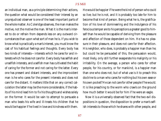an individual man, as a principle determining their actions, the question what would be considered their interest by an unprejudiced observer is one of the least important parts of the whole matter. As Coleridge observes, the man makes the motive, not the motive the man. What it is the man's interest to do or refrain from depends less on any outward circumstances than upon what sort of man he is. If you wish to know what is practically a man's interest, you must know the cast of his habitual feelings and thoughts. Every body has two kinds of interests—interests which he cares for and interests which he does not care for. Every body has selfish and unselfish interests, and a selfish man has cultivated the habit of caring for the former and not caring for the latter. Every one has present and distant interests, and the improvident man is he who cares for the present interests and does not care for the distant. It matters little that on any correct calculation the latter may be the more considerable, if the habits of his mind lead him to fix his thoughts and wishes solely on the former. It would be vain to attempt to persuade a man who beats his wife and ill-treats his children that he would be happier if he lived in love and kindness with them.

He would be happier if he were the kind of person who *could* so live; but he is not, and it is probably too late for him to become that kind of person. Being what he is, the gratification of his love of domineering and the indulgence of his ferocious temper are to his perceptions a greater good to himself than he would be capable of deriving from the pleasure and affection of those dependent on him. He has no pleasure in their pleasure, and does not care for their affection. His neighbor, who does, is probably a happier man than he; but could he be persuaded of this, the persuasion would, most likely, only still further exasperate his malignity or his irritability. On the average, a person who cares for other people, for his country, or for mankind, is a happier man than one who does not; but of what use is it to preach this doctrine to a man who cares for nothing but his own ease or his own pocket? He can not care for other people if he would. It is like preaching to the worm who crawls on the ground how much better it would be for him if he were an eagle.

Now it is a universally observed fact that the two evil dispositions in question, the disposition to prefer a man's selfish interests to those which he shares with other people, and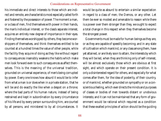his immediate and direct interests to those which are indirect and remote, are characteristics most especially called forth and fostered by the possession of power. The moment a man, or a class of men, find themselves with power in their hands, the man's individual interest, or the class's separate interest, acquires an entirely new degree of importance in their eyes. Finding themselves worshipped by others, they become worshippers of themselves, and think themselves entitled to be counted at a hundred times the value of other people, while the facility they acquire of doing as they like without regard to consequences insensibly weakens the habits which make men look forward even to such consequences as affect themselves. This is the meaning of the universal tradition, grounded on universal experience, of men's being corrupted by power. Every one knows how absurd it would be to infer from what a man is or does when in a private station, that he will be and do exactly the like when a despot on a throne; where the bad parts of his human nature, instead of being restrained and kept in subordination by every circumstance of his life and by every person surrounding him, are courted by all persons, and ministered to by all circumstances. It would be quite as absurd to entertain a similar expectation in regard to a class of men; the Demos, or any other. Let them be ever so modest and amenable to reason while there is a power over them stronger than they, we ought to expect a total change in this respect when they themselves become the strongest power.

Governments must be made for human beings as they are, or as they are capable of speedily becoming; and in any state of cultivation which mankind, or any class among them, have yet attained, or are likely soon to attain, the interests by which they will be led, when they are thinking only of self-interest, will be almost exclusively those which are obvious at first sight, and which operate on their present condition. It is only a disinterested regard for others, and especially for what comes after them, for the idea of posterity, of their country, or of mankind, whether grounded on sympathy or on a conscientious feeling, which ever directs the minds and purposes of classes or bodies of men towards distant or unobvious interests; and it can not be maintained that any form of government would be rational which required as a condition that these exalted principles of action should be the guiding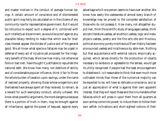and master motives in the conduct of average human beings. A certain amount of conscience and of disinterested public spirit may fairly be calculated on in the citizens of any community ripe for representative government. But it would be ridiculous to expect such a degree of it, combined with such intellectual discernment, as would be proof against any plausible fallacy tending to make that which was for their class interest appear the dictate of justice and of the general good. We all know what specious fallacies may be urged in defense of every act of injustice yet proposed for the imaginary benefit of the mass. We know how many, not otherwise fools or bad men, have thought it justifiable to repudiate the national debt. We know how many, not destitute of ability and of considerable popular influence, think it fair to throw the whole burden of taxation upon savings, under the name of realized property, allowing those whose progenitors and themselves have always spent all they received, to remain, as a reward for such exemplary conduct, wholly untaxed. We know what powerful arguments, the more dangerous because there is a portion of truth in them, may be brought against all inheritance, against the power of bequest, against every

advantage which one person seems to have over another. We know how easily the uselessness of almost every branch of knowledge may be proved to the complete satisfaction of those who do not possess it. How many, not altogether stupid men, think the scientific study of languages useless, think ancient literature useless, all erudition useless, logic and metaphysics useless, poetry and the fine arts idle and frivolous, political economy purely mischievous? Even history has been pronounced useless and mischievous by able men. Nothing but that acquaintance with external nature, empirically acquired, which serves directly for the production of objects necessary to existence or agreeable to the senses, would get its utility recognized if people had the least encouragement to disbelieve it. Is it reasonable to think that even much more cultivated minds than those of the numerical majority can be expected to be, will have so delicate a conscience, and so just an appreciation of what is against their own apparent interest, that they will reject these and the innumerable other fallacies which will press in upon them from all quarters as soon as they come into power, to induce them to follow their own selfish inclinations and short-sighted notions of their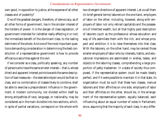own good, in opposition to justice, at the expense of all other classes and of posterity?

One of the greatest dangers, therefore, of democracy, as of all other forms of government, lies in the sinister interest of the holders of power: it is the danger of class legislation, of government intended for (whether really effecting it or not) the immediate benefit of the dominant class, to the lasting detriment of the whole. And one of the most important questions demanding consideration in determining the best constitution of a representative government is how to provide efficacious securities against this evil.

If we consider as a class, politically speaking, any number of persons who have the same sinister interest—that is, whose direct and apparent interest points towards the same description of bad measures—the desirable object would be that no class, and no combination of classes likely to combine, shall be able to exercise a preponderant influence in the government. A modern community, not divided within itself by strong antipathies of race, language, or nationality, may be considered as in the main divisible into two sections, which, in spite of partial variations, correspond on the whole with two divergent directions of apparent interest. Let us call them (in brief general terms) laborers on the one hand, employers of labor on the other; including, however, along with employers of labor not only retired capitalists and the possessors of inherited wealth, but all that highly paid description of laborers (such as the professions) whose education and way of life assimilate them with the rich, and whose prospect and ambition it is to raise themselves into that class. With the laborers, on the other hand, may be ranked those smaller employers of labor who by interests, habits, and educational impressions are assimilated in wishes, tastes, and objects to the laboring classes, comprehending a large proportion of petty tradesmen. In a state of society thus composed, if the representative system could be made ideally perfect, and if it were possible to maintain it in that state, its organization must be such that these two classes, manual laborers and their affinities on one side, employers of labor and their affinities on the other, should be, in the arrangement of the representative system, equally balanced, each influencing about an equal number of votes in Parliament; since, assuming that the majority of each class, in any differ-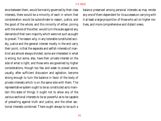ence between them, would be mainly governed by their class interests, there would be a minority of each in whom that consideration would be subordinate to reason, justice, and the good of the whole; and this minority of either, joining with the whole of the other, would turn the scale against any demands of their own majority which were not such as ought to prevail. The reason why, in any tolerable constituted society, justice and the general interest mostly in the end carry their point, is that the separate and selfish interests of mankind are almost always divided; some are interested in what is wrong, but some, also, have their private interest on the side of what is right; and those who are governed by higher considerations, though too few and weak to prevail alone, usually, after sufficient discussion and agitation, become strong enough to turn the balance in favor of the body of private interests which is on the same side with them. The representative system ought to be so constituted as to maintain this state of things; it ought not to allow any of the various sectional interests to be so powerful as to be capable of prevailing against truth and justice, and the other sectional interests combined. There ought always to be such a

balance preserved among personal interests as may render any one of them dependent for its successes on carrying with it at least a large proportion of those who act on higher motives, and more comprehensive and distant views.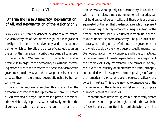# Chapter VII

# Of True and False Democracy; Representation of All, and Representation of the Majority only

IT HAS BEEN SEEN that the dangers incident to a representative democracy are of two kinds: danger of a low grade of intelligence in the representative body, and in the popular opinion which controls it; and danger of class legislation on the part of the numerical majority, these being all composed of the same class. We have next to consider how far it is possible so to organize the democracy as, without interfering materially with the characteristic benefits of democratic government, to do away with these two great evils, or at least to abate them in the utmost degree attainable by human contrivance.

The common mode of attempting this is by limiting the democratic character of the representation through a more or less restricted suffrage. But there is a previous consideration which, duly kept in view, considerably modifies the circumstances which are supposed to render such a restriction necessary. A completely equal democracy, in a nation in which a single class composes the numerical majority, can not be divested of certain evils; but those evils are greatly aggravated by the fact that the democracies which at present exist are not equal, but systematically unequal in favor of the predominant class. Two very different ideas are usually confounded under the name democracy. The pure idea of democracy, according to its definition, is the government of the whole people by the whole people, equally represented. Democracy, as commonly conceived and hitherto practiced, is the government of the whole people by a mere majority of the people exclusively represented. The former is synonymous with the equality of all citizens; the latter, strangely confounded with it, is a government of privilege in favor of the numerical majority, who alone possess practically any voice in the state. This is the inevitable consequence of the manner in which the votes are now taken, to the complete disfranchisement of minorities.

The confusion of ideas here is great, but it is so easily cleared up that one would suppose the slightest indication would be sufficient to place the matter in its true light before any mind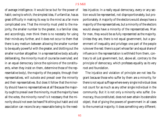of average intelligence. It would be so but for the power of habit; owing to which, the simplest idea, if unfamiliar, has as great difficulty in making its way to the mind as a far more complicated one. That the minority must yield to the majority, the smaller number to the greater, is a familiar idea; and accordingly, men think there is no necessity for using their minds any further, and it does not occur to them that there is any medium between allowing the smaller number to be equally powerful with the greater, and blotting out the smaller number altogether. In a representative body actually deliberating, the minority must of course be overruled; and in an equal democracy (since the opinions of the constituents, when they insist on them, determine those of the representative body), the majority of the people, through their representatives, will outvote and prevail over the minority and their representatives. But does it follow that the minority should have no representatives at all? Because the majority ought to prevail over the minority, must the majority have all the votes, the minority none? Is it necessary that the minority should not even be heard? Nothing but habit and old association can reconcile any reasonable being to the need-

less injustice. In a really equal democracy, every or any section would be represented, not disproportionately, but proportionately. A majority of the electors would always have a majority of the representatives, but a minority of the electors would always have a minority of the representatives. Man for man, they would be as fully represented as the majority. Unless they are, there is not equal government, but a government of inequality and privilege: one part of the people rule over the rest: there is a part whose fair and equal share of influence in the representation is withheld from them, contrary to all just government, but, above all, contrary to the principle of democracy, which professes equality as its very root and foundation.

The injustice and violation of principle are not less flagrant because those who suffer by them are a minority, for there is not equal suffrage where every single individual does not count for as much as any other single individual in the community. But it is not only a minority who suffer. Democracy, thus constituted, does not even attain its ostensible object, that of giving the powers of government in all cases to the numerical majority. It does something very different;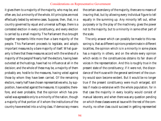it gives them to a majority of the majority, who may be, and often are, but a minority of the whole. All principles are most effectually tested by extreme cases. Suppose, then, that, in a country governed by equal and universal suffrage, there is a contested election in every constituency, and every election is carried by a small majority. The Parliament thus brought together represents little more than a bare majority of the people. This Parliament proceeds to legislate, and adopts important measures by a bare majority of itself. What guaranty is there that these measures accord with the wishes of a majority of the people? Nearly half the electors, having been outvoted at the hustings, have had no influence at all in the decision; and the whole of these may be, a majority of them probably are, hostile to the measures, having voted against those by whom they have been carried. Of the remaining electors, nearly half have chosen representatives who, by supposition, have voted against the measures. It is possible, therefore, and even probable, that the opinion which has prevailed was agreeable only to a minority of the nation, though a majority of that portion of it whom the institutions of the country have erected into a ruling class. If democracy means

the certain ascendancy of the majority, there are no means of insuring that, but by allowing every individual figure to tell equally in the summing up. Any minority left out, either purposely or by the play of the machinery, gives the power not to the majority, but to a minority in some other part of the scale.

The only answer which can possibly be made to this reasoning is, that as different opinions predominate in different localities, the opinion which is in a minority in some places has a majority in others, and on the whole every opinion which exists in the constituencies obtains its fair share of voices in the representation. And this is roughly true in the present state of the constituency; if it were not, the discordance of the House with the general sentiment of the country would soon become evident. But it would be no longer true if the present constituency were much enlarged, still less if made co-extensive with the whole population; for in that case the majority in every locality would consist of manual laborers; and when there was any question pending on which these classes were at issue with the rest of the community, no other class could succeed in getting represented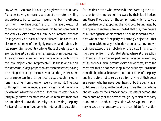any where. Even now, is it not a great grievance that in every Parliament a very numerous portion of the electors, willing and anxious to be represented, have no member in the House for whom they have voted? Is it just that every elector of Marylebone is obliged to be represented by two nominees of the vestries, every elector of Finsbury or Lambeth by those (as is generally believed) of the publicans? The constituencies to which most of the highly educated and public spirited persons in the country belong, those of the large towns, are now, in great part, either unrepresented or misrepresented. The electors who are on a different side in party politics from the local majority are unrepresented. Of those who are on the same side, a large proportion are misrepresented; having been obliged to accept the man who had the greatest number of supporters in their political party, though his opinions may differ from theirs on every other point. The state of things is, in some respects, even worse than if the minority were not allowed to vote at all; for then, at least, the majority might have a member who would represent their own best mind; while now, the necessity of not dividing the party, for fear of letting in its opponents, induces all to vote either

for the first person who presents himself wearing their colors, or for the one brought forward by their local leaders; and these, if we pay them the compliment, which they very seldom deserve, of supposing their choice to be unbiassed by their personal interests, are compelled, that they may be sure of mustering their whole strength, to bring forward a candidate whom none of the party will strongly object to—that is, a man without any distinctive peculiarity, any known opinions except the shibboleth of the party. This is strikingly exemplified in the United States; where, at the election of President, the strongest party never dares put forward any of its strongest men, because every one of these, from the mere fact that he has been long in the public eye, has made himself objectionable to some portion or other of the party, and is therefore not so sure a card for rallying all their votes as a person who has never been heard of by the public at all until he is produced as the candidate. Thus, the man who is chosen, even by the strongest party, represents perhaps the real wishes only of the narrow margin by which that party outnumbers the other. Any section whose support is necessary to success possesses a veto on the candidate. Any section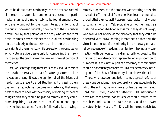which holds out more obstinately than the rest can compel all the others to adopt its nominee; and this superior pertinacity is unhappily more likely to be found among those who are holding out for their own interest than for that of the public. Speaking generally, the choice of the majority is determined by that portion of the body who are the most timid, the most narrow-minded and prejudiced, or who cling most tenaciously to the exclusive class-interest; and the electoral rights of the minority, while useless for the purposes for which votes are given, serve only for compelling the majority to accept the candidate of the weakest or worst portion of themselves.

That, while recognizing these evils, many should consider them as the necessary price paid for a free government, is in no way surprising; it was the opinion of all the friends of freedom up to a recent period. But the habit of passing them over as irremediable has become so inveterate, that many persons seem to have lost the capacity of looking at them as things which they would be glad to remedy if they could. From despairing of a cure, there is too often but one step to denying the disease; and from this follows dislike to having a

remedy proposed, as if the proposer were creating a mischief instead of offering relief from one. People are so inured to the evils that they feel as if it were unreasonable, if not wrong, to complain of them. Yet, avoidable or not, he must be a purblind lover of liberty on whose mind they do not weigh; who would not rejoice at the discovery that they could be dispensed with. Now, nothing is more certain than that the virtual blotting out of the minority is no necessary or natural consequence of freedom; that, far from having any connection with democracy, it is diametrically opposed to the first principle of democracy, representation in proportion to numbers. It is an essential part of democracy that minorities should be adequately represented. No real democracy, nothing but a false show of democracy, is possible without it.

Those who have seen and felt, in some degree, the force of these considerations, have proposed various expedients by which the evil may be, in a greater or less degree, mitigated. Lord John Russell, in one of his Reform Bills, introduced a provision that certain constituencies should return three members, and that in these each elector should be allowed to vote only for two; and Mr. Disraeli, in the recent debates,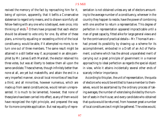revived the memory of the fact by reproaching him for it, being of opinion, apparently, that it befits a Conservative statesman to regard only means, and to disown scornfully all fellow-feeling with any one who is betrayed, even once, into thinking of ends.<sup>3</sup> Others have proposed that each elector should be allowed to vote only for one. By either of these plans, a minority equalling or exceeding a third of the local constituency, would be able, if it attempted no more, to return one out of three members. The same result might be attained in a still better way if, as proposed in an able pamphlet by Mr. James Garth Marshall, the elector retained his three votes, but was at liberty to bestow them all upon the same candidate. These schemes, though infinitely better than none at all, are yet but makeshifts, and attain the end in a very imperfect manner, since all local minorities of less than a third, and all minorities, however numerous, which are made up from seeral constituencies, would remain unrepresented. It is much to be lamented, however, that none of these plans have been carried into effect, as any of them would have recognized the right principle, and prepared the way for its more complete application. But real equality of representation is not obtained unless any set of electors amounting to the average number of a constituency, wherever in the country they happen to reside, have the power of combining with one another to return a representative. This degree of perfection in representation appeared impracticable until a man of great capacity, fitted alike for large general views and for the contrivance of practical details—Mr. Thomas Hare had proved its possibility by drawing up a scheme for its accomplishment, embodied in a Draft of an Act of Parliament; a scheme which has the almost unparalleled merit of carrying out a great principle of government in a manner approaching to ideal perfection as regards the special object in view, while it attains incidentally several other ends of scarcely inferior importance.

According to this plan, the unit of representation, the quota of electors who would be entitled to have a member to themselves, would be ascertained by the ordinary process of taking averages, the number of voters being divided by the number of seats in the House; and every candidate who obtained that quota would be returned, from however great a number of local constituencies it might be gathered. The votes would,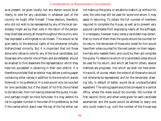as at present, be given locally; but any elector would be at liberty to vote for any candidate, in whatever part of the country he might offer himself. Those electors, therefore, who did not wish to be represented by any of the local candidates, might aid by their vote in the return of the person they liked best among all those throughout the country who had expressed a willingness to be chosen. This would so far give reality to the electoral rights of the otherwise virtually disfranchised minority. But it is important that not those alone who refuse to vote for any of the local candidates, but those also who vote for one of them and are defeated, should be enabled to find elsewhere the representation which they have not succeeded in obtaining in their own district. It is therefore provided that an elector may deliver a voting paper containing other names in addition to the one which stands foremost in his preference. His vote would only be counted for one candidate; but if the object of his first choice failed to be returned, from not having obtained the quota, his second perhaps might be more fortunate. He may extend his list to a greater number in the order of his preference, so that if the names which stand near the top of the list either can

not make up the quota, or are able to make it up without his vote, the vote may still be used for some one whom it may assist in returning. To obtain the full number of members required to complete the House, as well as to prevent very popular candidates from engrossing nearly all the suffrages, it is necessary, however many votes a candidate may obtain, that no more of them than the quota should be counted for his return; the remainder of those who voted for him would have their votes counted for the next person on their respective lists who needed them, and could by their aid complete the quota. To determine which of a candidate's votes should be used for his return, and which set free for others, several methods are proposed, into which we shall not here enter. He would, of course, retain the votes of all those who would not otherwise be represented; and for the remainder, drawing lots, in default of better, would be an unobjectionable expedient. The voting papers would be conveyed to a central office, where the votes would be counted, the number of first, second, third, and other votes given for each candidate ascertained, and the quota would be allotted to every one who could make it up, until the number of the House was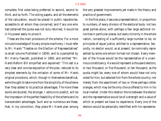complete; first votes being preferred to second, second to third, and so forth. The voting papers, and all the elements of the calculation, would be placed in public repositories, accessible to all whom they concerned; and if any one who had obtained the quota was not duly returned, it would be in his power easily to prove it.

These are the main provisions of the scheme. For a more minute knowledge of its very simple machinery, I must refer to Mr. Hare's "Treatise on the Election of Representatives" (a small volume Published in 1859), and to a pamphlet by Mr. Henry Fawcett, published in 1860, and entitled "Mr. Hare's Reform Bill simplified and explained." This last is a very clear and concise exposition of the plan, reduced to its simplest elements by the omission of some of Mr. Hare's original provisions, which, though in themselves beneficial, we're thought to take more from the simplicity of the scheme than they added to its practical advantages. The more these works are studied, the stronger, I venture to predict, will be the impression of the perfect feasibility of the scheme and its transcendant advantages. Such and so numerous are these, that, in my conviction, they place Mr. Hare's plan among

the very greatest improvements yet made in the theory and practice of government.

In the first place, it secures a representation, in proportion to numbers, of every division of the electoral body: not two great parties alone, with perhaps a few large sectional minorities in particular places, but every minority in the whole nation, consisting of a sufficiently large number to be, on principles of equal justice, entitled to a representative. Secondly, no elector would, as at present, be nominally represented by some one whom he had not chosen. Every member of the House would be the representative of a unanimous constituency. He would represent a thousand electors, or two thousand, or five thousand, or ten thousand, as the quota might be, every one of whom would have not only voted for him, but selected him from the whole country; not merely from the assortment of two or three perhaps rotten oranges, which may be the only choice offered to him in his local market. Under this relation the tie between the elector and the representative would be of a strength and a value of which at present we have no experience. Every one of the electors would be personally identified with his representa-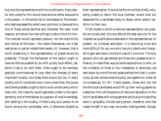tive, and the representative with his constituents. Every elector who voted for him would have done so either because he is the person, in the whole list of candidates for Parliament, who best expresses the voter's own opinions, or because he is one of those whose abilities and character the voter most respects, and whom he most willingly trusts to think for him. The member would represent persons, not the mere bricks and mortar of the town—the voters themselves, not a few vestrymen or parish notabilities merely. All, however, that is worth preserving in the representation of places would be preserved. Though the Parliament of the nation ought to have as little as possible to do with purely local affairs, yet, while it has to do with them, there ought to be members specially commissioned to look after the interests of every important locality; and these there would still be. In every locality which contained many more voters than the quota (and there probably ought to be no local consitituency which does not), the majority would generally prefer to be represented by one of themselves; by a person of local knowledge, and residing in the locality, if there is any such person to be found among the candidates, who is otherwise eligible as

their representative. It would be the minorities chiefly, who, being unable to return the local member, would look out elsewhere for a candidate likely to obtain other votes in addition to their own.

Of all modes in which a national representation can possibly be constituted, this one affords the best security for the intellectual qualifications desirable in the representatives. At present, by universal admission, it is becoming more and more difficult for any one who has only talents and character to gain admission into the House of Commons. The only persons who can get elected are those who possess local influence, or make their way by lavish expenditure, or who, on the invitation of three or four tradesmen or attorneys, are sent down by one of the two great parties from their London clubs, as men whose votes the party can depend on under all circumstances. On Mr. Hare's system, those who did not like the local candidates would fill up their voting papers by a selection from all the persons of national reputation on the list of candidates with whose general political principles they were in sympathy. Almost every person, therefore, who had made himself in any way honorably distinguished, though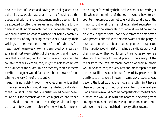devoid of local influence, and having sworn allegiance to no political party, would have a fair chance of making up the quota, and with this encouragement such persons might be expected to offer themselves in numbers hitherto undreamed of. Hundreds of able men of independent thought, who would have no chance whatever of being chosen by the majority of any existing constituency, have by their writings, or their exertions in some field of public usefulness, made themselves known and approved by a few persons in almost every district of the kingdom; and if every vote that would be given for them in every place could be counted for their election, they might be able to complete the number of the quota. In no other way which it seems possible to suggest would Parliament be so certain of containing the very *élite* of the country.

And it is not solely through the votes of minorities that this system of election would raise the intellectual standard of the House of Commons. Majorities would be compelled to look out for members of a much higher calibre. When the individuals composing the majority would no longer be reduced to Hobson's choice, of either voting for the person brought forward by their local leaders, or not voting at all; when the nominee of the leaders would have to encounter the competition not solely of the candidate of the minority, but of all the men of established reputation in the country who were willing to serve, it would be impossible any longer to foist upon the electors the first person who presents himself with the catchwords of the party in his mouth, and three or four thousand pounds in his pocket. The majority would insist on having a candidate worthy of their choice, or they would carry their votes somewhere else, and the minority would prevail. The slavery of the majority to the least estimable portion of their numbers would be at an end; the very best and most capable of the local notabilities would be put forward by preference; if possible, such as were known in some advantageous way beyond the locality, that their local strength might have a chance of being fortified by stray votes from elsewhere. Constituencies would become competitors for the best candidates, and would vie with one another in selecting from among the men of local knowledge and connections those who were most distinguished in every other respect.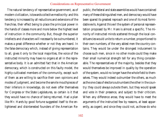The natural tendency of representative government, as of modern civilization, is towards collective mediocrity: and this tendency is increased by all reductions and extensions of the franchise, their effect being to place the principal power in the hands of classes more and more below the highest level of instruction in the community. But, though the superior intellects and characters will necessarily be outnumbered, it makes a great difference whether or not they are heard. In the false democracy which, instead of giving representation to all, gives it only to the local majorities, the voice of the instructed minority may have no organs at all in the representative body. It is an admitted fact that in the American democracy, which is constructed on this faulty model, the highly-cultivated members of the community, except such of them as are willing to sacrifice their own opinions and modes of judgment, and become the servile mouthpieces of their inferiors in knowledge, do not even offer themselves for Congress or the State Legislatures, so certain is it that they would have no chance of being returned. Had a plan like Mr. Hare's by good fortune suggested itself to the enlightened and disinterested founders of the American Republic, the federal and state assemblies would have contained many of these distinguished men, and democracy would have been spared its greatest reproach and one of its most formidable evils. Against this evil the system of personal representation proposed by Mr. Hare is almost a specific. The minority of instructed minds scattered through the local constituencies would unite to return a number, proportioned to their own numbers, of the very ablest men the country contains. They would be under the strongest inducement to choose such men, since in no other mode could they make their small numerical strength tell for any thing considerable. The representatives of the majority, besides that they would themselves be improved in quality by the operation of the system, would no longer have the whole field to themselves. They would indeed outnumber the others, as much as the one class of electors outnumbers the other in the country: they could always outvote them, but they would speak and vote in their presence, and subject to their criticism. When any difference arose, they would have to meet the arguments of the instructed few by reasons, at least apparently, as cogent; and since they could not, as those do who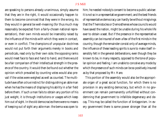are speaking to persons already unanimous, simply assume that they are in the right, it would occasionally happen to them to become convinced that they were in the wrong. As they would in general be well-meaning (for thus much may reasonably be expected from a fairly-chosen national representation), their own minds would be insensibly raised by the influence of the minds with which they were in contact, or even in conflict. The champions of unpopular doctrines would not put forth their arguments merely in books and periodicals, read only by their own side; the opposing ranks would meet face to face and hand to hand, and there would be a fair comparison of their intellectual strength in the presence of the country. It would then be found out whether the opinion which prevailed by counting votes would also prevail if the votes were weighed as well as counted. The multitude have often a true instinct for distinguishing an able man when he has the means of displaying his ability in a fair field before them. If such a man fails to obtain any portion of his just weight, it is through institutions or usages which keep him out of sight. In the old democracies there were no means of keeping out of sight any able man: the bema was open to

him; he needed nobody's consent to become a public adviser. It is not so in a representative government; and the best friends of representative democracy can hardly be without misgivings that the Themistocles or Demosthenes whose councils would have saved the nation, might be unable during his whole life ever to obtain a seat. But if the presence in the representative assembly can be insured of even a few of the first minds in the country, though the remainder consist only of average minds, the influence of these leading spirits is sure to make itself insensibly felt in the general deliberations, even though they be known to be, in many respects, opposed to the tone of popular opinion and feeling. I am unable to conceive any mode by which the presence of such minds can be so positively insured as by that proposed by Mr. Hare.

This portion of the assembly would also be the appropriate organ of a great social function, for which there is no provision in any existing democracy, but which in no government can remain permanently unfulfilled without condemning that government to infallible degeneracy and decay. This may be called the function of Antagonism. In every government there is some power stronger than all the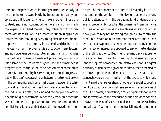rest; and the power which is strongest tends perpetually to become the sole power. Partly by intention and partly unconsciously, it is ever striving to make all other things bend to itself, and is not content while there is any thing which makes permanent head against it, any influence not in agreement with its spirit. Yet, if it succeeds in suppressing all rival influences, and moulding every thing after its own model, improvement, in that country, is at an end, and decline commences. Human improvement is a product of many factors, and no power ever yet constituted among mankind includes them all: even the most beneficent power only contains in itself some of the requisites of good, and the remainder, if progress is to continue, must be derived from some other source. No community has ever long continued progressive but while a conflict was going on between the strongest power in the community and some rival power; between the spiritual and temporal authorities; the military or territorial and the industrious classes; the king and the people; the orthodox and religious reformers. When the victory on either side was so complete as to put an end to the strife, and no other conflict took its place, first stagnation followed, and then decay. The ascendancy of the numerical majority is less unjust, and, on the whole, less mischievous than many others, but it is attended with the very same kind of dangers, and even more certainly; for when the government is in the hands of One or a Few, the Many are always existent as a rival power, which may not be strong enough ever to control the other, but whose opinion and sentiment are a moral, and even a social support to all who, either from conviction or contrariety of interest, are opposed to any of the tendencies of the ruling authority. But when the democracy is supreme, there is no One or Few strong enough for dissentient opinions and injured or menaced interests to lean upon. The great difficulty of democratic government has hitherto seemed to be, how to provide in a democratic society—what circumstances have provided hitherto in all the societies which have maintained themselves ahead of others—a social support, a *point d'appui*, for individual resistance to the tendencies of the ruling power; a protection, a rallying-point, for opinions and interests which the ascendant public opinion views with disfavor. For want of such a *point d'appui*, the older societies, and all but a few modern ones, either fell into dissolution or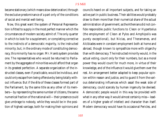became stationary (which means slow deterioration) through the exclusive predominance of a part only of the conditions of social and mental well-being.

Now, this great want the system of Personal Representation is fitted to supply in the most perfect manner which the circumstances of modern society admit of. The only quarter in which to look for a supplement, or completing corrective to the instincts of a democratic majority, is the instructed minority; but, in the ordinary mode of constituting democracy, this minority has no organ: Mr. Hare's system provides one. The representatives who would be returned to Parliament by the aggregate of minorities would afford that organ in its greatest perfection. A separate organization of the instructed classes, even if practicable, would be invidious, and could only escape from being offensive by being totally without influence. But if the *élite* of these classes formed part of the Parliament, by the same title as any other of its members—by representing the same number of citizens, the same numerical fraction of the national will—their presence could give umbrage to nobody, while they would be in the position of highest vantage, both for making their opinions and

councils heard on all important subjects, and for taking an active part in public business. Their abilities would probably draw to them more than their numerical share of the actual administration of government; as the Athenians did not confide responsible public functions to Cleon or Hyperbolus (the employment of Cleon at Pylos and Amphipolis was purely exceptional), but Nicias, and Theramenes, and Alcibiades were in constant employment both at home and abroad, though known to sympathize more with oligarchy than with democracy. The instructed minority would, in the actual voting, count only for their numbers, but as a moral power they would count for much more, in virtue of their knowledge, and of the influence it would give them over the rest. An arrangement better adapted to keep popular opinion within reason and justice, and to guard it from the various deteriorating influences which assail the weak side of democracy, could scarcely by human ingenuity be devised. A democratic people would in this way be provided with what in any other way it would almost certainly miss—leaders of a higher grade of intellect and character than itself. Modern democracy would have its occasional Pericles, and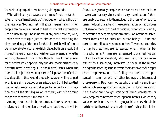its habitual group of superior and guiding minds.

With all this array of reasons, of the most fundamental character, on the affirmative side of the question, what is there on the negative? Nothing that will sustain examination, when people can once be induced to bestow any real examination upon a new thing. Those indeed, if any such there be, who, under pretense of equal justice, aim only at substituting the class ascendancy of the poor for that of the rich, will of course be unfavorable to a scheme which places both on a level. But I do not believe that any such wish exists at present among the working classes of this country, though I would not answer for the effect which opportunity and demagogic artifices may hereafter have in exciting it. In the United States, where the numerical majority have long been in full possession of collective despotism, they would probably be as unwilling to part with it as a single despot or an aristocracy. But I believe that the English democracy would as yet be content with protection against the class legislation of others, without claiming the power to exercise it in their turn.

Among the ostensible objectors to Mr. Hare's scheme, some profess to think the plan unworkable; but these, it will be found, are generally people who have barely heard of it, or have given it a very slight and cursory examination. Others are unable to reconcile themselves to the loss of what they term the local character of the representation. A nation does not seem to them to consist of persons, but of artificial units, the creation of geography and statistics. Parliament must represent towns and counties, not human beings. But no one seeks to annihilate towns and counties. Towns and counties, it may be presumed, are represented when the human beings who inhabit them are represented. Local feelings can not exist without somebody who feels them, nor local interests without somebody interested in them. If the human beings whose feelings and interests these are have their proper share of representation, these feelings and interests are represented in common with all other feelings and interests of those persons. But I can not see why the feelings and interests which arrange mankind according to localities should be the only one thought worthy of being represented; or why people who have other feelings and interests, which they value more than they do their geographical ones, should be restricted to these as the sole principle of their political clas-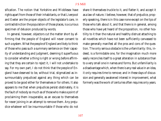sification. The notion that Yorkshire and Middlesex have rights apart from those of their inhabitants, or that Liverpool and Exeter are the proper objects of the legislator's care, in contradistinction the population of those places, is a curious specimen of delusion produced by words.

In general, however, objectors cut the matter short by affirming that the people of England will never consent to such a system. What the people of England are likely to think of those who pass such a summary sentence on their capacity of understanding and judgment, deeming it superfluous to consider whether a thing is right or wrong before affirming that they are certain to reject it, I will not undertake to say. For my own part, I do not think that the people of England have deserved to be, without trial, stigmatized as insurmountably prejudiced against any thing which can be proved to be good either for themselves or for others. It also appears to me that when prejudices persist obstinately, it is the fault of nobody so much as of those who make a point of proclaiming them insuperable, as an excuse to themselves for never joining in an attempt to remove them. Any prejudice whatever will be insurmountable if those who do not

share it themselves truckle to it, and flatter it, and accept it as a law of nature. I believe, however, that of prejudice, properly speaking, there is in this case none except on the lips of those who talk about it, and that there is in general, among those who have yet heard of the proposition, no other hostility to it than the natural and healthy distrust attaching to all novelties which have not been sufficiently canvassed to make generally manifest all the pros and cons of the question. The only serious obstacle is the unfamiliarity: this, indeed, is a formidable one, for the imagination much more easily reconciles itself to a great alteration in substance than to a very small one in names and forms. But unfamiliarity is a disadvantage which, when there is any real value in an idea, it only requires time to remove; and in these days of discussion and generally awakened interest in improvement, what formerly was the work of centuries often requires only years.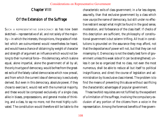# Chapter VIII

# Of the Extension of the Suffrage

SUCH <sup>A</sup> REPRESENTATIVE DEMOCRACY as has now been sketched—representative of all, and not solely of the majority—in which the interests, the opinions, the grades of intellect which are outnumbered would nevertheless be heard, and would have a chance of obtaining by weight of character and strength of argument an influence which would not belong to their numerical force—this democracy, which is alone equal, alone impartial, alone the government of all by all, the only true type of democracy, would be free from the greatest evils of the falsely-called democracies which now prevail, and from which the current idea of democracy is exclusively derived. But even in this democracy, absolute power, if they chose to exercise it, would rest with the numerical majority, and these would be composed exclusively of a single class, alike in biases, prepossessions, and general modes of thinking, and a class, to say no more, not the most highly cultivated. The constitution would therefore still be liable to the

characteristic evils of class government; in a far less degree, assuredly, than that exclusive government by a class which now usurps the name of democracy, but still under no effective restraint except what might be found in the good sense, moderation, and forbearance of the class itself. If checks of this description are sufficient, the philosophy of constitutional government is but solemn trifling. All trust in constitutions is grounded on the assurance they may afford, not that the depositaries of power will not, but that they can not misemploy it. Democracy is not the ideally best form of government unless this weak side of it can be strengthened; unless it can be so organized that no class, not even the most numerous, shall be able to reduce all but itself to political insignificance, and direct the course of legislation and administration by its exclusive class interest. The problem is to find the means of preventing this abuse without sacrificing the characteristic advantages of popular government.

These twofold requisites are not fulfilled by the expedient of a limitation of the suffrage, involving the compulsory exclusion of any portion of the citizens from a voice in the representation. Among the foremost benefits of free govern-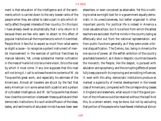ment is that education of the intelligence and of the sentiments which is carried down to the very lowest ranks of the people when they are called to take a part in acts which directly affect the great interests of their country. On this topic I have already dwelt so emphatically that I only return to it because there are few who seem to attach to this effect of popular institutions all the importance to which it is entitled. People think it fanciful to expect so much from what seems so slight a cause—to recognize a potent instrument of mental improvement in the exercise of political franchises by manual laborers. Yet, unless substantial mental cultivation in the mass of mankind is to be a mere vision, this is the road by which it must come. If any one supposes that this road will not bring it, I call to witness the entire contents of M. de Tocqueville's great work, and especially his estimate of the Americans. Almost all travelers are struck by the fact that every American is in some sense both a patriot and a person of cultivated intelligence; and M. de Tocqueville has shown how close the connection is between these qualities and their democratic institutions. No such wide diffusion of the ideas, tastes, and sentiments of educated minds has ever been seen

elsewhere, or even conceived as attainable. Yet this is nothing to what we might look for in a government equally democratic in its unexclusiveness, but better organized in other important points. For political life is indeed in America a most valuable school, but it is a school from which the ablest teachers are excluded; the first minds in the country being as effectually shut out from the national representation, and from public functions generally, as if they were under a formal disqualification. The Demos, too, being in America the one source of power, all the selfish ambition of the country gravitates towards it, as it does in despotic countries towards the monarch; the People, like the despot, is pursued with adulation and sycophancy, and the corrupting effects of power fully keep pace with its improving and ennobling influences. If, even with this alloy, democratic institutions produce so marked a superiority of mental development in the lowest class of Americans, compared with the corresponding classes in England and elsewhere, what would it be if the good portion of the influence could be retained without the bad? And this, to a certain extent, may be done, but not by excluding that portion of the people who have fewest intellectual stimuli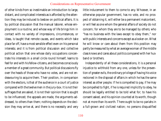of other kinds from so inestimable an introduction to large, distant, and complicated interests as is afforded by the attention they may be induced to bestow on political affairs. It is by political discussion that the manual laborer, whose employment is a routine, and whose way of life brings him in contact with no variety of impressions, circumstances, or ideas, is taught that remote causes, and events which take place far off, have a most sensible effect even on his personal interests; and it is from political discussion and collective political action that one whose daily occupations concentrate his interests in a small circle round himself, learns to feel for and with his fellow-citizens, and becomes consciously a member of a great community. But political discussions fly over the heads of those who have no votes, and are not endeavouring to acquire them. Their position, in comparison with the electors, is that of the audience in a court of justice compared with the twelve men in the jury-box. It is not *their* suffrages that are asked, it is not their opinion that is sought to be influenced; the appeals are made, the arguments addressed, to others than them; nothing depends on the decision *they* may arrive at, and there is no necessity and very

little inducement to them to come to any. Whoever, in an otherwise popular government, has no vote, and no prospect of obtaining it, will either be a permanent malcontent, or will feel as one whom the general affairs of society do not concern; for whom they are to be managed by others; who "has no business with the laws except to obey them," nor with public interests and concerns except as a looker-on. What he will know or care about them from this position may partly be measured by what an average woman of the middle class knows and cares about politics compared with her husband or brothers.

Independently of all these considerations, it is a personal injustice to withhold from any one, unless for the prevention of greater evils, the ordinary privilege of having his voice reckoned in the disposal of affairs in which he has the same interest as other people. If he is compelled to pay, if he may be compelled to fight, if he is required implicitly to obey, he should be legally entitled to be told what for; to have his consent asked, and his opinion counted at its worth, though not at more than its worth. There ought to be no pariahs in a full-grown and civilized nation; no persons disqualified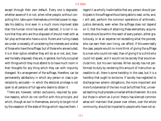except through their own default. Every one is degraded, whether aware of it or not, when other people, without consulting him, take upon themselves unlimited power to regulate his destiny. And even in a much more improved state than the human mind has ever yet reached, it is not in nature that they who are thus disposed of should meet with as fair play as those who have a voice. Rulers and ruling classes are under a necessity of considering the interests and wishes of those who have the suffrage; but of those who are excluded, it is in their option whether they will do so or not; and, however honestly disposed, they are, in general, too fully occupied with things which they *must* attend to to have much room in their thoughts for any thing which they can with impunity disregard. No arrangement of the suffrage, therefore, can be permanently satisfactory in which any person or class is peremptorily excluded—in which the electoral privilege is not open to all persons of full age who desire to obtain it.

There are, however, certain exclusions, required by positive reasons, which do not conflict with this principle, and which, though an evil in themselves, are only to be got rid of by the cessation of the state of things which requires them. I regard it as wholly inadmissible that any person should participate in the suffrage without being able to read, write, and, I will add, perform the common operations of arithmetic. Justice demands, even when the suffrage does not depend on it, that the means of attaining these elementary acquirements should be within the reach of every person, either gratuitously, or at an expense not exceeding what the poorest, who can earn their own living, can afford. If this were really the case, people would no more think of giving the suffrage to a man who could not read, than of giving it to a child who could not speak; and it would not be society that would exclude him, but his own laziness. When society has not performed its duty by rendering this amount of instruction accessible to all, there is some hardship in the case, but it is a hardship that ought to be borne. If society has neglected to discharge two solemn obligations, the more important and more fundamental of the two must be fulfilled first; universal teaching must precede universal enfranchisement. No one but those in whom an *à priori* theory has silenced common sense will maintain that power over others, over the whole community, should be imparted to people who have not ac-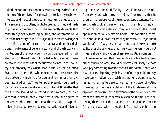quired the commonest and most essential requisities for taking care of themselves—for pursuing intelligently their own interests, and those of the persons most nearly allied to them. This argument, doubtless, might be pressed further, and made to prove much more. It would be eminently desirable that other things besides reading, writing, and arithmetic could be made necessary to the suffrage; that some knowledge of the conformation of the earth, its natural and political divisions, the elements of general history, and of the history and institutions of their own country, could be required from all electors. But these kinds of knowledge, however indispensable to an intelligent use of the suffrage, are not, in this country, nor probably any where save in the Northern United States, accessible to the whole people, nor does there exist any trustworthy machinery for ascertaining whether they have been acquired or not. The attempt, at present, would lead to partiality, chicanery, and every kind of fraud. It is better that the suffrage should be conferred indiscriminately, or even withheld indiscriminately, than that it should be given to one and withheld from another at the discretion of a public officer. In regard, however, to reading, writing, and calculating, there need be no difficulty. It would be easy to require from every one who presented himself for registry that he should, in the presence of the registrar, copy a sentence from an English book, and perform a sum in the rule of three; and to secure, by fixed rules and complete publicity, the honest application of so very simple a test. This condition, therefore, should in all cases accompany universal suffrage; and it would, after a few years, exclude none but those who cared so little for the privilege, that their vote, if given, would not in general be an indication of any real political opinion.

It is also important, that the assembly which votes the taxes, either general or local, should be elected exclusively by those who pay something towards the taxes imposed. Those who pay no taxes, disposing by their votes of other people's money, have every motive to be lavish and none to economize. As far as money matters are concerned, any power of voting possessed by them is a violation of the fundamental principle of free government, a severance of the power of control from the interest in its beneficial exercise. It amounts to allowing them to put their hands into other people's pockets for any purpose which they think fit to call a public one,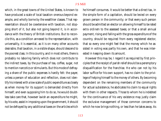which, in the great towns of the United States, is known to have produced a scale of local taxation onerous beyond example, and wholly borne by the wealthier classes. That representation should be coextensive with taxation, not stopping short of it, but also not going beyond it, is in accordance with the theory of British institutions. But to reconcile this, as a condition annexed to the representation, with universality, it is essential, as it is on many other accounts desirable, that taxation, in a visible shape, should descend to the poorest class. In this country, and in most others, there is probably no laboring family which does not contribute to the indirect taxes, by the purchase of tea, coffee, sugar, not to mention narcotics or stimulants. But this mode of defraying a share of the public expenses is hardly felt: the payer, unless a person of education and reflection, does not identify his interest with a low scale of public expenditure as closely as when money for its support is demanded directly from himself; and even supposing him to do so, he would doubtless take care that, however lavish an expenditure he might, by his vote, assist in imposing upon the government, it should not be defrayed by any additional taxes on the articles which

he himself consumes. It would be better that a direct tax, in the simple form of a capitation, should be levied on every grown person in the community; or that every such person should be admitted an elector on allowing himself to be rated *extra ordinem* to the assessed taxes; or that a small annual payment, rising and falling with the gross expenditure of the country, should be required from every registered elector, that so every one might feel that the money which he assisted in voting was partly his own, and that he was interested in keeping down its amount.

However this may be, I regard it as required by first principles that the receipt of parish relief should be a peremptory disqualification for the franchise. He who can not by his labor suffice for his own support, has no claim to the privilege of helping himself to the money of others. By becoming dependent on the remaining members of the community for actual subsistence, he abdicates his claim to equal rights with them in other respects. Those to whom he is indebted for the continuance of his very existence may justly claim the exclusive management of those common concerns to which he now brings nothing, or less than he takes away. As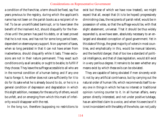a condition of the franchise, a term should be fixed, say five years previous to the registry, during which the applicant's name has not been on the parish books as a recipient of relief. To be an uncertificated bankrupt, or to have taken the benefit of the Insolvent Act, should disqualify for the franchise until the person has paid his debts, or at least proved that he is not now, and has not for some long period been, dependent on eleemosynary support. Non-payment of taxes, when so long persisted in that it can not have arisen from inadvertence, should disqualify while it lasts. These exclusions are not in their nature permanent. They exact such conditions only as all are able, or ought to be able, to fulfill if they choose. They leave the suffrage accessible to all who are in the normal condition of a human being; and if any one has to forego it, he either does not care sufficiently for it to do for its sake what he is already bound to do, or he is in a general condition of depression and degradation in which this slight addition, necessary for the security of others, would be unfelt, and on emerging from which this mark of inferiority would disappear with the rest.

In the long run, therefore (supposing no restrictions to

exist but those of which we have now treated), we might expect that all, except that (it is to be hoped) progressively diminishing class, the recipients of parish relief, would be in possession of votes, so that the suffrage would be, with that slight abatement, universal. That it should be thus widely expanded is, as we have seen, absolutely necessary to an enlarged and elevated conception of good government. Yet in this state of things, the great majority of voters in most countries, and emphatically in this, would be manual laborers, and the twofold danger, that of too low a standard of political intelligence, and that of class legislation, would still exist in a very perilous degree. It remains to be seen whether any means exist by which these evils can be obviated.

They are capable of being obviated if men sincerely wish it; not by any artificial contrivance, but by carrying out the natural order of human life, which recommends itself to every one in things in which he has no interest or traditional opinion running counter to it. In all human affairs, every person directly interested, and not under positive tutelage, has an admitted claim to a voice, and when his exercise of it is not inconsistent with the safety of the whole, can not justly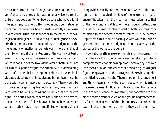be excluded from it. But (though every one ought to have a voice) that every one should have an equal voice is a totally different proposition. When two persons who have a joint interest in any business differ in opinion, does justice require that both opinions should be held of exactly equal value? If with equal virtue, one is superior to the other in knowledge and intelligence—or if with equal intelligence, one excels the other in virtue—the opinion, the judgment of the higher moral or intellectual being is worth more than that of the inferior; and if the institutions of the country virtually assert that they are of the same value, they assert a thing which is not. One of the two, as the wiser or better man, has a claim to superior weight: the difficulty is in ascertaining which of the two it is; a thing impossible as between individuals, but, taking men in bodies and in numbers, it can be done with a certain approach to accuracy. There would be no pretense for applying this doctrine to any case which can with reason be considered as one of individual and private right. In an affair which concerns only one of two persons, that one is entitled to follow his own opinion, however much wiser the other may be than himself. But we are speaking of

things which equally concern them both; where, if the more ignorant does not yield his share of the matter to the guidance of the wiser man, the wiser man must resign his to that of the more ignorant. Which of these modes of getting over the difficulty is most for the interest of both, and most conformable to the general fitness of things? If it be deemed unjust that either should have to give way, which injustice is greatest? that the better judgment should give way to the worse, or the worse to the better?

Now national affairs are exactly such a joint concern, with the difference that no one needs ever be called upon for a complete sacrifice of his own opinion. It can always be taken into the calculation, and counted at a certain figure, a higher figure being assigned to the suffrages of those whose opinion is entitled to greater weight. There is not in this arrangement any thing necessarily invidious to those to whom it assigns the lower degrees of influence. Entire exclusion from a voice in the common concerns is one thing: the concession to others of a more potential voice, on the ground of greater capacity for the management of the joint interests, is another. The two things are not merely different, they are incommensu-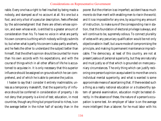rable. Every one has a right to feel insulted by being made a nobody, and stamped as of no account at all. No one but a fool, and only a fool of a peculiar description, feels offended by the acknowledgment that there are others whose opinion, and even whose wish, is entitled to a greater amount of consideration than his. To have no voice in what are partly his own concerns is a thing which nobody willingly submits to; but when what is partly his concern is also partly another's, and he feels the other to understand the subject better than himself, that the other's opinion should be counted for more than his own accords with his expectations, and with the course of things which in all other affairs of life he is accustomed to acquiese in. It is only necessary that this superior influence should be assigned on grounds which he can comprehend, and of which he is able to perceive the justice.

I hasten to say that I consider it entirely inadmissible, unless as a temporary makeshift, that the superiority of influence should be conferred in consideration of property. I do not deny that property is a kind of test; education, in most countries, though any thing but proportional to riches, is on the average better in the richer half of society than in the poorer. But the criterion is so imperfect; accident has so much more to do than merit with enabling men to rise in the world; and it is so impossible for any one, by acquiring any amount of instruction, to make sure of the corresponding rise in station, that this foundation of electoral privilege is always, and will continue to be, supremely odious. To connect plurality of votes with any pecuniary qualification would be not only objectionable in itself, but a sure mode of compromising the principle, and making its permanent maintenance impracticable. The democracy, at least of this country, are not at present jealous of personal superiority, but they are naturally and must justly so of that which is grounded on mere pecuniary circumstances. The only thing which can justify reckoning one person's opinion as equivalent to more than one is individual mental superiority, and what is wanted is some approximate means of ascertaining that. If there existed such a thing as a really national education or a trustworthy system of general examination, education might be tested directly. In the absence of these, the nature of a person's occupation is some test. An employer of labor is on the average more intelligent than a laborer; for he must labor with his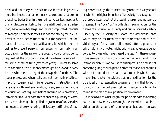head, and not solely with his hands. A foreman is generally more intelligent than an ordinary laborer, and a laborer in the skilled trades than in the unskilled. A banker, merchant, or manufacturer is likely to be more intelligent than a tradesman, because he has larger and more complicated interests to manage. In all these cases it is not the having merely undertaken the superior function, but the successful performance of it, that tests the qualifications; for which reason, as well as to prevent persons from engaging nominally in an occupation for the sake of the vote, it would be proper to require that the occupation should have been persevered in for some length of time (say three years). Subject to some such condition, two or more votes might be allowed to every person who exercises any of these superior functions. The liberal professions, when really and not nominally practiced, imply, of course, a still higher degree of instruction; and wherever a sufficient examination, or any serious conditions of education, are required before entering on a profession, its members could be admitted at once to a plurality of votes. The same rule might be applied to graduates of universities; and even to those who bring satisfactory certificates of having passed through the course of study required by any school at which the higher branches of knowledge are taught, under proper securities that the teaching is real, and not a mere pretense. The "local" or "middle class" examination for the degree of associate, so laudably and public-spiritedly established by the University of Oxford, and any similar ones which may be instituted by other competent bodies (provided they are fairly open to all comers), afford a ground on which plurality of votes might with great advantage be accorded to those who have passed the test. All these suggestions are open to much discussion in the detail, and to objections which it is of no use to anticipate. The time is not come for giving to such plans a practical shape, nor should I wish to be bound by the particular proposals which I have made. But it is to me evident that in this direction lies the true ideal of representative government; and that to work towards it by the best practical contrivances which can be found is the path of real political improvement.

If it be asked to what length the principle admits of being carried, or how many votes might be accorded to an individual on the ground of superior qualifications, I answer,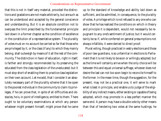that this is not in itself very material, provided the distinctions and gradations are not made arbitrarily, but are such as can be understood and accepted by the general conscience and understanding. But it is an absolute condition not to overpass the limit prescribed by the fundamental principle laid down in a former chapter as the condition of excellence in the constitution of a representative system. The plurality of votes must on no account be carried so far that those who are privileged by it, or the class (if any) to which they mainly belong, shall outweigh by means of it all the rest of the community. The distinction in favor of education, right in itself, is farther and strongly recommended by its preserving the educated from the class legislation of the uneducated; but it must stop short of enabling them to practice class legislation on their own account. Let me add, that I consider it an absolutely necessary part of the plurality scheme that it be open to the poorest individual in the community to claim its privileges, if he can prove that, in spite of all difficulties and obstacles, he is, in point of intelligence, entitled to them. There ought to be voluntary examinations at which any person whatever might present himself, might prove that he came

up to the standard of knowledge and ability laid down as sufficient, and be admitted, in consequence, to the plurality of votes. A privilege which is not refused to any one who can show that he has realized the conditions on which in theory and principle it is dependent, would not necessarily be repugnant to any one's sentiment of justice; but it would certainly be so if, while conferred on general presumptions not always infallible, it were denied to direct proof.

Plural voting, though practiced in vestry elections and those of poor-law guardians, is so unfamiliar in elections to Parliament that it is not likely to be soon or willingly adopted; but as the time will certainly arrive when the only choice will be between this and equal universal suffrage, whoever does not desire the last can not too soon begin to reconcile himself to the former. In the mean time, though the suggestion, for the present, may not be a practical one, it will serve to mark what is best in principle, and enable us to judge of the eligibility of any indirect means, either existing or capable of being adopted, which may promote in a less perfect manner the same end. A person may have a double vote by other means than that of tendering two votes at the same hustings; he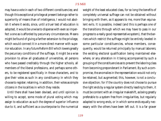may have a vote in each of two different constituencies; and though this exceptional privilege at present belongs rather to superiority of means than of intelligence, I would not abolish it where it exists, since, until a truer test of education is adopted, it would be unwise to dispense with even so imperfect a one as is afforded by pecuniary circumstances. Means might be found of giving a farther extension to the privilege, which would connect it in a more direct manner with superior education. In any future Reform Bill which lowers greatly the pecuniary conditions of the suffrage, it might be a wise provision to allow all graduates of universities, all persons who have passed creditably through the higher schools, all members of the liberal professions, and perhaps some others, to be registered specifically in those characters, and to give their votes as such in any constituency in which they choose to register; retaining, in addition, their votes as simple citizens in the localities in which they reside.

Until there shall have been devised, and until opinion is willing to accept, some mode of plural voting which may assign to education as such the degree of superior influence due to it, and sufficient as a counterpoise to the numerical weight of the least educated class, for so long the benefits of completely universal suffrage can not be obtained without bringing with them, as it appears to me, more than equivalent evils. It is possible, indeed (and this is perhaps one of the transitions through which we may have to pass in our progress to a really good representative system), that the barriers which restrict the suffrage might be entirely leveled in some particular constituencies, whose members, consequently, would be returned principally by manual laborers; the existing electoral qualification being maintained elsewhere, or any alteration in it being accompanied by such a grouping of the constituencies as to prevent the laboring class from becoming preponderant in Parliament. By such a compromise, the anomalies in the representation would not only be retained, but augmented; this, however, is not a conclusive objection; for if the country does not choose to pursue the right ends by a regular system directly leading to them, it must be content with an irregular makeshift, as being greatly preferable to a system free from irregularities, but regularly adapted to wrong ends, or in which some ends equally necessary with the others have been left out. It is a far graver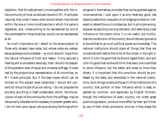objection, that this adjustment is incompatible with the intercommunity of local constituencies which Mr. Hare's plan requires; that under it every voter would remain imprisoned within the one or more constituencies in which his name is registered, and, unless willing to be represented by one of the candidates for those localities, would not be represented at all.

So much importance do I attach to the emancipation of those who already have votes, but whose votes are useless, because always outnumbered—so much should I hope from the natural influence of truth and reason, if only secured a hearing and a competent advocacy, that I should not despair of the operation even of equal and universal suffrage, if made real by the proportional representation of all minorities, on Mr. Hare's principle. But if the best hopes which can be formed on this subject were certainties, I should still contend for the principle of plural voting. I do not propose the plurality as a thing in itself undesirable, which, like the exclusion of part of the community from the suffrage, may be temporarily tolerated while necessary to prevent greater evils. I do not look upon equal voting as among the things which

are good in themselves, provided they can be guarded against inconveniences. I look upon it as only relatively good; less objectionable than inequality of privilege grounded on irrelevant or adventitious circumstances, but in principle wrong, because recognizing a wrong standard, and exercising a bad influence on the voter's mind. It is not useful, but hurtful, that the constitution of the country should declare ignorance to be entitled to as much political power as knowledge. The national institutions should place all things that they are concerned with before the mind of the citizen in the light in which it is for his good that he should regard them; and as it is for his good that he should think that every one is entitled to some influence, but the better and wiser to more than others, it is important that this conviction should be professed by the state, and embodied in the national institutions. Such things constitute the *spirit* of the institutions of a country; that portion of their influence which is least regarded by common, and especially by English thinkers, though the institutions of every country, not under great positive oppression, produce more effect by their spirit than by any of their direct provisions, since by it they shape the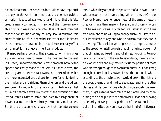national character. The American institutions have imprinted strongly on the American mind that any one man (with a white skin) is as good as any other; and it is felt that this false creed is nearly connected with some of the more unfavorable points in American character. It is not small mischief that the constitution of any country should sanction this creed; for the belief in it, whether express or tacit, is almost as detrimental to moral and intellectual excellence any effect which most forms of government can produce.

It may, perhaps, be said, that a constitution which gives equal influence, man for man, to the most and to the least instructed, is nevertheless conducive to progress, because the appeals constantly made to the less instructed classes, the exercise given to their mental powers, and the exertions which the more instructed are obliged to make for enlightening their judgment and ridding them of errors and prejudices, are powerful stimulants to their advance in intelligence. That this most desirable effect really attends the admission of the less educated classes to some, and even to a large share of power, I admit, and have already strenuously maintained. But theory and experience alike prove that a counter current sets in when they are made the possessors of all power. Those who are supreme over every thing, whether they be One, or Few, or Many, have no longer need of the arms of reason; they can make their mere will prevail; and those who can not be resisted are usually far too well satisfied with their own opinions to be willing to change them, or listen without impatience to any one who tells them that they are in the wrong. The position which gives the strongest stimulus to the growth of intelligence is that of rising into power, not that of having achieved it; and of all resting-points, temporary or permanent, in the way to ascendancy, the one which develops the best and highest qualities is the position of those who are strong enough to make reason prevail, but not strong enough to prevail against reason. This is the position in which, according to the principles we have laid down, the rich and the poor, the much and the little educated, and all the other classes and denominations which divide society between them, ought as far as practicable to be placed; and by combining this principle with the otherwise just one of allowing superiority of weight to superiority of mental qualities, a political constitution would realize that kind of relative per-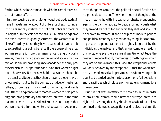fection which is alone compatible with the complicated nature of human affairs.

In the preceding argument for universal but graduated suffrage, I have taken no account of difference of sex. I consider it to be as entirely irrelevant to political rights as difference in height or in the color of the hair. All human beings have the same interest in good government; the welfare of all is alike affected by it, and they have equal need of a voice in it to secure their share of its benefits. If there be any difference, women require it more than men, since, being physically weaker, they are more dependent on law and society for protection. Mankind have long since abandoned the only premises which will support the conclusion that women ought not to have votes. No one now holds that women should be in personal servitude; that they should have no thought, wish, or occupation but to be the domestic drudges of husbands, fathers, or brothers. It is allowed to unmarried, and wants but little of being conceded to married women to hold property, and have pecuniary and business interests in the same manner as men. It is considered suitable and proper that women should think, and write, and be teachers. As soon as

these things are admitted, the political disqualification has no principle to rest on. The whole mode of thought of the modern world is, with increasing emphasis, pronouncing against the claim of society to decide for individuals what they are and are not fit for, and what they shall and shall not be allowed to attempt. If the principles of modern politics and political economy are good for any thing, it is for proving that these points can only be rightly judged of by the individuals themselves; and that, under complete freedom of choice, wherever there are real diversities of aptitude, the greater number will apply themselves to the things for which they are on the average fittest, and the exceptional course will only be taken by the exceptions. Either the whole tendency of modern social improvements has been wrong, or it ought to be carried out to the total abolition of all exclusions and disabilities which close any honest employment to a human being.

But it is not even necessary to maintain so much in order to prove that women should have the suffrage. Were it as right as it is wrong that they should be a subordinate class, confined to domestic occupations and subject to domestic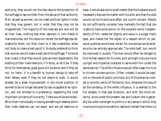authority, they would not the less require the protection of the suffrage to secure them from the abuse of that authority. Men, as well as women, do not need political rights in order that they may govern, but in order that they may not be misgoverned. The majority of the male sex are, and will be all their lives, nothing else than laborers in corn-fields or manufactories; but this does not render the suffrage less desirable for them, nor their claim to it less irresistible, when not likely to make a bad use of it. Nobody pretends to think that woman would make a bad use of the suffrage. The worst that is said is that they would vote as mere dependents, the bidding of their male relations. If it be so, so let it be. If they think for themselves, great good will be done; and if they do not, no harm. It is a benefit to human beings to take off their fetters, even if they do not desire to walk. It would already be a great improvement in the moral position of women to be no longer declared by law incapable of an opinion, and not entitled to a preference, respecting the most important concerns of humanity. There would be some benefit to them individually in having something to bestow which their male relatives can not exact, and are yet desirous to

have. It would also be no small matter that the husband would necessarily discuss the matter with his wife, and that the vote would not be his exclusive affair, but a joint concern. People do not sufficiently consider how markedly the fact that she is able to have some action on the outward world independently of him, raises her dignity and value in a vulgar man's eyes, and makes her the object of a respect which no personal qualities would ever obtain for one whose social existence he can entirely appropriate. The vote itself, too, would be improved in quality. The man would often be obliged to find honest reasons for his vote, such as might induce a more upright and impartial character to serve with him under the same banner. The wife's influence would often keep him true to his own sincere opinion. Often, indeed, it would be used, not on the side of public principle, but of the personal interest or worldly vanity of the family. But, wherever this would be the tendency of the wife's influence, it is exerted to the full already in that bad direction, and with the more certainty, since under the present law and custom she is generally too utter a stranger to politics in any sense in which they involve principle to be able to realize to herself that there is a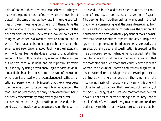point of honor in them; and most people have as little sympathy in the point of honor of others, when their own is not placed in the same thing, as they have in the religious feelings of those whose religion differs from theirs. Give the woman a vote, and she comes under the operation of the political point of honor. She learns to look on politics as a thing on which she is allowed to have an opinion, and in which, if one has an opinion, it ought to be acted upon; she acquires a sense of personal accountability in the matter, and will no longer feel, as she does at present, that whatever amount of bad influence she may exercise, if the man can but be persuaded, all is right, and his responsibility covers all. It is only by being herself encouraged to form an opinion, and obtain an intelligent comprehension of the reasons which ought to prevail with the conscience against the temptations of personal or family interest, that she can ever cease to act as a disturbing force on the political conscience of the man. Her indirect agency can only be prevented from being politically mischievous by being exchanged for direct.

I have supposed the right of suffrage to depend, as in a good state of things it would, on personal conditions. Where

it depends, as in this and most other countries, on conditions of property, the contradiction is even more flagrant. There something more than ordinarily irrational in the fact that when a woman can give all the guarantees required from a male elector, independent circumstances, the position of a householder and head of a family, payment of taxes, or whatever may be the conditions imposed, the very principle and system of a representation based on property is set aside, and an exceptionally personal disqualification is created for the mere purpose of excluding her. When it is added that in the country where this is done a woman now reigns, and that the most glorious ruler whom that country ever had was a woman, the picture of unreason and scarcely disguised injustice is complete. Let us hope that as the work proceeds of pulling down, one after another, the remains of the mouldering fabric of monopoly and tyranny, this one will not be the last to disappear; that the opinion of Bentham, of Mr. Samuel Bailey, of Mr. Hare, and many other of the most powerful political thinkers of this age and country (not to speak of others), will make its way to all minds not rendered obdurate by selfishness or inveterate prejudice; and that, be-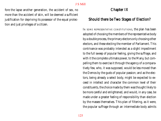fore the lapse another generation, the accident of sex, no more than the accident of skin, will be deemed a sufficient justification for depriving its possessor of the equal protection and just privileges of a citizen.

# Chapter IX

# Should there be Two Stages of Election?

IN SOME REPRESENTATIVE CONSTITUTIONS, the plan has been adopted of choosing the members of the representative body by a double process, the primary electors only choosing other electors, and these electing the member of Parliament. This contrivance was probably intended as a slight impediment to the full sweep of popular feeling, giving the suffrage, and with it the complete ultimate power, to the Many, but compelling them to exercise it through the agency of a comparatively few, who, it was supposed, would be less moved than the Demos by the gusts of popular passion; and as the electors, being already a select body, might be expected to exceed in intellect and character the common level of their constituents, the choice made by them was thought likely to be more careful and enlightened, and would, in any case, be made under a greater feeling of responsibility than election by the masses themselves. This plan of filtering, as it were, the popular suffrage through an intermediate body admits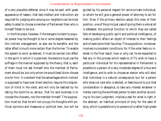of a very plausible defense; since it may be said, with great appearance of reason, that less intellect and instruction are required for judging who among our neighbors can be most safely trusted to choose a member of Parliament than who is himself fittest to be one.

In the first place, however, if the dangers incident to popular power may be thought to be in some degree lessened by this indirect management, so also are its benefits; and the latter effect is much more certain than the former. To enable the system to work as desired, it must be carried into effect in the spirit in which it is planned; the electors must use the suffrage in the manner supposed by the theory, that is, each of them must not ask himself who the member of Parliament should be, but only whom he would best like to choose one for him. It is evident that the advantages which indirect is supposed to have over direct election require this disposition of mind in the voter, and will only be realized by his taking the doctrine *au serieux*, that his sole business is to choose the choosers, not the member himself. The supposition must be, that he will not occupy his thoughts with political opinions and measures or political men, but will be

guided by his personal respect for some private individual, to whom he will give a general power of attorney to act for him. Now if the primary electors adopt this view of their position, one of the principal uses of giving them a vote at all is defeated; the political function to which they are called fails of developing public spirit and political intelligence, of making public affairs an object of interest to their feelings and of exercise to their faculties. The supposition, moreover, involves inconsistent conditions; for if the voter feels no interest in the final result, how or why can he be expected to feel any in the process which leads to it? To wish to have a particular individual for his representative in Parliament is possible to a person of a very moderate degree of virtue and intelligence, and to wish to choose an elector who will elect that individual is a natural consequence; but for a person who does not care who is elected, or feels bound to put that consideration in abeyance, to take any interest whatever in merely naming the worthiest person to elect another according to his own judgment, implies a zeal for what is right in the abstract, an habitual principle of duty for the sake of duty, which is possible only to persons of a rather high grade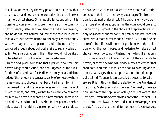of cultivation, who, by the very possession of it, show that they may be, and deserve to be, trusted with political power in a more direct shape. Of all public functions which it is possible to confer on the poorer members of the community, this surely is the least calculated to kindle their feelings, and holds out least natural inducement to care for it, other than a virtuous determination to discharge conscientiously whatever duty one has to perform; and if the mass of electors cared enough about political affairs to set any value on so limited a participation in them, they would not be likely to be satisfied without one much more extensive.

In the next place, admitting that a person who, from his narrow range of cultivation, can not judge well of the qualifications of a candidate for Parliament, may be a sufficient judge of the honesty and general capacity of somebody whom he may depute to choose a member of Parliament for him, I may remark, that if the voter acquiesces in this estimate of his capabilities, and really wishes to have the choice made for him by a person in whom he places reliance, there is no need of any constitutional provision for the purpose; he has only to ask this confidential person privately what candidate

he had better vote for. In that case the two modes of election coincide in their result, and every advantage of indirect election is obtained under direct. The systems only diverge in their operation if we suppose that the voter would prefer to use his own judgment in the choice of a representative, and only lets another choose for him because the law does not allow him a more direct mode of action. But if this be his state of mind; if his will does not go along with the limitation which the law imposes, and he desires to make a direct choice, he can do so notwithstanding the law. He has only to choose as elector a known partisan of the candidate he prefers, or some one who will pledge himself to vote for that candidate. And this is so much the natural working of election by two stages, that, except in a condition of complete political indifference, it can scarcely be expected to act otherwise. It is in this way that the election of the President of the United States practically operates. Nominally, the election is indirect; the population at large does not vote for the President; it votes for electors who choose the President. But the electors are always chosen under an express engagement to vote for a particular candidate; nor does a citizen ever vote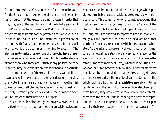for an elector because of any preference for the man; he votes for the Breckinridge ticket or the Lincoln ticket. It must be remembered that the electors are not chosen in order that they may search the country and find the fittest person in it to be President or to be a member of Parliament. There would be something to be said for the practice if this were so; but it is not so, nor ever will be, until mankind in general are of opinion, with Plato, that the proper person to be intrusted with power is the person most unwilling to accept it. The electors are to make choice of one of those who have offered themselves as candidates, and those who choose the electors already know who these are. If there is any political activity in the country, all electors who care to vote at all have made up their minds which of these candidates they would like to have, and will make that the sole consideration in giving their vote. The partisans of each candidate will have their list of electors ready, all pledged to vote for that individual; and the only question practically asked of the primary elector will be, which of these lists he will support.

The case in which election by two stages answers well in practice is when the electors are not chosen solely as electors,

but have other important functions to discharge, which precludes their being selected solely as delegates to give a particular vote. This combination of circumstances exemplifies itself in another American institution, the Senate of the United States. That assembly, the Upper House, as it were, of Congress, is considered to represent not the people directly, but the States as such, and to be the guardian of that portion of their sovereign rights which they have not alienated. As the internal sovereignty of each state is, by the nature of an equal federation, equally sacred whatever be the size or importance of the state, each returns to the Senate the same number of members (two), whether it be little Delaware or the "Empire State" of New York. These members are not chosen by the population, but by the State Legislatures, themselves elected by the people of each state; but as the whole ordinary business of a legislative assembly, internal legislation and the control of the executive, devolves upon these bodies, they are elected with a view to those objects more than to the other; and in naming two persons to represent the state in the federal Senate they for the most part exercise their own judgment, with only that general refer-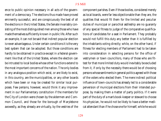ence to public opinion necessary in all acts of the government of a democracy. The elections thus made have proved eminently successful, and are conspicuously the best of all the elections in the United States, the Senate invariably consisting of the most distinguished men among those who have made themselves sufficiently known in public life. After such an example, it can not be said that indirect popular election is never advantageous. Under certain conditions it is the very best system that can be adopted. But those conditions are hardly to be obtained in practice except in a federal government like that of the United States, where the election can be intrusted to local bodies whose other functions extend to the most important concerns of the nation. The only bodies in any analogous position which exist, or are likely to exist, in this country, are the municipalities, or any other boards which have been or may be created for similar local purposes. Few persons, however, would think it any improvement in our Parliamentary constitution if the members for the City of London were chosen by the aldermen and Common Council, and those for the borough of Marylebone avowedly, as they already are virtually, by the vestries of the

component parishes. Even if those bodies, considered merely as local boards, were far less objectionable than they are, the qualities that would fit them for the limited and peculiar duties of municipal or parochial ædileship are no guaranty of any special fitness to judge of the comparative qualifications of candidates for a seat in Parliament. They probably would not fulfill this duty any better than it is fulfilled by the inhabitants voting directly; while, on the other hand, if fitness for electing members of Parliament had to be taken into consideration in selecting persons for the office of vestrymen or town councillors, many of those who are fittest for that more limited duty would inevitably be excluded from it, if only by the necessity there would be of choosing persons whose sentiments in general politics agreed with those of the voters who elected them. The mere indirect political influence of town-councils has already led to a considerable perversion of municipal elections from their intended purpose, by making them a matter of party politics. If it were part of the duty of a man's book-keeper or steward to choose his physician, he would not be likely to have a better medical attendant than if he chose one for himself, while he would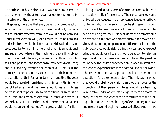be restricted in his choice of a steward or book-keeper to such as might, without too great danger to his health, be intrusted with the other office.

It appears, therefore, that every benefit of indirect election which is attainable at all is attainable under direct; that such of the benefits expected from it as would not be obtained under direct election will just as much fail to be obtained under indirect; while the latter has considerable disadvantages peculiar to itself. The mere fact that it is an additional and superfluous wheel in the machinery is no trifling objection. Its decided inferiority as a means of cultivating public spirit and political intelligence has already been dwelt upon; and if it had any effective operation at all—that is, if the primary electors did to any extent leave to their nominees the selection of their Parliamentary representative, the voter would be prevented from identifying himself with his member of Parliament, and the member would feel a much less active sense of responsibility to his constituents. In addition to all this, the comparatively small number of persons in whose hands, at last, the election of a member of Parliament would reside, could not but afford great additional facilities

to intrigue, and to every form of corruption compatible with the station in life of the electors. The constituencies would universally be reduced, in point of conveniences for bribery, to the condition of the small boroughs at present. It would be sufficient to gain over a small number of persons to be certain of being returned. If it be said that the electors would be responsible to those who elected them, the answer is obvious, that, holding no permanent office or position in the public eye, they would risk nothing by a corrupt vote except what they would care little for, not to be appointed electors again: and the main reliance must still be on the penalties for bribery, the insufficiency of which reliance, in small constituencies, experience has made notorious to all the world. The evil would be exactly proportional to the amount of discretion left to the chosen electors. The only case in which they would probably be afraid to employ their vote for the promotion of their personal interest would be when they were elected under an express pledge, as mere delegates, to carry, as it were, the votes of their constituents to the hustings. The moment the double stage of election began to have any effect, it would begin to have a bad effect. And this we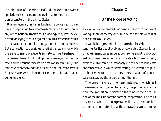shall find true of the principle of indirect election however applied, except in circumstances similar to those of the election of senators in the United States.

It is unnecessary, as far as England is concerned, to say more in opposition to a scheme which has no foundation in any of the national traditions. An apology may even be expected for saying so much against a political expedient which perhaps could not, in this country, muster a single adherent. But a conception so plausible at the first glance, and for which there are so many precedents in history, might perhaps, in the general chaos of political opinions, rise again to the surface, and be brought forward on occasions when it might be seductive to some minds; and it could not, therefore, even if English readers were alone to be considered, be passed altogether in silence.

# Chapter X

# Of the Mode of Voting

THE QUESTION of greatest moment in regard to modes of voting is that of secrecy or publicity, and to this we will at once address ourselves.

It would be a great mistake to make the discussion turn on sentimentalities about skulking or cowardice. Secrecy is justifiable in many cases, imperative in some, and it is not cowardice to seek protection against evils which are honestly avoidable. Nor can it be reasonably maintained that no cases are conceivable in which secret voting is preferable to public; but I must contend that these cases, in affairs of a political character, are the exception, not the rule.

The present is one of the many instances in which, as I have already had occasion to remark, the *spirit* of an institution, the impression it makes on the mind of the citizen, is one of the most important parts of its operation. The spirit of vote by ballot—the interpretation likely to be put on it in the mind of an elector, is that the suffrage is given to him for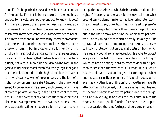himself—for his particular use and benefit, and not as a trust for the public. For if it is indeed a trust, if the public are entitled to his vote, are not they entitled to know his vote? This false and pernicious impression may well be made on the generality, since it has been made on most of those who of late years have been conspicuous advocates of the ballot. The doctrine was not so understood by its earlier promoters; but the effect of a doctrine on the mind is best shown, not in those who form it, but in those who are formed by it. Mr. Bright and his school of democrats think themselves greatly concerned in maintaining that the franchise is what they term a right, not a trust. Now this one idea, taking root in the general mind, does a moral mischief outweighing all the good that the ballot could do, at the highest possible estimate of it. In whatever way we define or understand the idea of a right, no person can have a right (except in the purely legal sense) to power over others: every such power, which he is allowed to possess is morally, in the fullest force of the term, a trust. But the exercise of any political function, either as an elector or as a representative, is power over others. Those who say that the suffrage is not a trust, but a right, will scarcely

accept the conclusions to which their doctrine leads. If it is a right, if it belongs to the voter for his own sake, on what ground can we blame him for selling it, or using it to recommend himself to any one whom it is his interest to please? A person is not expected to consult exclusively the public benefit in the use he makes of his house, or his three per cent. stock, or any thing else to which he really has a right. The suffrage is indeed due to him, among other reasons, as a means to his own protection, but only against treatment from which he is equally bound, so far as depends on his vote, to protect every one of his fellow-citizens. His vote is not a thing in which he has an option; it has no more to do with his personal wishes than the verdict of a juryman. It is strictly a matter of duty; he is bound to give it according to his best and most conscientious opinion of the public good. Whoever has any other idea of it is unfit to have the suffrage; its effect on him is to pervert, not to elevate his mind. Instead of opening his heart to an exalted patriotism and the obligation of public duty, it awakens and nourishes in him the disposition to use a public function for his own interest, pleasure, or caprice; the same feelings and purposes, on a hum-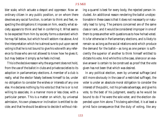bler scale, which actuate a despot and oppressor. Now an ordinary citizen in any public position, or on whom there devolves any social function, is certain to think and feel, respecting the obligations it imposes on him, exactly what society appears to think and feel in conferring it. What seems to be expected from him by society forms a standard which he may fall below, but which he will seldom rise above. And the interpretation which he is almost sure to put upon secret voting is that he is not bound to give his vote with any reference to those who are not allowed to know how he gives it; but may bestow it simply as he feels inclined.

This is the decisive reason why the argument does not hold, from the use of the ballot in clubs and private societies to its adoption in parliamentary elections. A member of a club is really, what the elector falsely believes himself to be, under no obligation to consider the wishes or interests of any one else. He declares nothing by his vote but that he is or is not willing to associate, in a manner more or less close, with a particular person. This is a matter on which, by universal admission, his own pleasure or inclination is entitled to decide; and that he should be able so to decide it without risking a quarrel is best for every body, the rejected person included. An additional reason rendering the ballot unobjectionable in these cases is that it does not necessarily or naturally lead to lying. The persons concerned are of the same class or rank, and it would be considered improper in one of them to press another with questions as to how he had voted. It is far otherwise in Parliamentary elections, and is likely to remain so as long as the social relations exist which produce the demand for the ballot—as long as one person is sufficiently the superior of another to think himself entitled to dictate his vote. And while this is the case, silence or an evasive answer is certain to be construed as proof that the vote given has not been that which was desired.

In any political election, even by universal suffrage (and still more obviously in the case of a restricted suffrage), the voter is under an absolute moral obligation to consider the interest of the public, not his private advantage, and give his vote, to the best of his judgment, exactly as he would be bound to do if he were the sole voter, and the election depended upon him alone. This being admitted, it is at least a *primâ facie* consequence that the duty of voting, like any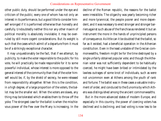other public duty, should be performed under the eye and criticism of the public; every one of whom has not only an interest in its performance, but a good title to consider himself wronged if it is performed otherwise than honestly and carefully. Undoubtedly neither this nor any other maxim of political morality is absolutely inviolable; it may be overruled by still more cogent considerations. But its weight is such that the cases which admit of a departure from it must be of a strikingly exceptional character.

It may unquestionably be the fact, that if we attempt, by publicity, to make the voter responsible to the public for his vote, he will practically be made responsible for it to some powerful individual, whose interest is more opposed to the general interest of the community than that of the voter himself would be, if, by the shield of secrecy, he were released from responsibility altogether. When this is the condition, in a high degree, of a large proportion of the voters, the ballot may be the smaller evil. When the voters are slaves, any thing may be tolerated which enables them to throw off the yoke. The strongest case for the ballot is when the mischievous power of the Few over the Many is increasing. In the decline of the Roman republic, the reasons for the ballot were irresistible. The oligarchy was yearly becoming richer and more tyrannical, the people poorer and more dependent, and it was necessary to erect stronger and stronger barriers against such abuse of the franchise as rendered it but an instrument the more in the hands of unprincipled persons of consequence. As little can it be doubted that the ballot, so far as it existed, had a beneficial operation in the Athenian constitution. Even in the least unstable of the Grecian commonwealths, freedom might be for the time destroyed by a single unfairly obtained popular vote; and though the Athenian voter was not sufficiently dependent to be habitually coerced, he might have been bribed or intimidated by the lawless outrages of some knot of individuals, such as were not uncommon even at Athens among the youth of rank and fortune. The ballot was in these cases a valuable instrument of order, and conduced to the Eunomia by which Athens was distinguished among the ancient commonwealths.

But in the more advanced states of modern Europe, and especially in this country, the power of coercing voters has declined and is declining; and bad voting is now less to be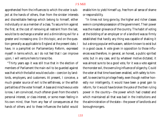apprehended from the influences to which the voter is subject at the hands of others, than from the sinister interests and discreditable feelings which belong to himself, either individually or as a member of a class. To secure him against the first, at the cost of removing all restraint from the last, would be to exchange a smaller and a diminishing evil for a greater and increasing one. On this topic, and on the question generally as applicable to England at the present date, I have, in a pamphlet on Parliamentary Reform, expressed myself in terms which, as I do not feel that I can improve upon, I will venture here to transcribe.

"Thirty years ago it was still true that in the election of members of Parliament the main evil to be guarded against was that which the ballot would exclude—coercion by landlords, employers, and customers. At present, I conceive, a much greater source of evil is the selfishness, or the selfish partialities of the voter himself. A base and mischievous vote is now, I am convinced, much oftener given from the voter's personal interest, or class interest, or some mean feeling in his own mind, than from any fear of consequences at the hands of others; and to these influences the ballot would

enable him to yield himself up, free from all sense of shame or responsibility.

"In times not long gone by, the higher and richer classes were in complete possession of the government. Their power was the master grievance of the country. The habit of voting at the bidding of an employer or of a landlord was so firmly established that hardly any thing was capable of shaking it but a strong popular enthusiasm, seldom known to exist but in a good cause. A vote given in opposition to those influences was therefore, in general, an honest, a public-spirited vote; but in any case, and by whatever motive dictated, it was almost sure to be a good vote, for it was a vote against the monster evil, the overruling influence of oligarchy. Could the voter at that time have been enabled, with safety to himself, to exercise his privilege freely, even though neither honestly nor intelligently, it would have been a great gain to reform, for it would have broken the yoke of the then ruling power in the country—the power which had created and which maintained all that was bad in the institutions and the administration of the state—the power of landlords and boroughmongers.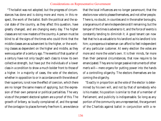"The ballot was not adopted; but the progress of circumstances has done and is doing more and more, in this respect, the work of the ballot. Both the political and the social state of the country, as they affect this question, have greatly changed, and are changing every day. The higher classes are not now masters of the country. A person must be blind to all the signs of the times who could think that the middle classes are as subservient to the higher, or the working classes as dependent on the higher and middle, as they were a quarter of a century ago. The events of that quarter of a century have not only taught each class to know its own collective strength, but have put the individuals of a lower class in a condition to show a much bolder front to those of a higher. In a majority of cases, the vote of the electors, whether in opposition to or in accordance with the wishes of their superiors, is not now the effect of coercion, which there are no longer the same means of applying, but the expression of their own personal or political partialities. The very vices of the present electoral system are a proof of this. The growth of bribery, so loudly complained of, and the spread of the contagion to places formerly free from it, are evidence

that the local influences are no longer paramount; that the electors now vote to please themselves, and not other people. There is, no doubt, in counties and in the smaller boroughs, a large amount of servile dependence still remaining; but the temper of the times is adverse to it, and the force of events is constantly tending to diminish it. A good tenant can now feel that he is as valuable to his landlord as his landlord is to him; a prosperous tradesman can afford to feel independent of any particular customer. At every election the votes are more and more the voter's own. It is their minds, far more than their personal circumstances, that now require to be emancipated. They are no longer passive instruments of other men's will—mere organs for putting power into the hands of a controlling oligarchy. The electors themselves are becoming the oligarchy.

"Exactly in proportion as the vote of the elector is determined by his own will, and not by that of somebody who is his master, his position is similar to that of a member of Parliament, and publicity is indispensable. So long as any portion of the community are unrepresented, the argument of the Chartists against ballot in conjunction with a re-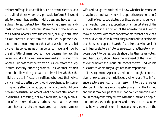stricted suffrage is unassailable. The present electors, and the bulk of those whom any probable Reform Bill would add to the number, are the middle class, and have as much a class interest, distinct from the working classes, as landlords or great manufacturers. Were the suffrage extended to all skilled laborers, even these would, or might, still have a class interest distinct from the unskilled. Suppose it extended to all men—suppose that what was formerly called by the misapplied name of universal suffrage, and now by the silly title of manhood suffrage, became the law; the voters would still have a class interest as distinguished from women. Suppose that there were a question before the Legislature specially affecting women—as whether women should be allowed to graduate at universities; whether the mild penalties inflicted on ruffians who beat their wives daily almost to death's door should be exchanged for something more effectual; or suppose that any one should propose in the British Parliament what one state after another in America is enacting, not by a mere law, but by a provision of their revised Constitutions; that married women should have a right to their own property—are not a man's wife and daughters entitled to know whether he votes for or against a candidate who will support these propositions?

"It will of course be objected that these arguments' derive all their weight from the supposition of an unjust state of the suffrage: that if the opinion of the non-electors is likely to make the elector vote more honestly or more beneficially than he would vote if left to himself, they are more fit to be electors than he is, and ought to have the franchise; that whoever is fit to influence electors is fit to be an elector; that those to whom voters ought to be responsible should be themselves voters, and, being such, should have the safeguard of the ballot, to shield them from the undue influence of powerful individuals or classes to whom they ought not to be responsible.

"This argument is specious, and I once thought it conclusive. It now appears to me fallacious. All who are fit to influence electors are not, for that reason, fit to be themselves electors. This last is a much greater power than the former, and those may be ripe for the minor political function who could not as yet be safely trusted with the superior. The opinions and wishes of the poorest and rudest class of laborers may be very useful as one influence among others on the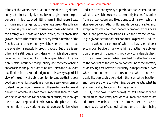minds of the voters, as well as on those of the Legislature, and yet it might be highly mischievous to give them the preponderant influence, by admitting them, in their present state of morals and intelligence, to the full exercise of the suffrage. It is precisely this indirect influence of those who have not the suffrage over those who have, which, by its progressive growth, softens the transition to every fresh extension of the franchise, and is the means by which, when the time is ripe, the extension is peacefully brought about. But there is another and a still deeper consideration, which should never be left out of the account in political speculations. The notion is itself unfounded that publicity, and the sense of being answerable to the public, are of no use unless the public are qualified to form a sound judgment. It is a very superficial view of the utility of public opinion to suppose that it does good only when it succeeds in enforcing a servile conformity to itself. To be under the eyes of others—to have to defend oneself to others—is never more important than to those who act in opposition to the opinion of others, for it obliges them to have sure ground of their own. Nothing has so steadying an influence as working against pressure. Unless when under the temporary sway of passionate excitement, no one will do that which he expects to be greatly blamed for, unless from a preconceived and fixed purpose of his own, which is always evidence of a thoughtful and deliberate character, and, except in radically bad men, generally proceeds from sincere and strong personal convictions. Even the bare fact of having to give an account of their conduct is a powerful inducement to adhere to conduct of which at least some decent account can be given. If any one thinks that the mere obligation of preserving decency is not a very considerable check on the abuse of power, he has never had his attention called to the conduct of those who do not feel under the necessity of observing that restraint. Publicity is inappreciable, even when it does no more than prevent that which can by no possibility be plausibly defended—than compel deliberation, and force every one to determine, before he acts, what he shall say if called to account for his actions.

"But, if not now (it may be said), at least hereafter, when all are fit to have votes, and when all men and women are admitted to vote in virtue of their fitness, *then* there can no longer be danger of class legislation; then the electors, being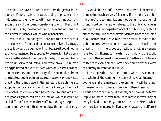the nation, can have no interest apart from the general interest: even if individuals still vote according to private or class inducements, the majority will have no such inducement; and as there will then be no non-electors to whom they ought to be responsible, the effect of the ballot, excluding none but the sinister influences, will be wholly beneficial.

"Even in this I do not agree. I can not think that even if the people were fit for, and had obtained universal suffrage, the ballot would be desirable. First, because it could not, in such circumstances, be supposed to be needful. Let us only conceive the state of things which the hypothesis implies: a people universally educated, and every grown-up human being possessed of a vote. If, even when only a small proportion are electors, and the majority of the population almost uneducated, public opinion is already, as every one now sees that it is, the ruling power in the last resort, it is a chimera to suppose that over a community who all read, and who all have votes, any power could be exercised by landlords and rich people against their own inclination, which it would be at all difficult for them to throw off. But, though the protection of secrecy would then be needless, the control of pub-

licity would be as needful as ever. The universal observation of mankind has been very fallacious, if the mere fact of being one of the community, and not being in a position of pronounced contrariety of interest to the public at large, is enough to insure the performance of a public duty, without either the stimulus or the restraint derived from the opinion of our fellow-creatures. A man's own particular share of the public interest, even though he may have no private interest drawing him in the opposite direction, is not, as a general rule, found sufficient to make him do his duty to the public without other external inducements. Neither can it be admitted that, even if all had votes, they would give their votes as honestly in secret as in public.

"The proposition that the electors, when they compose the whole of the community, can not have an interest in voting against the interest of the community, will be found, on examination, to have more sound than meaning in it. Though the community, as a whole, can have (as the terms imply) no other interest than its collective interest, any or every individual in it may. A man's interest consists of whatever he takes an interest *in*. Every body has as many different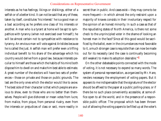interests as he has feelings; likings or dislikings, either of a selfish or of a better kind. It can not be said that any of these, taken by itself, constitutes 'his interest:' he is a good man or a bad according as he prefers one class of his interests or another. A man who is a tyrant at home will be apt to sympathize with tyranny (when not exercised over himself); he will be almost certain not to sympathize with resistance to tyranny. An envious man will vote against Aristides because he is called the Just. A selfish man will prefer even a trifling individual benefit to his share of the advantage which his country would derive from a good law, because interests peculiar to himself are those which the habits of his mind both dispose him to dwell on and make him best able to estimate. A great number of the electors will have two sets of preferences—those on private and those on public grounds. The last are the only ones which the elector would like to avow. The best side of their character is that which people are anxious to show, even to those who are no better than themselves. People will give dishonest or mean votes from lucre, from malice, from pique, from personal rivalry, even from the interests or prejudices of class or sect, more readily in

secret than in public. And cases exist—they may come to be more frequent—in which almost the only restraint upon a majority of knaves consists in their involuntary respect for the opinion of an honest minority. In such a case as that of the repudiating states of North America, is there not some check to the unprincipled voter in the shame of looking an honest man in the face? Since all this good would be sacrificed by the ballot, even in the circumstances most favorable to it, a much stronger case is requisite than can now be made out for its necessity (and the case is continually becoming still weaker) to make its adoption desirable."4

On the other debateable points connected with the mode of voting, it is not necessary to expend so many words. The system of personal representation, as organized by Mr. Hare, renders necessary the employment of voting papers. But it appears to me indispensable that the signature of the elector should be affixed to the paper at a public polling-place, or if there be no such place conveniently accessible, at some office open to all the world, and in the presence of a responsible public officer. The proposal which has been thrown out of allowing the voting papers to be filled up at the voter's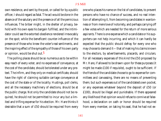own residence, and sent by the post, or called for by a public officer, I should regard as fatal. The act would be done in the absence of the salutary and the presence of all the pernicious influences. The briber might, in the shelter of privacy, behold with his own eyes his bargain fulfilled, and the intimidator could see the extorted obedience rendered irrevocably on the spot; while the beneficent counter-influence of the presence of those who knew the voter's real sentiments, and the inspiring effect of the sympathy of those of his own party or opinion, would be shut out.5

The polling places should be so numerous as to be within easy reach of every voter, and no expenses of conveyance, at the cost of the candidate, should be tolerated under any pretext. The infirm, and they only on medical certificate, should have the right of claiming suitable carriage conveyance at the cost of the state or of the locality. Hustings, poll clerks, and all the necessary machinery of elections, should be at the public charge. Not only the candidate should not be required, he should not be permitted to incur any but a limited and trifling expense for his election. Mr. Hare thinks it desirable that a sum of £50 should be required from every

one who places his name on the list of candidates, to prevent persons who have no chance of success, and no real intention of attempting it, from becoming candidates in wantonness or from mere love of notoriety, and perhaps carrying off a few votes which are needed for the return of more serious aspirants. There is one expense which a candidate or his supporters can not help incurring, and which it can hardly be expected that the public should defray for every one who may choose to demand it—that of making his claims known to the electors, by advertisements, placards, and circulars. For all necessary expenses of this kind the £50 proposed by Mr. Hare, if allowed to be drawn upon for these purposes (it might be made £100 if requisite), ought to be sufficient. If the friends of the candidate choose to go to expense for committees and canvassing, there are no means of preventing them; but such expenses out of the candidates's own pocket, or any expenses whatever beyond the deposit of £50 (or £100), should be illegal and punishable. If there appeared any likelihood that opinion would refuse to connive at falsehood, a declaration on oath or honor should be required from every member, on taking his seat, that he had not ex-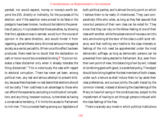pended, nor would expend, money or money's worth beyond the £50, directly or indirectly, for the purposes of his election; and if the assertion were proved to be false or the pledge to have been broken, he should be liable to the penalties of perjury. It is probable that those penalties, by showing that the Legislature was in earnest, would turn the course of opinion in the same direction, and would hinder it from regarding, as has hitherto done, this most serious crime against society as a venial peccadillo. When once this effect has been produced, there need be no doubt that the declaration on oath or honor would be considered binding.<sup>6</sup> "Opinion tolerates a false disclaimer only when it already tolerates the thing disclaimed." This is notoriously the case with regard to electoral corruption. There has never yet been, among political men, any real and serious attempt to prevent bribery, because there has been no real desire that elections should not be costly. Their costliness is an advantage to those who can afford the expense by excluding a multitude of competitors; and any thing, however noxious, is cherished as having a conservative tendency, if it limits the access to Parliament to rich men. This is a rooted feeling among our legislators of

both political parties, and is almost the only point on which I believe them to be really ill-intentioned. They care comparatively little who votes, as long as they feel assured that none but persons of their own class can be voted for. They know that they can rely on the fellow-feeling of one of their class with another, while the subservience of *nouveaux enrichis* who are knocking at the door of the class is a still surer reliance; and that nothing very hostile to the class interests or feelings of the rich need be apprehended under the most democratic suffrage, as long as democratic persons can be prevented from being elected to Parliament. But, even from their own point of view, this balancing of evil by evil, instead of combining good with good, is a wretched policy. The object should be to bring together the best members of both classes, under such a tenure as shall induce them to lay aside their class preferences, and pursue jointly the path traced by the common interest, instead of allowing the class feelings of the Many to have full swing in the constituencies, subject to the impediment of having to act through persons imbued with the class feelings of the Few.

There is scarcely any mode in which political institutions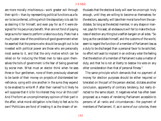are more morally mischievous—work greater evil through their spirit—than by representing political functions as a favor to be conferred, a thing which the depositary is to ask for as desiring it for himself, and even pay for as if it were designed for his pecuniary benefit. Men are not fond of paying large sums for leave to perform a laborious duty. Plato had a much juster view of the conditions of good government when he asserted that the persons who should be sought out to be invested with political power are those who are personally most averse to it, and that the only motive which can be relied on for inducing the fittest men to take upon themselves the toils of government is the fear of being governed by worse men. What must an elector think when he sees three or four gentlemen, none of them previously observed to be lavish of their money on projects of disinterested beneficence, vying with one another in the sums they expend to be enabled to write M.P. after their names? Is it likely he will suppose that it is for *his* interest they incur all this cost? And if he form an uncomplimentary opinion of their part in the affair, what moral obligation is he likely to feel as to his own? Politicians are fond of treating it as the dream of enthusiasts that the electoral body will ever be uncorrupt: truly enough, until they are willing to become so themselves; for the electors, assuredly, will take their moral tone from the candidates. So long as the elected member, in any shape or manner, pays for his seat, all endeavours will fail to make the business of election any thing but a selfish bargain on all sides. "So long as the candidate himself, and the customs of the world, seem to regard the function of a member of Parliament less as a duty to be discharged than a personal favor to be solicited, no effort will avail to implant in an ordinary voter the feeling that the election of a member of Parliament is also a matter of duty, and that he is not at liberty to bestow his vote on any other consideration than that of personal fitness."

The same principle which demands that no payment of money for election purposes should be either required or tolerated on the part of the person elected, dictates another conclusion, apparently of contrary tendency, but really directed to the same object. It negatives what has often been proposed as a means of rendering Parliament accessible to persons of all ranks and circumstances—the payment of members of Parliament. If, as in some of our colonies, there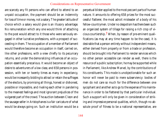are scarcely any fit persons who can afford to attend to an unpaid occupation, the payment should be an indemnity for loss of time or money, not a salary. The greater latitude of choice which a salary would give is an illusory advantage. No remuneration which any one would think of attaching to the post would attract to it those who were seriously engaged in other lucrative professions, with a prospect of succeeding in them. The occupation of a member of Parliament would therefore become an occupation in itself, carried on, like other professions, with a view chiefly to its pecuniary returns, and under the demoralizing influences of an occupation essentially precarious. It would become an object of desire to adventurers of a low class; and 658 persons in possession, with ten or twenty times as many in expectancy, would be incessantly bidding to attract or retain the suffrages of the electors, by promising all things, honest or dishonest, possible or impossible, and rivaling each other in pandering to the meanest feelings and most ignorant prejudices of the vulgarest part of the crowd. The auction between Cleon and the sausage-seller in Aristophanes is a fair caricature of what would be always going on. Such an institution would be a

perpetual blister applied to the most peccant parts of human nature. It amounts to offering 658 prizes for the most successful flatterer, the most adroit misleader of a body of his fellow-countrymen. Under no despotism has there been such an organized system of tillage for raising a rich crop of vicious courtiership.7 When, by reason of pre-eminent qualifications (as may at any time happen to be the case), it is desirable that a person entirely without independent means, either derived from property or from a trade or profession, should be brought into Parliament to render services which no other person accessible can render as well, there is the resource of a public subscription; he may be supported while in Parliament, like Andrew Marvel, by the contributions of his constituents. This mode is unobjectionable for such an honor will never be paid to mere subserviency: bodies of men do not care so much for the difference between one sycophant and another as to go to the expense of his maintenance in order to be flattered by that particular individual. Such a support will only be given in consideration of striking and impressive personal qualities, which, though no absolute proof of fitness to be a national representative, are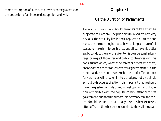some presumption of it, and, at all events, some guaranty for the possession of an independent opinion and will.

# Chapter XI

# Of the Duration of Parliaments

AFTER HOW LONG <sup>A</sup> TERM should members of Parliament be subject to re-election? The principles involved are here very obvious; the difficulty lies in their application. On the one hand, the member ought not to have so long a tenure of hi seat as to make him forget his responsibility, take his duties easily, conduct them with a view to his own personal advantage, or neglect those free and public conferences with his constituents which, whether he agrees or differs with them, are one of the benefits of representative government. On the other hand, he should have such a term of office to look forward to as will enable him to be judged, not by a single act, but by his course of action. It is important that he should have the greatest latitude of individual opinion and discretion compatible with the popular control essential to free government; and for this purpose it is necessary that the control should be exercised, as in any case it is best exercised, after sufficient time has been given him to show all the quali-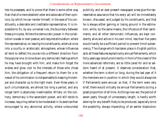ties he possesses, and to prove that there is some other way than that of a mere obedient voter and advocate of their opinions, by which he can render himself, in the eyes of his constituents, a desirable and creditable representative. It is impossible to fix, by any universal rule, the boundary between these principles. Where the democratic power in the constitution is weak or over-passive, and requires stimulation; where the representative, on leaving his constituents, enters at once into a courtly or aristocratic atmosphere, whose influences all tend to deflect his course into a different direction from the popular one, to tone down any democratic feelings which he may have brought with him, and make him forget the wishes and grow cool to the interests of those who chose him, the obligation of a frequent return to them for a renewal of his commission is indispensable to keeping his temper and character up to the right mark. Even three years, in such circumstances, are almost too long a period, and any longer term is absolutely inadmissible. Where, on the contrary, democracy is the ascendant power, and still tends to increase, requiring rather to be moderated in its exercise than encouraged to any abnormal activity; where unbounded

publicity, and an ever-present newspaper press give the representative assurance that his every act will be immediately known, discussed, and judged by his constituents, and that he is always either gaining or losing ground in the estimation, while, by the same means, the influence of their sentiments, and all other democratic influences, are kept constantly alive and active in his own mind, less than five years would hardly be a sufficient period to prevent timid subserviency. The change which has taken place in English politics as to all these features explains why annual Parliaments, which forty years ago stood prominently in front of the creed of the more advanced reformers, are so little cared for and so seldom heard of at present. It deserves consideration that, whether the term is short or long, during the last year of it the members are in position in which they would always be if Parliaments were annual; so that, if the term were very brief, there would virtually be annual Parliaments during a great proportion of all time. As things now are, the period of seven years, though of unnecessary length, is hardly worth altering for any benefit likely to be produced, especially since the possibility, always impending, of an earlier dissolution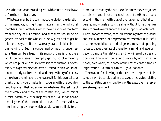keeps the motives for standing well with constituents always before the member's eyes.

Whatever may be the term most eligible for the duration of the mandate, it might seem natural that the individual member should vacate his seat at the expiration of that term from the day of his election, and that there should be no general renewal of the whole House. A great deal might be said for this system if there were any practical object in recommending it. But it is condemned by much stronger reasons than can be alleged in its support. One is, that there would be no means of promptly getting rid of a majority which had pursued a course offensive to the nation. The certainty of a general election after a limited, which would often be a nearly expired period, and the possibility of it at any time when the minister either desires it for his own sake, or thinks that it would make him popular with the country, tend to prevent that wide divergence between the feelings of the assembly and those of the constituency, which might subsist indefinitely if the majority of the House had always several years of their term still to run—if it received new infusions drop by drop, which would be more likely to assume than to modify the qualities of the mass they were joined to. It is as essential that the general sense of the House should accord in the main with that of the nation as is that distinguished individuals should be able, without forfeiting their seats, to give free utterance to the most unpopular sentiments. There is another reason, of much weight, against the gradual and partial renewal of a representative assembly. It is useful that there should be a periodical general muster of opposing forces to gauge the state of the national mind, and ascertain, beyond dispute, the relative strength of different parties and opinions. This is not done conclusively by any partial renewal, even where, as in some of the French constitutions, a large fraction—a fifth or a third—go out at once.

The reasons for allowing to the executive the power of dissolution will be considered in a subsequent chapter, relating to the constitution and functions of the executive in a representative government.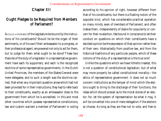# Chapter XII

# Ought Pledges to be Required from Members of Parliament?

SHOULD <sup>A</sup> MEMBER of the legislature be bound by the instructions of his constituents? Should he be the organ of their sentiments, or of his own? their ambassador to a congress, or their professional agent, empowered not only to act for them, but to judge for them what ought to be done? These two theories of the duty of a legislator in a representative government have each its supporters, and each is the recognized doctrine of some representative governments. In the Dutch United Provinces, the members of the States-General were mere delegates; and to such a length was the doctrine carried, that when any important question arose which had not been provided for in their instructions, they had to refer back to their constituents, exactly as an ambassador does to the government from which he is accredited. In this and most other countries which possess representative constitutions, law and custom warrant a member of Parliament in voting

according to his opinion of right, however different from that of his constituents; but there is a floating notion of the opposite kind, which has considerable practical operation on many minds, even of members of Parliament, and often makes them, independently of desire for popularity or concern for their re-election, feel bound in conscience to let their conduct on questions on which their constituents have a decided opinion be the expression of that opinion rather than of their own. Abstractedly from positive law, and from the historical traditions of any particular people, which of these notions of the duty of a representative is the true one?

Unlike the questions which we have hitherto treated, this is not a question of constitutional legislation, but of what may more properly be called constitutional morality—the ethics of representative government. It does not so much concern institutions as the temper of mind which the electors ought to bring to the discharge of their functions, the ideas which should prevail as to the moral duties of an elector; for, let the system of representation be what it may, it will be converted into one of mere delegation if the electors so choose. As long as they are free not to vote, and free to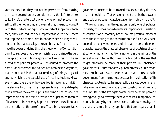vote as they like, they can not be prevented from making their vote depend on any condition they think fit to annex to it. By refusing to elect any one who will not pledge himself to all their opinions, and even, if they please, to consult with them before voting on any important subject not foreseen, they can reduce their representative to their mere mouthpiece, or compel him in honor, when no longer willing to act in that capacity, to resign his seat. And since they have the power of doing this, the theory of the Constitution ought to suppose that they will wish to do it, since the very principle of constitutional government requires it to be assumed that political power will be abused to promote the particular purposes of the holder; not because it always is so, but because such is the natural tendency of things, to guard against which is the especial use of free institutions. However wrong, therefore, or however foolish, we may think it in the electors to convert their representative into a delegate, that stretch of the electoral privilege being a natural and not improbable one, the same precautions ought to be taken as if it were certain. We may hope that the electors will not act on this notion of the use of the suffrage; but a representative government needs to be so framed that even if they do, they shall not be able to effect what ought not to be in the power of any body of persons—class legislation for their own benefit.

When it is said that the question is only one of political morality, this does not extenuate its importance. Questions of constitutional morality are of no less practical moment than those relating to the constitution itself. The very existence of some governments, and all that renders others endurable, rests on the practical observance of doctrines of constitutional morality; traditional notions in the minds of the several constituted authorities, which modify the use that might otherwise be made of their powers. In unbalanced governments—pure monarchy, pure aristocracy, pure democracy—such maxims are the only barrier which restrains the government from the utmost excesses in the direction of its characteristic tendency. In imperfectly balanced governments, where some attempt is made to set constitutional limits to the impulses of the strongest power, but where that power is strong enough to overstep them with at least temporary impunity, it is only by doctrines of constitutional morality, recognized and sustained by opinion, that any regard at all is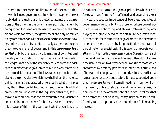preserved for the checks and limitations of the constitution. In well-balanced governments, in which the supreme power is divided, and each sharer is protected against the usurpations of the others in the only manner possible, namely, by being armed for defense with weapons as strong as the others can wield for attack, the government can only be carried on by forbearance on all sides to exercise those extreme powers, unless provoked by conduct equally extreme on the part of some other sharer of power; and in this case we may truly say that only by the regard paid to maxims of constitutional morality is the constitution kept in existence. The question of pledges is not one of those which vitally concern the existence of representative governments, but it is very material to their beneficial operation. The laws can not prescribe to the electors the principles by which they shall direct their choice, but it makes a great practical difference by what principles they think they ought to direct it; and the whole of that great question is involved in the inquiry whether they should make it a condition that the representative shall adhere to certain opinions laid down for him by his constituents.

No reader of this treatise can doubt what conclusion, as to

this matter, results from the general principles which it professes. We have from the first affirmed, and unveryingly kept in view, the coequal importance of two great requisites of government—responsibility to those for whose benefit political power ought to be, and always professes to be, employed; and jointly therewith, to obtain, in the greatest measure possible, for the function of government, the benefits of superior intellect, trained by long meditation and practical discipline to that special task. If this second purpose is worth attaining, it is worth the necessary price. Superior powers of mind and profound study are of no use, if they do not sometimes lead a person to different conclusions from those which are formed by ordinary powers of mind without study; and if it be an object to possess representatives in any intellectual respect superior to average electors, it must be counted upon that the representative will sometimes differ in opinion from the majority of his constituents, and that when he does, his opinion will be the oftenest right of the two. It follows that the electors will not do wisely if they insist on absolute conformity to their opinions as the condition of his retaining his seat.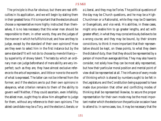The principle is thus far obvious; but there are real difficulties in its application, and we will begin by stating them in their greatest force. If it is important that the electors should choose a representative more highly instructed than themselves, it is no less necessary that this wiser man should be responsible to them; in other words, they are the judges of the manner in which he fulfils his trust; and how are they to judge, except by the standard of their own opinions? How are they even to select him in the first instance but by the same standard? It will not do to choose by mere brilliancy by superiority of showy talent. The tests by which an ordinary man can judge beforehand of mere ability are very imperfect; such as they are, they have almost exclusive reference to the arts of expression, and little or none to the worth of what is expressed. The latter can not be inferred from the former; and if the electors are to put their own opinions in abeyance, what criterion remains to them of the ability to govern well? Neither, if they could ascertain, even infallibly, the ablest man, ought they to allow him altogether to judge for them, without any reference to their own opinions. The ablest candidate may be a Tory, and the electors Liberals; or a Liberal, and they may be Tories. The political questions of the day may be Church questions, and he may be a High-Churchman or a Rationalist, while they may be Dissenters or Evangelicals, and *vice versâ*. His abilities, in these cases, might only enable him to go greater lengths, and act with greater effect, in what they may conscientiously believe to be a wrong course; and they may be bound, by their sincere convictions, to think it more important that their representative should be kept, on these points, to what they deem the dictate of duty, than that they should be represented by a person of more than average abilities. They may also have to consider, not solely how they can be most ably represented, but how their particular moral position and mental point of view shall be represented at all. The influence of every mode of thinking which is shared by numbers ought to be felt in the Legislature; and the Constitution being supposed to have made due provision that other and conflicting modes of thinking shall be represented likewise, to secure the proper representation for their own mode may be the most important matter which the electors on the particular occasion have to attend to. In some cases, too, it may be necessary that the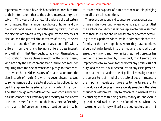representative should have his hands tied to keep him true to their interest, or rather to the public interest as they conceive it. This would not be needful under a political system which assured them an indefinite choice of honest and unprejudiced candidates; but under the existing system, in which the electors are almost always obliged, by the expenses of election and the general circumstances of society, to select their representative from persons of a station in life widely different from theirs, and having a different class interest, who will affirm that they ought to abandon themselves to his discretion? Can we blame an elector of the poorer classes, who has only the choice among two or three rich men, for requiring from the one he votes for a pledge to those measures which he considers as a test of emancipation from the class interests of the rich? It will, moreover, always happens to some members of the electoral body to be obliged to accept the representative selected by a majority of their own side. But, though a candidate of their own choosing would have no chance, their votes may be necessary to the success of the one chosen for them, and their only means of exerting their share of influence on his subsequent conduct may be

to make their support of him dependent on his pledging himself to certain conditions.

These considerations and counter-considerations are so intimately interwoven with one another; it is so important that the electors should choose as their representatives wiser men than themselves, and should consent to be governed according to that superior wisdom, while it is impossible that conformity to their own opinions, when they have opinions, should not enter largely into their judgment as to who possesses the wisdom, and how far its presumed possessor has verified the presumption by his conduct, that it seems quite impracticable to lay down for the elector any positive rule of duty; and the result will depend less on any exact prescription or authoritative doctrine of political morality than on the general tone of mind of the electoral body in respect to the important requisite of deference to mental superiority. Individuals and peoples who are acutely sensible of the value of superior wisdom are likely to recognize it, where it exists, by other signs than thinking exactly as they do, and even in spite of considerable differences of opinion; and when they have recognized it they will be far too desirous to secure it, at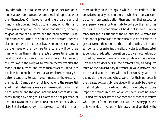any admissible cost, to be prone to impose their own opinion as a law upon persons whom they look up to as wiser than themselves. On the other hand, there is a character of mind which does not look up to any one; which thinks no other person's opinion much better than its own, or nearly so good as that of a hundred or a thousand persons like itself. Where this is the turn of mind of the electors, they will elect no one who is not, or at least who does not profess to be, the image of their own sentiments, and will continue him no longer than while he reflects those sentiments in his conduct; and all aspirants to political honors will endeavour, as Plato says in the Gorgias, to fashion themselves after the model of the Demos, and make themselves as like to it as possible. It can not be denied that a complete democracy has a strong tendency to cast the sentiments of the electors in this mould. Democracy is not favorable to the reverential spirit. That it destroys reverence for mere social position must be counted among the good, not the bad part of its influences, though by doing this it closes the principal *school* of reverence (as to merely human relations) which exists in society. But also democracy, in its very essence, insists so much

more forcibly on the things in which all are entitled to be considered equally than on those in which one person is entitled to more consideration than another, that respect for even personal superiority is likely to be below the mark. It is for this, among other reasons, I hold it of so much importance that the institutions of the country should stamp the opinions of persons of a more educated class as entitled to greater weight than those of the less educated; and I should still contend for assigning plurality of votes to authenticated superiority of education were it only to give the tone to public feeling, irrespective of any direct political consequences.

When there does exist in the electoral body an adequate sense of the extraordinary difference in value between one person and another, they will not lack signs by which to distinguish the persons whose worth for their purposes is the greatest. Actual public services will naturally be the foremost indication: to have filled posts of magnitude, and done important things in them, of which the wisdom has been justified by the results; to have been the author of measures which appear from their effects to have been wisely planned; to have made predictions which have been of verified by the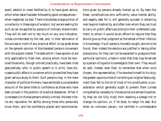event, seldom or never falsified by it; to have given advice, which when taken has been followed by good consequences when neglected, by bad. There is doubtless a large portion of uncertainty in these signs of wisdom; but we are seeking for such as can be applied by persons of ordinary discernment. They will do well not to rely much on any one indication, unless corroborated by the rest, and, in their estimation of the success or merit of any practical effort, to lay great stress on the general opinion of disinterested persons conversant with the subject matter. The tests which I have spoken of are only applicable to tried men, among whom must be reckoned those who, though untried practically, have been tried speculatively; who, in public speech or in print, have discussed public affairs in a manner which proves that they have given serious study to them. Such persons may, in the mere character of political thinkers, have exhibited a considerable amount of the same titles to confidence as those who have been proved in the position of practical statesmen. When it is necessary to choose persons wholly untried, the best criteria are, reputation for ability among those who personally know them, and the confidence placed and recommendations given by persons already looked up to. By tests like these, constituencies who sufficiently value mental ability, and eagerly seek for it, will generally succeed in obtaining men beyond mediocrity, and often men whom they can trust to carry on public affairs according to their unfettered judgment; to whom it would be an affront to require that they should give up that judgment at the behest of their inferiors in knowledge. If such persons, honestly sought, are not to be found, then indeed the electors are justified in taking other precautions, for they can not be expected to postpone their particular opinions, unless in order that they may be served by a person of superior knowledge to their own. They would do well, indeed, even then, to remember that when once chosen, the representative, if he devotes himself to his duty, has greater opportunities of correcting an original false judgment than fall to the lot of most of his constituents; a consideration which generally ought to prevent them (unless compelled by necessity to choose some one whose impartiality they do not fully trust) from exacting a pledge not to change his opinion, or, if he does, to resign his seat. But when an unknown person, not certified in unmistakable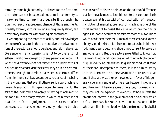terms by some high authority, is elected for the first time, the elector can not be expected not to make conformity to his own sentiments the primary requisite. It is enough if he does not regard a subsequent change of those sentiments, honestly avowed, with its grounds undisguisedly stated, as a peremptory reason for withdrawing his confidence.

Even supposing the most tried ability and acknowledged eminence of character in the representative, the private opinions of the electors are not to be placed entirely in abeyance. Deference to mental superiority is not to go the length of self-annihilation—abnegation of any personal opinion. But when the difference does not relate to the fundamentals of politics, however decided the elector may be in his own sentiments, he ought to consider that when an able man differs from him there is at least a considerable chance of his being in the wrong, and that even if otherwise, it is worth while to give up his opinion in things not absolutely essential, for the sake of the inestimable advantage of having an able man to act for him in the many matters in which he himself is not qualified to form a judgment. In such cases he often endeavours to reconcile both wishes by inducing the able

man to sacrifice his own opinion on the points of difference; but for the able man to lend himself to this compromise is treason against his especial office—abdication of the peculiar duties of mental supremacy, of which it is one of the most sacred not to desert the cause which has the clamor against it, nor to deprive of his services those of his opinions which need them the most. A man of conscience and known ability should insist on full freedom to act as he in his own judgment deems best, and should not consent to serve on any other terms. But the electors are entitled to know how he means to act; what opinions, on all things which concern his public duty, he intends should guide his conduct. If some of these are unacceptable to them, it is for him to satisfy them that he nevertheless deserves to be their representative; and if they are wise, they will overlook, in favor of his general value, many and great differences between his opinions and their own. There are some differences, however, which they can not be expected to overlook. Whoever feels the amount of interest in the government of his country which befits a freeman, has some convictions on national affairs which are like his life-blood; which the strength of his belief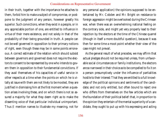in their truth, together with the importance he attaches to them, forbid him to make a subject of compromise, or postpone to the judgment of any person, however greatly his superior. Such convictions, when they exist in a people, or in any appreciable portion of one, are entitled to influence in virtue of their mere existence, and not solely in that of the probability of their being grounded in truth. A people can not be well governed in opposition to their primary notions of right, even though these may be in some points erroneous. A correct estimate of the relation which should subsist between governors and governed does not require the electors to consent to be represented by one who intends to govern them in opposition to their fundamental convictions. If they avail themselves of his capacities of useful service in other respects at a time when the points on which he is vitally at issue with them are not likely to be mooted, they are justified in dismissing him at the first moment when a question arises involving these, and on which there is not so assured a majority for what they deem right as to make the dissenting voice of that particular individual unimportant. Thus (I mention names to illustrate my meaning, not for

any personal application) the opinions supposed to be entertained by Mr. Cobden and Mr. Bright on resistance to foreign aggression might be overlooked during the Crimean war, when there was an overwhelming national feeling on the contrary side, and might yet very properly lead to their rejection by the electors at the time of the Chinese quarrel (though in itself a more doubtful question), because it was then for some time a moot point whether their view of the case might not prevail.

As the general result of what precedes, we may affirm that actual pledges should not be required unless, from unfavorable social circumstances or family institutions, the electors are so narrowed in their choice as to be compelled to fix it on a person presumptively under the influence of partialities hostile to their interest: That they are entitled to a full knowledge of the political opinions and sentiments of the candidate; and not only entitled, but often bound to reject one who differs from themselves on the few articles which are the foundation of their political belief: that, in proportion to the opinion they entertain of the mental superiority of a candidate, they ought to put up with his expressing and acting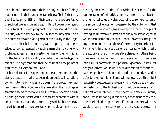on opinions different from theirs on any number of things not included in their fundamental articles of belief: that they ought to be unremitting in their search for a representative of such calibre as to be intrusted with full power of obeying the dictates of his own judgment: that they should consider it a duty which they owe to their fellow-countrymen, to do their utmost toward placing men of this quality in the Legislature, and that it is of much greater importance to themselves to be represented by such a man than by one who professes agreement in a greater number of their opinions; for the benefits of his ability are certain, while the hypothesis of his being wrong and their being right on the points of difference is a very doubtful one.

I have discussed this question on the assumption that the electoral system, in all that depends on positive institution, conforms to the principles laid down in the preceding chapters. Even on this hypothesis, the delegation theory of representation seems to me false, and its practical operation hurtful, though the mischief would in that case be confined within certain bounds. But if the securities by which I have endeavoured to guard the representative principle are not recognized by the Constitution; if provision is not made for the representation of minorities, nor any difference admitted in the numerical value of votes, according to some criterion of the amount of education possessed by the voters—in that case, no words can exaggerate the importance in principle of leaving an unfettered discretion to the representative; for it would then be the only chance, under universal suffrage, for any other opinions than those of the majority to be heard in Parliament. In that falsely called democracy which is really the exclusive rule of the operative classes, all others being unrepresented and unheard, the only escape from class legislation in its narrowest, and political ignorance in its most dangerous form, would lie in such disposition as the uneducated might have to choose educated representatives, and to defer to their opinions. Some willingness to do this might reasonably be expected, and every thing would depend upon cultivating it to the highest point. But, once invested with political omnipotence, if the operative classes voluntarily concurred in imposing in this or any other manner any considerable limitation upon their self-opinion and self-will, they would prove themselves wiser than any class possessed of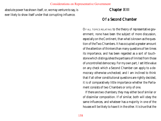absolute power has shown itself, or, we may venture to say, is ever likely to show itself under that corrupting influence.

# Chapter XIII

# Of a Second Chamber

OF ALL TOPICS RELATING to the theory of representative government, none have been the subject of more discussion, especially on the Continent, than what is known as the question of the Two Chambers. It has occupied a greater amount of the attention of thinkers than many questions of ten times its importance, and has been regarded as a sort of touchstone which distinguishes the partisans of limited from those of uncontrolled democracy. For my own part, I set little value on any check which a Second Chamber can apply to a democracy otherwise unchecked; and I am inclined to think that if all other constitutional questions are rightly decided, it is of comparatively little importance whether the Parliament consists of two Chambers or only of one.

If there are two chambers, they may either be of similar or of dissimilar composition. If of similar, both will obey the same influences, and whatever has a majority in one of the houses will be likely to have it in the other. It is true that the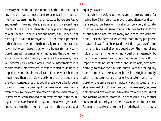necessity of obtaining the consent of both to the passing of any measure may at times be a material obstacle to improvement, since, assuming both the houses to be representative and equal in their numbers, a number slightly exceeding a fourth of the entire representation may prevent the passing of a bill; while, if there is but one house, a bill is secure of passing if it has a bare majority. But the case supposed is rather abstractedly possible than likely to occur in practice. It will not often happen that, of two houses similarly composed, one will be almost unanimous, and the other nearly equally divided; if a majority in one rejects a measure, there will generally have been a large minority unfavorable to it in the other; any improvement, therefore, which could be thus impeded, would in almost all cases be one which had not much more than a simple majority in the entire body, and the worst consequence that could ensue would be to delay for a short time the passing of the measure, or give rise to a fresh appeal to the electors to ascertain if the small majority in Parliament corresponded to an effective one in the country. The inconvenience of delay, and the advantages of the appeal to the nation, might be regarded in this case as about

equally balanced.

I attach little weight to the argument oftenest urged for having two Chambers—to prevent precipitancy, and compel a second deliberation; for it must be a very ill-constituted representative assembly in which the established forms of business do not require many more than two deliberations. The consideration which tells most, in my judgment, in favor of two Chambers (and this I do regard as of some moment), is the evil effect produced upon the mind of any holder of power, whether an individual or an assembly, by the consciousness of having only themselves to consult. It is important that no set of persons should be able, even temporarily, to make their *sic volo* prevail without asking any one else for his consent. A majority in a single assembly, when it has assumed a permanent character—when composed of the same persons habitually acting together, and always assured of victory in their own House—easily becomes despotic and overweening if released from the necessity of considering whether its acts will be concurred in by another constituted authority. The same reason which induced the Romans to have two consuls makes it desirable there should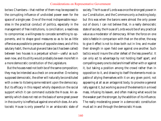be two Chambers—that neither of them may be exposed to the corrupting influence of undivided power even for the space of a single year. One of the most indispensable requisites in the practical conduct of politics, especially in the management of free institutions, is conciliation; a readiness to compromise; a willingness to concede something to opponents, and to shape good measures so as to be as little offensive as possible to persons of opposite views; and of this salutary habit, the mutual give and take (as it has been called) between two houses is a perpetual school—useful as such even now, and its utility would probably be even more felt in a more democratic constitution of the Legislature.

But the houses need not both be of the same composition; they may be intended as a check on one another. One being supposed democratic, the other will naturally be constituted with a view to its being some restraint upon the democracy. But its efficacy in this respect wholly depends on the social support which it can command outside the House. An assembly which does not rest on the basis of some great power in the country is ineffectual against one which does. An aristocratic House is only powerful in an aristocratic state of society. The House of Lords was once the strongest power in our Constitution, and the Commons only a checking body; but this was when the barons were almost the only power out of doors. I can not believe that, in a really democratic state of society, the House of Lords would be of any practical value as a moderator of democracy. When the force on one side is feeble in comparison with that on the other, the way to give it effect is not to draw both out in line, and muster their strength in open field over against one another. Such tactics would insure the utter defeat of the less powerful. It can only act to advantage by not holding itself apart, and compelling every one to declare himself either with or against it, but taking a position among the crowd rather than in opposition to it, and drawing to itself the elements most capable of allying themselves with it on any given point; not appearing at all as an antagonist body, to provoke a general rally against it, but working as one of the elements in a mixed mass, infusing its leaven, and often making what would be the weaker part the stronger, by the addition of its influence. The really moderating power in a democratic constitution must act in and through the democratic House.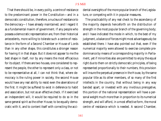That there should be, in every polity, a centre of resistance to the predominant power in the Constitution—and in a democratic constitution, therefore, a nucleus of resistance to the democracy—I have already maintained; and I regard it as a fundamental maxim of government. If any people who possess a democratic representation are, from their historical antecedents, more willing to tolerate such a centre of resistance in the form of a Second Chamber or House of Lords than in any other shape, this constitutes a stronger reason for having it in that shape. But it does not appear to me the best shape in itself, nor by any means the most efficacious for its object. If there are two houses, one considered to represent the people, the other to represent only a class, or not to be representative at all, I can not think that, where democracy is the ruling power in society, the second House would have any real ability to resist even the aberrations of the first. It might be suffered to exist in deference to habit and association, but not as an effective check. If it exercised an independent will, it would be required to do so in the same general spirit as the other House; to be equally democratic with it, and to content itself with correcting the accidental oversights of the more popular branch of the Legislature, or competing with it in popular measures.

The practicability of any real check to the ascendancy of the majority depends henceforth on the distribution of strength in the most popular branch of the governing body; and I have indicated the mode in which, to the best of my judgment, a balance of forces might most advantageously be established there. I have also pointed out that, even if the numerical majority were allowed to exercise complete predominance by means of a corresponding majority in Parliament, yet if minorities also are permitted to enjoy the equal right due to them on strictly democratic principles, of being represented proportionally to their numbers, this provision will insure the perpetual presence in the House, by the same popular title as its other members, of so many of the first intellects in the country, that without being in any way banded apart, or invested with any invidious prerogative, this portion of the national representation will have a personal weight much more than in proportion to its numerical strength, and will afford, in a most effective form, the moral centre of resistance which is needed. A second Chamber,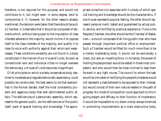therefore, is not required for this purpose, and would not contribute to it, but might even, in some degree, tend to compromise it. If, however, for the other reasons already mentioned, the decision were taken that there should be such a Chamber, it is desirable that it should be composed of elements which, without being open to the imputation of class interests adverse to the majority, would incline it to oppose itself to the class interests of the majority, and qualify it to raise its voice with authority against their errors and weaknesses. These conditions evidently are not found in a body constituted in the manner of our House of Lords. So soon as conventional rank and individual riches no longer overawe the democracy, a House of Lords becomes insignificant.

Of all principles on which a wisely conservative body, destined to moderate and regulate democratic ascendancy, could possibly be constructed, the best seems to be that exemplified in the Roman Senate, itself the most consistently prudent and sagacious body that ever administered public affairs. The deficiencies of a democratic assembly, which represents the general public, are the deficiencies of the public itself, want of special training and knowledge. The appropriate corrective is to associate with it a body of which special training and knowledge should be the characteristics. If one House represents popular feeling, the other should represent personal merit, tested and guaranteed by actual public service, and fortified by practical experience. If one is the People's Chamber, the other should be the Chamber of Statesmen—a council composed of all living public men who have passed through important political office or employment. Such a Chamber would be fitted for much more than to be a merely moderating body. It would not be exclusively a check, but also an impelling force. In its hands, the power of holding the people back would be vested in those most competent, and who would then be most inclined to lead them forward in any right course. The council to whom the task would be intrusted of rectifying the people's mistakes would not represent a class believed to be opposed to their interest, but would consist of their own natural leaders in the path of progress. No mode of composition could approach to this in giving weight and efficacy to their function of moderators. It would be impossible to cry down a body always foremost in promoting improvements as a mere obstructive body,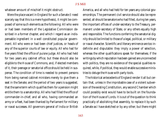whatever amount of mischief it might obstruct.

Were the place vacant in England for such a Senate (I need scarcely say that this is a mere hypothesis), it might be composed of some such elements as the following: All who were or had been members of the Legislative Commission described in a former chapter, and which I regard as an indispensable ingredient in a well constituted popular government. All who were or had been chief justices, or heads of any of the superior courts of law or equity. All who had for five years filled the office of puisne judge. All who had held for two years any cabinet office; but these should also be eligible to the House of Commons, and, if elected members of it, their peerage or senatorial office should be held in suspense. The condition of time is needed to prevent persons from being named cabinet ministers merely to give them a seat in the Senate; and the period of two years is suggested, that the same term which qualifies them for a pension might entitle them to a senatorship. All who had filled the office of commander-in-chief; and all who, having commanded an army or a fleet, had been thanked by Parliament for military or naval successes. All governors general of India or British

America, and all who had held for ten years any colonial governorships. The permanent civil service should also be represented; all should be senators who had filled, during ten years, the important offices of under-secretary to the Treasury, permanent under-secretary of State, or any others equally high and responsible. The functions conferring the senatorial dignity should be limited to those of a legal, political, or military or naval character. Scientific and literary eminence are too indefinite and disputable: they imply a power of selection, whereas the other qualifications speak for themselves; if the writings by which reputation has been gained are unconnected with politics, they are no evidence of the special qualities required, while, if political, they would enable successive ministries to deluge the House with party tools.

The historical antecedents of England render it all but certain that, unless in the improbable case of a violent subversion of the existing Constitution, any second Chamber which could possibly exist would have to be built on the foundation of the House of Lords. It is out of the question to think practically of abolishing that assembly, to replace it by such a Senate as I have sketched or by any other; but there might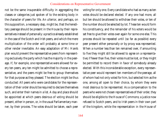not be the same insuperable difficulty in aggregating the classes or categories just spoken of to the existing body in the character of peers for life. An ulterior, and perhaps, on this supposition, a necessary step, might be, that the hereditary peerage should be present in the House by their representatives instead of personally: a practice already established in the case of the Scotch and Irish peers, and which the mere multiplication of the order will probably at some time or other render inevitable. An easy adaptation of Mr. Hare's plan would prevent the representative peers from representing exclusively the party which has the majority in the peerage. If, for example, one representative were allowed for every ten peers, any ten might be admitted to choose a representative, and the peers might be free to group themselves for that purpose as they pleased. The election might be thus conducted: All peers who were candidates for the representation of their order should be required to declare themselves such, and enter their names in a list. A day and place should be appointed at which peers desirous of voting should be present, either in person, or, in the usual Parliamentary manner, by their proxies. The votes should be taken, each peer voting for only one. Every candidate who had as many as ten votes should be declared elected. If any one had more, all but ten should be allowed to withdraw their votes, or ten of the number should be selected by lot. These ten would form his constituency, and the remainder of his voters would be set free to give their votes over again for some one else. This process should be repeated until (so far as possible) every peer present either personally or by proxy was represented. When a number less than ten remained over, if amounting to five they might still be allowed to agree on a representative; if fewer than five, their votes must be lost, or they might be permitted to record them in favor of somebody already elected. With this inconsiderable exception, every representative peer would represent ten members of the peerage, all of whom had not only voted for him, but selected him as the one, among all open to their choice, by whom they were most desirous to be represented. As a compensation to the peers who were not chosen representatives of their order, they should be eligible to the House of Commons; a justice now refused to Scotch peers, and to Irish peers in their own part of the kingdom, while the representation in the House of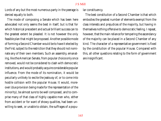Lords of any but the most numerous party in the peerage is denied equally to both.

The mode of composing a Senate which has been here advocated not only seems the best in itself, but is that for which historical precedent and actual brilliant success can to the greatest extent be pleaded. It is not however the only feasible plan that might be proposed. Another possible mode of forming a Second Chamber would be to have it elected by the First; subject to the restriction that they should not nominate any of their own members. Such an assembly, emanating, like the American Senate, from popular choice only once removed, would not be considered to clash with democratic institutions, and would probably acquire considerable popular influence. From the mode of its nomination, it would be peculiarly unlikely to excite the jealousy of, or to come into hostile collision with the popular House. It would, moreover (due provision being made for the representation of the minority), be almost sure to be well composed, and to comprise many of that class of highly capable men who, either from accident or for want of showy qualities, had been unwilling to seek, or unable to obtain, the suffrages of a popular constituency.

The best constitution of a Second Chamber is that which embodies the greatest number of elements exempt from the class interests and prejudices of the majority, but having in themselves nothing offensive to democratic feeling. I repeat, however, that the main reliance for tempering the ascendancy of the majority can be placed in a Second Chamber of any kind. The character of a representative government is fixed by the constitution of the popular House. Compared with this, all other questions relating to the form of government are insignificant.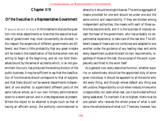# Chapter XIV

# Of the Executive in a Representative Government

IT WOULD BE OUT OF PLACE in this treatise to discuss the question into what departments or branches the executive business of government may most conveniently be divided. In this respect the exigencies of different governments are different; and there is little probability that any great mistake will be made in the classification of the duties when men are willing to begin at the beginning, and do not hold themselves bound by the series of accidents which, in an old government like ours, has produced the existing division of the public business. It may be sufficient to say that the classification of functionaries should correspond to that of subjects, and that there should not be several departments independent of one another, to superintend different parts of the same natural whole, as in our own military administration down to a recent period, and in a less degree even at present. Where the object to be attained is single (such as that of having an efficient army), the authority commissioned to

attend to it should be single likewise. The entire aggregate of means provided for one end should be under one and the same control and responsibility. If they are divided among independent authorities, the means with each of those authorities become ends, and it is the business of nobody except the head of the government, who has probably no departmental experience, to take care of the real end. The different classes of means are not combined and adapted to one another under the guidance of any leading idea; and while every department pushes forward its own requirements, regardless of those of the rest, the purpose of the work is perpetually sacrificed to the work itself.

As a general rule, every executive function, whether superior or subordinate, should be the appointed duty of some given individual. It should be apparent to all the world who did every thing, and through whose default any thing was left undone. Responsibility is null when nobody knows who is responsible; nor, even when real, can it be divided without being weakened. To maintain it at its highest, there must be one person who receives the whole praise of what is well done, the whole blame of what is ill. There are, however, two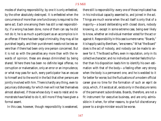modes of sharing responsibility; by one it is only enfeebled, by the other absolutely destroyed. It is enfeebled when the concurrence of more than one functionary is required to the same act. Each one among them has still a real responsibility; if a wrong has been done, none of them can say he did not do it; he is as much a participant as an accomplice is in an offense: if there has been legal criminality, they may all be punished legally, and their punishment needs not be less severe than if there had been only one person concerned. But it is not so with the penalties any more than with the rewards of opinion; these are always diminished by being shared. Where there has been no definite legal offense, no corruption or malversation, only an error or an imprudence, or what may pass for such, every participator has an excuse to himself and to the world in the fact that other persons are jointly involved with him. There is hardly any thing, even to pecuniary dishonesty, for which men will not feel themselves almost absolved, if those whose duty it was to resist and remonstrate have failed to do it, still more if they have given a formal assent.

In this case, however, though responsibility is weakened,

there still is responsibility: every one of those implicated has in his individual capacity assented to, and joined in the act. Things are much worse when the act itself is only that of a majority—a board deliberating with closed doors, nobody knowing, or, except in some extreme case, being ever likely to know, whether an individual member voted for the act or against it. Responsibility in this case is a mere name. "Boards," it is happily said by Bentham, "are screens." What "the Board" does is the act of nobody, and nobody can be made to answer for it. The Board suffers, even in reputation, only in its collective character; and no individual member feels this further than his disposition leads him to identify his own estimation with that of the body—a feeling often very strong when the body is a permanent one, and he is wedded to it for better for worse; but the fluctuations of a modern official career give no time for the formation of such an *esprit de corps*, which, if it exists at all, exists only in the obscure ranks of the permanent subordinates. Boards, therefore, are not a fit instrument for executive business, and are only admissible in it when, for other reasons, to give full discretionary power to a single minister would be worse.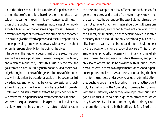On the other hand, it is also a maxim of experience that in the multitude of councillors there is wisdom, and that a man seldom judges right, even in his own concerns, still less in those of the public, when he makes habitual use of no knowledge but his own, or that of some single adviser. There is no necessary incompatibility between this principle and the other. It is easy to give the effective power and the full responsibility to one, providing him when necessary with advisers, each of whom is responsible only for the opinion he gives.

In general, the head of a department of the executive government is a mere politician. He may be a good politician, and a man of merit; and, unless this is usually the case, the government is bad. But his general capacity, and the knowledge he ought to possess of the general interests of the country, will not, unless by occasional accident, be accompanied by adequate, and what may be called professional knowledge of the department over which he is called to preside. Professional advisers must therefore be provided for him. Wherever mere experience and attainments are sufficient wherever the qualities required in a professional adviser may possibly be united in a single well-selected individual (as in the case, for example, of a law officer), one such person for general purposes, and a staff of clerks to supply knowledge of details, meet the demands of the case. But, more frequently, it is not sufficient that the minister should consult some one competent person, and, when himself not conversant with the subject, act implicitly on that person's advice. It is often necessary that he should, not only occasionally, but habitually, listen to a variety of opinions, and inform his judgment by the discussions among a body of advisers. This, for example, is emphatically necessary in military and naval affairs. The military and naval ministers, therefore, and probably several others, should be provided with a Council, composed, at least in those two departments, of able and experienced professional men. As a means of obtaining the best men for the purpose under every change of administration, they ought to be permanent; by which I mean that they ought not, like the Lords of the Admiralty, to be expected to resign with the ministry by whom they were appointed; but it is a good rule that all who hold high appointments to which they have risen by selection, and not by the ordinary course of promotion, should retain their office only for a fixed term,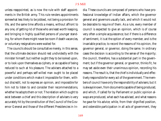unless reappointed, as is now the rule with staff appointments in the British army. This rule renders appointments somewhat less likely to be jobbed, not being a provision for life, and the same time affords a means, without affront to any one, of getting rid of those who are least worth keeping, and bringing in highly qualified persons of younger standing, for whom there might never be room if death vacancies, or voluntary resignations were waited for.

The councils should be consultative merely, in this sense, that the ultimate decision should rest undividedly with the minister himself; but neither ought they to be looked upon, or to look upon themselves as ciphers, or as capable of being reduced to such at his pleasure. The advisers attached to a powerful and perhaps self-willed man ought to be placed under conditions which make it impossible for them, without discredit, not to express an opinion, and impossible for him not to listen to and consider their recommendations, whether he adopts them or not. The relation which ought to exist between a chief and this description of advisers is very accurately hit by the constitution of the Council of the Governor General and those of the different Presidencies in In-

dia. These councils are composed of persons who have professional knowledge of Indian affairs, which the governor general and governors usually lack, and which it would not be desirable to require of them. As a rule, every member of council is expected to give an opinion, which is of course very often a simple acquiescence; but if there is a difference of sentiment, it is at the option of every member, and is the invariable practice, to record the reasons of his opinion, the governor general, or governor, doing the same. In ordinary cases the decision is according to the sense of the majority; the council, therefore, has a substantial part in the government; but if the governor general, or governor, thinks fit, he may set aside even their unanimous opinion, recording his reasons. The result is, that the chief is individually and effectively responsible for every act of the government. The members of council have only the responsibility of advisers; but it is always known, from documents capable of being produced, and which, if called for by Parliament or public opinion always are produced, what each has advised, and what reasons he gave for his advice; while, from their dignified position, and ostensible participation in all acts of government, they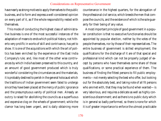have nearly as strong motives to apply themselves to the public business, and to form and express a well-considered opinion on every part of it, as if the whole responsibility rested with themselves.

This mode of conducting the highest class of administrative business is one of the most successful instances of the adaptation of means to ends which political history, not hitherto very prolific in works of skill and contrivance, has yet to show. It is one of the acquisitions with which the art of politics has been enriched by the experience of the East India Company's rule; and, like most of the other wise contrivances by which India has been preserved to this country, and an amount of good government produced which is truly wonderful considering the circumstances and the materials, it is probably destined to perish in the general holocaust which the traditions of Indian government seem fated to undergo since they have been placed at the mercy of public ignorance and the presumptuous vanity of political men. Already an outcry is raised for abolishing the councils as a superfluous and expensive clog on the wheels of government; while the clamor has long been urgent, and is daily obtaining more countenance in the highest quarters, for the abrogation of the professional civil service, which breeds the men that compose the councils, and the existence of which is the sole guaranty for their being of any value.

A most important principle of good government in a popular constitution is that no executive functionaries should be appointed by popular election, neither by the votes of the people themselves, nor by those of their representatives. The entire business of government is skilled employment; the qualifications for the discharge of it are of that special and professional kind which can not be properly judged of except by persons who have themselves some share of those qualifications, or some practical experience of them. The business of finding the fittest persons to fill public employments—not merely selecting the best who offer, but looking out for the absolutely best, and taking note of all fit persons who are met with, that they may be found when wanted—is very laborious, and requires a delicate as well as highly conscientious discernment; and as there is no public duty which is in general so badly performed, so there is none for which it is of greater importance to enforce the utmost practicable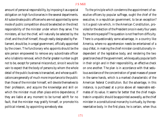amount of personal responsibility, by imposing it as a special obligation on high functionaries in the several departments. All subordinate public officers who are not appointed by some mode of public competition should be selected on the direct responsibility of the minister under whom they serve. The ministers, all but the chief, will naturally be selected by the chief; and the chief himself, though really designated by Parliament, should be, in a regal government, officially appointed by the crown. The functionary who appoints should be the sole person empowered to remove any subordinate officer who is liable to removal, which the far greater number ought not to be, except for personal misconduct, since it would be vain to expect that the body of persons by whom the whole detail of the public business is transacted, and whose qualifications are generally of much more importance to the public than those of the minister himself, will devote themselves to their profession, and acquire the knowledge and skill on which the minister must often place entire dependence, if they are liable at any moment to be turned adrift for no fault, that the minister may gratify himself, or promote his political interest, by appointing somebody else.

To the principle which condemns the appointment of executive officers by popular suffrage, ought the chief of the executive, in a republican government, to be an exception? Is it a good rule which, in the American Constitution, provides for the election of the President once in every four years by the entire people? The question is not free from difficulty. There is unquestionably some advantage, in a country like America, where no apprehension needs be entertained of a *coup d'état*, in making the chief minister constitutionally independent of the legislative body, and rendering the two great branches of the government, while equally popular both in their origin and in their responsibility, an effective check on one another. The plan is in accordance with that sedulous avoidance of the concentration of great masses of power in the same hands, which is a marked characteristic of the American federal Constitution. But the advantage, in this instance, is purchased at a price above all reasonable estimates of its value. It seems far better that the chief magistrate in a republic should be appointed avowedly, as the chief minister in a constitutional monarchy is virtually, by the representative body. In the first place, he is certain, when thus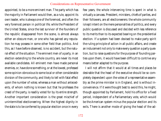appointed, to be a more eminent man. The party which has the majority in Parliament would then, as a rule, appoint its own leader, who is always one of the foremost, and often the very foremost person in political life; while the President of the United States, since the last survivor of the founders of the republic disappeared from the scene, is almost always either an obscure man, or one who has gained any reputation he may possess in some other field than politics. And this, as I have before observed, is no accident, but the natural effect of the situation. The eminent men of a party, in an election extending to the whole country, are never its most available candidates. All eminent men have made personal enemies, or, have done something, or at the lowest, professed some opinion obnoxious to some local or other considerable division of the community, and likely to tell with fatal effect upon the number of votes; whereas a man without antecedents, of whom nothing is known but that he professes the creed of the party, is readily voted for by its entire strength. Another important consideration is the great mischief of unintermitted electioneering. When the highest dignity in the state is to be conferred by popular election once in every

few years, the whole intervening time is spent in what is virtually a canvass. President, ministers, chiefs of parties, and their followers, are all electioneerers: the whole community is kept intent on the mere personalities of politics, and every public question is discussed and decided with less reference to its merits than to its expected bearing on the presidential election. If a system had been devised to make party spirit the ruling principle of action in all public affairs, and create an inducement not only to make every question a party question, but to raise questions for the purpose of founding parties upon them, it would have been difficult to contrive any means better adapted to the purpose.

I will not affirm that it would at all times and places be desirable that the head of the executive should be so completely dependent upon the votes of a representative assembly as the prime minister is in England, and is without inconvenience. If it were thought best to avoid this, he might, though appointed by Parliament, hold his office for a fixed period, independent of a Parliamentary vote, which would be the American system minus the popular election and its evils. There is another mode of giving the head of the ad-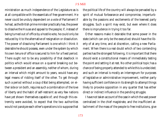ministration as much independence of the Legislature as is at all compatible with the essentials of free government. He never could be unduly dependent on a vote of Parliament if he had, as the British prime minister practically has, the power to dissolve the House and appeal to the people; if, instead of being turned out of office by a hostile vote, he could only be reduced by it to the alternative of resignation or dissolution. The power of dissolving Parliament is one which I think it desirable he should possess, even under the system by which his own tenure of office is secured to him for a fixed period. There ought not to be any possibility of that deadlock in politics which would ensue on a quarrel breaking out between a president and an assembly, neither of whom, during an interval which might amount to years, would have any legal means of ridding itself of the other. To get through such a period without a *coup d'état* being attempted, on either side or on both, requires such a combination of the love of liberty and the habit of self-restraint as very few nations have yet shown themselves capable of; and though this extremity were avoided, to expect that the two authorities would not paralyze each other's operations is to suppose that

the political life of the country will always be pervaded by a spirit of mutual forbearance and compromise, imperturbable by the passions and excitements of the keenest party struggles. Such a spirit may exist, but even where it does there is imprudence in trying it too far.

Other reasons make it desirable that some power in the state (which can only be the executive) should have the liberty of at any time, and at discretion, calling a new Parliament. When there is a real doubt which of two contending parties has the strongest following, it is important that there should exist a constitutional means of immediately testing the point and setting it at rest. No other political topic has a chance of being properly attended to while this is undecided; and such an interval is mostly an interregnum for purposes of legislative or administrative improvement, neither party having sufficient confidence in its strength to attempt things likely to provoke opposition in any quarter that has either direct or indirect influence in the pending struggle.

I have not taken account of the case in which the vast power centralized in the chief magistrate, and the insufficient attachment of the mass of the people to free institutions, give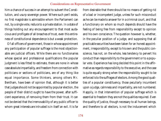him a chance of success in an attempt to subvert the Constitution, and usurp sovereign power. Where such peril exists, no first magistrate is admissible whom the Parliament can not, by a single vote, reduce to a private station. In a state of things holding out any encouragement to that most audacious and profligate of all breaches of trust, even this entireness of constitutional dependence is but a weak protection.

Of all officers of government, those in whose appointment any participation of popular suffrage is the most objectionable are judicial officers. While there are no functionaries whose special and professional qualifications the popular judgment is less fitted to estimate, there are none in whose case absolute impartiality, and freedom from connection with politicians or sections of politicians, are of any thing like equal importance. Some thinkers, among others Mr. Bentham, have been of opinion that, although it is better that judges should not be appointed by popular election, the people of their district ought to have the power, after sufficient experience, of removing them from their trust. It can not be denied that the irremovability of any public officer to whom great interests are intrusted is in itself an evil. It is far

from desirable that there should be no means of getting rid of a bad or incompetent judge, unless for such misconduct as he can be made to answer for in a criminal court, and that a functionary on whom so much depends should have the feeling of being free from responsibility except to opinion and his own conscience. The question however is, whether, in the peculiar position of a judge, and supposing that all practicable securities have been taken for an honest appointment, irresponsibility, except to his own and the public conscience, has not, on the whole, less tendency to pervert his conduct than responsibility to the government or to a popular vote. Experience has long decided this point in the affirmative as regards responsibility to the executive, and the case is quite equally strong when the responsibility sought to be enforced is to the suffrages of electors. Among the good qualities of a popular constituency, those peculiarly incumbent upon a judge, calmness and impartiality, are not numbered. Happily, in that intervention of popular suffrage which is essential to freedom they are not the qualities required. Even the quality of justice, though necessary to all human beings, and therefore to all electors, is not the inducement which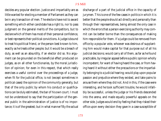decides any popular election. Justice and impartiality are as little wanted for electing a member of Parliament as they can be in any transaction of men. The electors have not to award something which either candidate has a right to, nor to pass judgment on the general merits of the competitors, but to declare which of them has most of their personal confidence, or best represents their political convictions. A judge is bound to treat his political friend, or the person best known to him, exactly as he treats other people; but it would be a breach of duty, as well as an absurdity, if an elector did so. No argument can be grounded on the beneficial effect produced on judges, as on all other functionaries, by the moral jurisdiction of opinion; for even in this respect, that which really exercises a useful control over the proceedings of a judge, when fit for the judicial office, is not (except sometimes in political cases) the opinion of the community generally, but that of the only public by whom his conduct or qualifications can be duly estimated, the bar of his own court. I must not be understood to say that the participation of the general public in the administration of justice is of no importance; it is of the greatest; but in what manner? By the actual

discharge of a part of the judicial office in the capacity of jurymen. This is one of the few cases in politics in which it is better that the people should act directly and personally than through their representatives, being almost the only case in which the errors that a person exercising authority may commit can be better borne than the consequences of making him responsible for them. If a judge could be removed from office by a popular vote, whoever was desirous of supplanting him would make capital for that purpose out of all his judicial decisions; would carry all of them, as far as he found practicable, by irregular appeal before a public opinion wholly incompetent, for want of having heard the case, or from having heard it without either the precautions or the impartiality belonging to a judicial hearing; would play upon popular passion and prejudice where they existed, and take pains to arouse them where they did not. And in this, if the case were interesting, and he took sufficient trouble, he would infallibly be successful, unless the judge or his friends descended into the arena, and made equally powerful appeals on the other side. Judges would end by feeling that they risked their office upon every decision they gave in a case susceptible of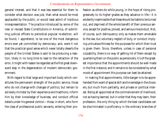general interest, and that it was less essential for them to consider what decision was just, than what would be most applauded by the public, or would least admit of insidious misrepresentation. The practice introduced by some of the new or revised State Constitutions in America, of submitting judicial officers to periodical popular re-election, will be found, I apprehend, to be one of the most dangerous errors ever yet committed by democracy; and, were it not that the practical good sense which never totally deserts the people of the United States is said to be producing a reaction, likely in no long time to lead to the retraction of the error, it might with reason be regarded as the first great downward step in the degeneration of modern democratic government.

With regard to that large and important body which constitutes the permanent strength of the public service, those who do not change with changes of politics, but remain to aid every minister by their experience and traditions, inform him by their knowledge of business, and conduct official details under his general control—those, in short, who form the class of professional public servants, entering their profession as others do while young, in the hope of rising progressively to its higher grades as they advance in life—it is evidently inadmissible that these should be liable to be turned out, and deprived of the whole benefit of their previous service, except for positive, proved, and serious misconduct. Not, of course, such delinquency only as makes them amenable to the law, but voluntary neglect of duty, or conduct implying untrustworthiness for the purposes for which their trust is given them. Since, therefore, unless in case of personal culpability, there is no way of getting rid of them except by quartering them on the public as pensioners, it is of the greatest importance that the appointments should be well made in the first instance; and it remains to be considered by what mode of appointment this purpose can best be attained.

In making first appointments, little danger is to be apprehended from want of special skill and knowledge in the choosers, but much from partiality, and private or political interest. Being all appointed at the commencement of manhood, not as having learned, but in order that they may learn, their profession, the only thing by which the best candidates can be discriminated is proficiency in the ordinary branches of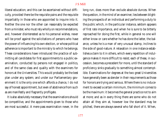liberal education; and this can be ascertained without difficulty, provided there be the requisite pains and the requisite impartiality in those who are appointed to inquire into it. Neither the one nor the other can reasonably be expected from a minister, who must rely wholly on recommendations, and, however disinterested as to his personal wishes, never will be proof against the solicitations of persons who have the power of influencing his own election, or whose political adherence is important to the ministry to which he belongs. These considerations have introduced the practice of submitting all candidates for first appointments to a public examination, conducted by persons not engaged in politics, and of the same class and quality with the examiners for honors at the Universities. This would probably be the best plan under any system; and under our Parliamentary government it is the only one which affords a chance, I do not say of honest appointment, but even of abstinence from such as are manifestly and flagrantly profligate.

It is also absolutely necessary that the examinations should be competitive, and the appointments given to those who are most successful. A mere pass examination never, in the

long run, does more than exclude absolute dunces. When the question, in the mind of an examiner, lies between blighting the prospects of an individual and performing a duty to the public which, in the particular instance, seldom appears of first rate importance, and when he is sure to be bitterly reproached for doing the first, while in general no one will either know or care whether he has done the latter, the balance, unless he is a man of very unusual stamp, inclines to the side of good-nature. A relaxation in one instance establishes a claim to it in others, which every repetition of indulgence makes it more difficult to resist; each of these, in succession, becomes a precedent for more, until the standard of proficiency sinks gradually to something almost contemptible. Examinations for degrees at the two great Universities have generally been as slender in their requirements as those for honors are trying and serious. Where there is no inducement to exceed a certain minimum, the minimum comes to be the maximum: it becomes the general practice not to aim at more; and as in every thing there are some who do not attain all they aim at, however low the standard may be pitched, there are always several who fall short of it. When,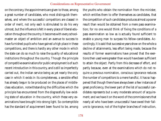on the contrary, the appointments are given to those, among a great number of candidates, who most distinguish themselves, and where the successful competitors are classed in order of merit, not only each is stimulated to do his very utmost, but the influence is felt in every place of liberal education throughout the country. It becomes with every schoolmaster an object of ambition and an avenue to success to have furnished pupils who have gained a high place in these competitions, and there is hardly any other mode in which the state can do so much to raise the quality of educational institutions throughout the country. Though the principle of competitive examinations for public employment is of such recent introduction in this country, and is still so imperfectly carried out, the Indian service being as yet nearly the only case in which it exists in its completeness, a sensible effect has already begun to be produced on the places of middleclass education, notwithstanding the difficulties which the principle has encountered from the disgracefully low existing state of education in the country, which these very examinations have brought into strong light. So contemptible has the standard of acquirement been found to be, among

the youths who obtain the nomination from the minister, which entitles them to offer themselves as candidates, that the competition of such candidates produces almost a poorer result than would be obtained from a mere pass examination; for no one would think of fixing the conditions of a pass examination so low as is actually found sufficient to enable a young man to surpass his fellow-candidates. Accordingly, it is said that successive years show on the whole a decline of attainments, less effort being made, because the results of former examinations have proved that the exertions then used were greater than would have been sufficient to attain the object. Partly from this decrease of effort, and partly because, even at the examinations which do not require a previous nomination, conscious ignorance reduces the number of competitors to a mere handful, it has so happened that though there have always been a few instances of great proficiency, the lower part of the list of successful candidates represents but a very moderate amount of acquirement; and we have it on the word of the commissioners that nearly all who have been unsuccessful have owed their failure to ignorance, not of the higher branches of instruction,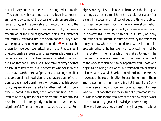but of its very humblest elements—spelling and arithmetic.

The outcries which continue to be made against these examinations by some of the organs of opinion are often, I regret to say, as little creditable to the good faith as to the good sense of the assailants. They proceed partly by misrepresentation of the kind of ignorance which, as a matter of fact, actually leads to failure in the examinations. They quote with emphasis the most recondite questions  $\delta$  which can be shown to have been ever asked, and make it appear as if unexceptionable answers to all these were made the *sine quâ non* of success. Yet it has been repeated to satiety that such questions are not put because it is expected of every one that he should answer them, but in order that whoever is able to do so may have the means of proving and availing himself of that portion of his knowledge. It is not as a ground of rejection, but as an additional means of success, that this opportunity is given. We are then asked whether the kind of knowledge supposed in this, that, or the other question, is calculated to be of any use to the candidate after he has attained his object. People differ greatly in opinion as to what knowledge is useful. There are persons in existence, and a late Foreign Secretary of State is one of them, who think English spelling a useless accomplishment in a diplomatic attaché or a clerk in a government office. About one thing the objectors seem to be unanimous, that general mental cultivation is not useful in these employments, whatever else may be so. If, however (as I presume to think), it is useful, or if any education at all is useful, it must be tested by the tests most likely to show whether the candidate possesses it or not. To ascertain whether he has been well educated, he must be interrogated in the things which he is likely to know if he has been well educated, even though not directly pertinent to the work to which he is to be appointed. Will those who object to his being questioned in classics and mathematics, tell us what they would have him questioned in? There seems, however, to be equal objection to examining him in these, and to examining him in any thing *but* these. If the Commissioners—anxious to open a door of admission to those who have not gone through the routine of a grammar-school, or who make up for the smallness of their knowledge of what is there taught by greater knowledge of something else allow marks to be gained by proficiency in any other subject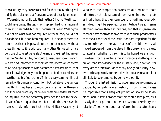of real utility, they are reproached for that too. Nothing will satisfy the objectors but free admission of total ignorance.

We are triumphantly told that neither Clive nor Wellington could have passed the test which is prescribed for an aspirant to an engineer cadetship; as if, because Clive and Wellington did not do what was not required of them, they could not have done it if it had been required. If it be only meant to inform us that it is possible to be a great general without these things, so it is without many other things which are very useful to great generals. Alexander the Great had never heard of Vauban's rules, nor could Julius Cæsar speak French. We are next informed that book-worms, a term which seems to be held applicable to whoever has the smallest tincture of book-knowledge, may not be good at bodily exercises, or have the habits of gentlemen. This is a very common line of remark with dunces of condition; but, whatever the dunces may think, they have no monopoly of either gentlemanly habits or bodily activity. Wherever these are needed, let them be inquired into and separately provided for, not to the exclusion of mental qualifications, but in addition. Meanwhile, I am credibly informed that in the Military Academy at

Woolwich the competition cadets are as superior to those admitted on the old system of nomination in these respects as in all others; that they learn even their drill more quickly, as indeed might be expected, for an intelligent person learns all things sooner than a stupid one; and that in general demeanor they contrast so favorably with their predecessors, that the authorities of the institutions are impatient for the day to arrive when the last remains of the old leaven shall have disappeared from the place. If this be so, and it is easy to ascertain whether it is so, it is to be hoped we shall soon have heard for the last time that ignorance is a better qualification than knowledge for the military, and, *à fortiori*, for every other profession, or that any one good quality, however little apparently connected with liberal education, is at all likely to be promoted by going without it.

Though the first admission to government employment be decided by competitive examination, it would in most cases be impossible that subsequent promotion should be so decided; and it seems proper that this should take place, as it usually does at present, on a mixed system of seniority and selection. Those whose duties are of a routine character should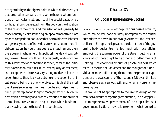rise by seniority to the highest point to which duties merely of that description can carry them, while those to whom functions of particular trust, and requiring special capacity, are confided, should be selected from the body on the discretion of the chief of the office. And this selection will generally be made honestly by him if the original appointments take place by open competition, for under that system his establishment will generally consist of individuals to whom, but for the official connection, he would have been a stranger. If among them there be any in whom he, or his political friends and supporters, take an interest, it will be but occasionally, and only when to this advantage of connection is added, as far as the initiatory examination could test it, at least equality of real merit; and, except when there is a very strong motive to job these appointments, there is always a strong one to appoint the fittest person, being the one who gives to his chief the most useful assistance, saves him most trouble, and helps most to build up that reputation for good management of public business which necessarily and properly redound to the credit of the minister, however much the qualities to which it is immediately owing may be those of his subordinates.

# Chapter XV

# Of Local Representative Bodies

IT IS BUT <sup>A</sup> SMALL PORTION of the public business of a country which can be well done or safely attempted by the central authorities; and even in our own government, the least centralized in Europe, the legislative portion at least of the governing body busies itself far too much with local affairs, employing the supreme power of the State in cutting small knots which there ought to be other and better means of untying. The enormous amount of private business which takes up the time of Parliament and the thoughts of its individual members, distracting them from the proper occupations of the great council of the nation, is felt by all thinkers and observers as a serious evil, and, what is worse, an increasing one.

It would not be appropriate to the limited design of this treatise to discuss at arge the great question, in no way peculiar to representative government, of the proper limits of governmental action. I have said elsewhere9 what seemed to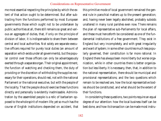me most essential respecting the principles by which the extent of that action ought to be determined. But after subtracting from the functions performed by most European governments those which ought not to be undertaken by public authorities at all, there still remains so great and various an aggregate of duties, that, if only on the principle of division of labor, it is indispensable to share them between central and local authorities. Not solely are separate executive officers required for purely local duties (an amount of separation which exists under all governments), but the popular control over those officers can only be advantageously exerted through a separate organ. Their original appointment, the function of watching and checking them, the duty of providing or the discretion of withholding the supplies necessary for their operations, should rest, not with the national Parliament or the national executive, but with the people of the locality. That the people should exercise these functions directly and personally is evidently inadmissable. Administration by the assembled people is a relic of barbarism opposed to the whole spirit of modern life; yet so much has the course of English institutions depended on accident, that

this primitive mode of local government remained the general rule in parochial matters up to the present generation; and, having never been legally abolished, probably subsists unaltered in many rural parishes even now. There remains the plan of representative sub-Parliaments for local affairs, and these must henceforth be considered as one of the fundamental institutions of a free government. They exist in England but very incompletely, and with great irregularity and want of system; in some other countries much less popularly governed, their constitution is far more rational. In England there has always been more liberty but worse organization, while in other countries there is better organization but less liberty. It is necessary, then, that, in addition to the national representation, there should be municipal and provisional representations; and the two questions which remain to be resolved are, how the local representative bodies should be constituted, and what should be the extent of their functions.

In considering these questions, two points require an equal degree of our attention: how the local business itself can be best done, and how its transaction can be made most instru-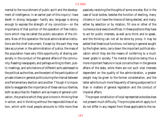mental to the nourishment of public spirit and the development of intelligence. In an earlier part of this inquiry I have dwelt in strong language—hardly any language is strong enough to express the strength of my conviction—on the importance of that portion of the operation of free institutions which may be called the public education of the citizens. Now of this operation the local administrative institutions are the chief instrument. Except by the part they may take as jurymen in the administration of justice, the mass of the population have very little opportunity of sharing personally in the conduct of the general affairs of the community. Reading newspapers, and perhaps writing to them, public meetings, and solicitations of different sorts addressed to the political authorities, are the extent of the participation of private citizens in general politics during the interval between one Parliamentary election and another. Though it is impossible to exaggerate the importance of these various liberties, both as securities for freedom and as means of general cultivation, the practice which they give is more in thinking than in action, and in thinking without the responsibilities of action, which with most people amounts to little more than

passively receiving the thoughts of some one else. But in the case of local bodies, besides the function of electing, many citizens in turn have the chance of being elected, and many, either by selection or by rotation, fill one or other of the numerous local executive offices. In these positions they have to act for public interests, as well as to think and to speak, and the thinking can not all be done by proxy. It may be added that these local functions, not being in general sought by the higher ranks, carry down the important political education which they are the means of conferring to a much lower grade in society. The mental discipline being thus a more important feature in local concerns than in the general affairs of the state, while there are not such vital interests dependent on the quality of the administration, a greater weight may be given to the former consideration, and the latter admits much more frequently of being postponed to it than in matters of general legislation and the conduct of imperial affairs.

The proper constitution of local representative bodies does not present much difficulty. The principles which apply to it do not differ in any respect from those applicable to the na-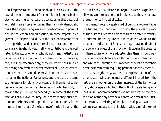tional representation. The same obligation exists, as in the case of the more important function, for making the bodies elective; and the same reasons operate as in that case, but with still greater force, for giving them a widely democratic basis; the dangers being less, and the advantages, in point of popular education and cultivation, in some respects even greater. As the principal duty of the local bodies consists of the imposition and expenditure of local taxation, the electoral franchise should vest in all who contribute to the local rates, to the exclusion of all who do not. I assume that there is no indirect taxation, no *octroi* duties, or that, if there are, they are supplementary only, those on whom their burden falls being also rated to a direct assessment. The representation of minorities should be provided for in the same manner as in the national Parliament, and there are the same strong reasons for plurality of votes; only there is not so decisive an objection, in the inferior as in the higher body, to making the plural voting depend (as in some of the local elections of our own country) on a mere money qualification; for the honest and frugal dispensation of money forms so much larger a part of the business of the local than of the

national body, that there is more justice as well as policy in allowing a greater proportional influence to those who have a larger money interest at stake.

In the most recently established of our local representative institutions, the Boards of Guardians, the justices of peace of the district sit *ex officio* along with the elected members, in number limited by law to a third of the whole. In the peculiar constitution of English society, I have no doubt of the beneficial effect of this provision. It secures the presence in these bodies of a more educated class than it would perhaps be practicable to attract thither on any other terms; and while the limitation in number of the *ex officio* members precludes them from acquiring predominance by mere numerical strength, they, as a virtual representation of another class, having sometimes a different interest from the rest, are a check upon the class interests of the farmers or petty shopkeepers who form the bulk of the elected guardians. A similar commendation can not be given to the constitution of the only provincial boards we possess, the Quarter Sessions, consisting of the justices of peace alone, on whom, over and above their judicial duties, some of the most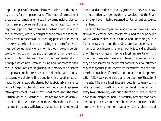important parts of the administrative business of the country depend for their performance. The mode of formation of these bodies is most anomalous, they being neither elected, nor, in any proper sense of the term, nominated, but holding their important functions, like the feudal lords to whom they succeeded, virtually by right of their acres; the appointment vested in the crown (or, speaking practically, in one of themselves, the lord lieutenant) being made use of only as a means of excluding any one who it is thought would do discredit to the body, or, now and then, one who is on the wrong side in politics. The institution is the most aristocratic in principle which now remains in England; far more so than the House of Lords, for it grants public money and disposes of important public interests, not in conjunction with a popular assembly, but alone. It is clung to with proportionate tenacity by our aristocratic classes, but is obviously at variance with all the principles which are the foundation of representative government. In a County Board there is not the same justification as in Boards of Guardians for even an admixture of *ex officio* with elected members, since the business of a county being on a sufficiently large scale to be an object of

interest and attraction to country gentlemen, they would have no more difficulty in getting themselves elected to the Board than they have in being returned to Parliament as county members.

In regard to the proper circumscription of the constituencies which elect the local representative bodies, the principle which, when applied as an exclusive and unbending rule to Parliamentary representation, is inappropriate, namely community of local interests, is here the only just and applicable one. The very object of having a local representation is in order that those who have any interest in common which they do not share with the general body of their countrymen may manage that joint interest by themselves, and the purpose is contradicted if the distribution of the local representation follows any other rule than the grouping of those joint interests. There are local interests peculiar to every town, whether great or small, and common to all its inhabitants; every town, therefore, without distinction of size, ought to have its municipal council. It is equally obvious that every town ought to have but one. The different quarters of the same town have seldom or never any material diversities of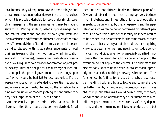local interest; they all require to have the same things done, the same expenses incurred; and, except as to their churches, which it is probably desirable to leave under simply parochial management, the same arrangements may be made to serve for all. Paving, lighting, water supply, drainage, port and market regulations, can not, without great waste and inconvenience, be different for different quarters of the same town. The subdivision of London into six or seven independent districts, each with its separate arrangements for local business (several of them without unity of administration even within themselves), prevents the possibility of consecutive or well-regulated co-operation for common objects, precludes any uniform principle for the discharge of local duties, compels the general government to take things upon itself which would be best left to local authorities if there were any whose authority extended to the entire metropolis, and answers no purpose but to keep up the fantastical trappings of that union of modern jobbing and antiquated foppery, the Corporation of the City of London.

Another equally important principle is, that in each local circumscription there should be but one elective body for all local business, not different bodies for different parts of it. Division of labor does not mean cutting up every business into minute fractions; it means the union of such operations as are fit to be performed by the same persons, and the separation of such as can be better performed by different persons. The executive duties of the locality do indeed require to be divided into departments for the same reason as those of the state—because they are of divers kinds, each requiring knowledge peculiar to itself, and needing, for its due performance, the undivided attention of a specially qualified functionary. But the reasons for subdivision which apply to the execution do not apply to the control. The business of the elective body is not to do the work, but to see that it is properly done, and that nothing necessary is left undone. This function can be fulfilled for all departments by the same superintending body, and by a collective and comprehensive far better than by a minute and microscopic view. It is as absurd in public affairs as it would be in private, that every workman should be looked after by a superintendent to himself. The government of the crown consists of many departments, and there are many ministers to conduct them, but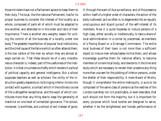those ministers have not a Parliament apiece to keep them to their duty. The local, like the national Parliament, has for its proper business to consider the interest of the locality as a whole, composed of parts all of which must be adapted to one another, and attended to in the order and ratio of their importance. There is another very weighty reason for uniting the control of all the business of a locality under one body. The greatest imperfection of popular local institutions, and the chief cause of the failure which so often attends them, is the low calibre of the men by whom they are almost always carried on. That these should be of a very miscellaneous character is, indeed, part of the usefulness of the institution; it is that circumstance chiefly which renders it a school of political capacity and general intelligence. But a school supposes teachers as well as scholars: the utility of the instruction greatly depends on its bringing inferior minds into contact with superior, a contact which in the ordinary course of life is altogether exceptional, and the want of which contributes more than any thing else to keep the generality of mankind on one level of contented ignorance. The school, moreover, is worthless, and a school of evil instead of good,

if, through the want of due surveillance, and of the presence within itself of a higher order of characters, the action of the body is allowed, as it so often is, to degenerate into an equally unscrupulous and stupid pursuit of the self-interest of its members. Now it is quite hopeless to induce persons of a high class, either socially or intellectually, to take a share of local administration in a corner by piecemeal, as members of a Paving Board or a Drainage Commission. The entire local business of their town is not more than a sufficient object to induce men whose tastes incline them, and whose knowledge qualifies them for national affairs, to become members of a mere local body, and devote to it the time and study which are necessary to render their presence any thing more than a screen for the jobbing of inferior persons, under the shelter of their responsibility. A mere Board of Works, though it comprehend the entire metropolis, is sure to be composed of the same class of persons as the vestries of the London parishes; nor is it practicable, or even desirable, that such should not form the majority; but it is important for every purpose which local bodies are designed to serve, whether it be the enlightened and honest performance of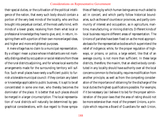their special duties, or the cultivation of the political intelligence of the nation, that every such body should contain a portion of the very best minds of the locality, who are thus brought into perpetual contact, of the most useful kind, with minds of a lower grade, receiving from them what local or professional knowledge they have to give, and, in return, inspiring them with a portion of their own more enlarged ideas, and higher and more enlightened purposes.

A mere village has no claim to a municipal representation. By a village I mean a place whose inhabitants are not markedly distinguished by occupation or social relations from those of the rural districts adjoining, and for whose local wants the arrangements made for the surrounding territory will suffice. Such small places have rarely a sufficient public to furnish a tolerable municipal council: if they contain any talent or knowledge applicable to public business, it is apt to be all concentrated in some one man, who thereby becomes the dominator of the place. It is better that such places should be merged in a larger circumscription. The local representation of rural districts will naturally be determined by geographical considerations, with due regard to those sympa-

thies of feeling by which human beings are so much aided to act in concert, and which partly follow historical boundaries, such as those of counties or provinces, and partly community of interest and occupation, as in agriculture, maritime, manufacturing, or mining districts. Different kinds of local business require different areas of representation. The Unions of parishes have been fixed on as the most appropriate basis for the representative bodies which superintend the relief of indigence; while, for the proper regulation of highways, or prisons, or police, a large extent, like that of an average county, is not more than sufficient. In these large districts, therefore, the maxim, that an elective body constituted in any locality should have authority over all the local concerns common to the locality, requires modification from another principle, as well as from the competing consideration of the importance of obtaining for the discharge of the local duties the highest qualifications possible. For example, if it be necessary (as I believe it to be) for the proper administration of the poor-laws that the area of rating should not be more extensive than most of the present Unions, a principle which requires a Board of Guardians for each Union,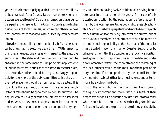yet, as a much more highly qualified class of persons is likely to be obtainable for a County Board than those who compose an average Board of Guardians, it may, on that ground, be expedient to reserve for the County Boards some higher descriptions of local business, which might otherwise have been conveniently managed within itself by each separate Union.

Besides the controlling council or local sub-Parliament, local business has its executive department. With respect to this, the same questions arise as with respect to the executive authorities in the state, and they may, for the most part, be answered in the same manner. The principles applicable to all public trusts are in substance the same. In the first place, each executive officer should be single, and singly responsible for the whole of the duty committed to his charge. In the next place, he should be nominated, not elected. It is ridiculous that a surveyor, or a health officer, or even a collector of rates should be appointed by popular suffrage. The popular choice usually depends on interest with a few local leaders, who, as they are not supposed to make the appointment, are not responsible for it; or on an appeal to sympa-

thy, founded on having twelve children, and having been a rate-payer in the parish for thirty years. If, in cases of this description, election by the population is a farce, appointment by the local representative body is little less objectionable. Such bodies have a perpetual tendency to become jointstock associations for carrying into effect the private jobs of their various members. Appointments should be made on the individual responsibility of the chairman of the body, let him be called mayor, chairman of Quarter Sessions, or by whatever other title. He occupies in the locality a position analogous to that of the prime minister in the state, and under a well organized system the appointment and watching of the local officers would be the most important part of his duty; he himself being appointed by the council from its own number, subject either to annual re-election, or to removal by a vote of the body.

From the constitution of the local bodies, I now pass to the equally important and more difficult subject of their proper attributions. This question divides itself into two parts: what should be their duties, and whether they should have full authority within the sphere of those duties, or should be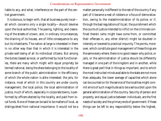liable to any, and what, interference on the part of the central government.

It is obvious, to begin with, that all business purely local all which concerns only a single locality—should devolve upon the local authorities. The paving, lighting, and cleansing of the streets of a town, and, in ordinary circumstances, the draining of its houses, are of little consequence to any but its inhabitants. The nation at large is interested in them in no other way than that in which it is interested in the private well-being of all its individual citizens. But among the duties classed as local, or performed by local functionaries, there are many which might with equal propriety be termed national, being the share belonging to the locality of some branch of the public administration in the efficiency of which the whole nation is alike interested: the jails, for instance, most of which in this country are under county management; the local police; the local administration of justice, much of which, especially in corporate towns, is performed by officers elected by the locality, and paid from local funds. None of these can be said to be matters of local, as distinguished from national importance. It would not be a

matter personally indifferent to the rest of the country if any part of it became a nest of robbers or a focus of demoralization, owing to the maladministration of its police; or if, through the bad regulations of its jail, the punishment which the courts of justice intended to inflict on the criminals confined therein (who might have come from, or committed their offenses in, any other district) might be doubled in intensity or lowered to practical impunity. The points, moreover, which constitute good management of these things are the same every where; there is no good reason why police, or jails, or the administration of justice should be differently managed in one part of the kingdom and in another, while there is great peril that in things so important, and to which the most instructed minds available to the state are not more than adequate, the lower average of capacities which alone can be counted on for the service of the localities might commit errors of such magnitude as to be a serious blot upon the general administration of the country. Security of person and property, and equal justice between individuals, are the first needs of society and the primary ends of government: if these things can be left to any responsibility below the highest,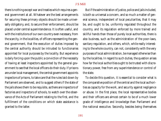there is nothing except war and treaties which requires a general government at all. Whatever are the best arrangements for securing these primary objects should be made universally obligatory, and, to secure their enforcement, should be placed under central superintendence. It is often useful, and with the institutions of our own country even necessary, from the scarcity, in the localities, of officers representing the general government, that the execution of duties imposed by the central authority should be intrusted to functionaries appointed for local purposes by the locality. But experience is daily forcing upon the public a conviction of the necessity of having at least inspectors appointed by the general government to see that the local officers do their duty. If prisons are under local management, the central government appoints inspectors of prisons, to take care that the rules laid down by Parliament are observed, and to suggest others if the state of the jails shows them to be requisite, as there are inspectors of factories and inspectors of schools, to watch over the observance of the Acts of Parliament relating to the first, and the fulfillment of the conditions on which state assistance is granted to the latter.

But if the administration of justice, police and jails included, is both so universal a concern, and so much a matter of general science, independent of local peculiarities, that it may be, and ought to be, uniformly regulated throughout the country, and its regulation enforced by more trained and skillful hands than those of purely local authorities, there is also business, such as the administration of the poor-laws, sanitary regulation, and others, which, while really interesting to the whole country, can not, consistently with the very purposes of local administration, be managed otherwise than by the localities. In regard to such duties, the question arises how far the local authorities ought to be trusted with discretionary power, free from any superintendence or control of the state.

To decide this question, it is essential to consider what is the comparative position of the central and the local authorities as capacity for the work, and security against negligence or abuse. In the first place, the local representative bodies and their officers are almost certain to be of a much lower grade of intelligence and knowledge than Parliament and the national executive. Secondly, besides being themselves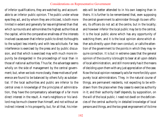of inferior qualifications, they are watched by, and accountable to an inferior public opinion. The public under whose eyes they act, and by whom they are criticized, is both more limited in extent and generally far less enlightened than that which surrounds and admonishes the highest authorities at the capital, while the comparative smallness of the interests involved causes even that inferior public to direct its thoughts to the subject less intently and with less solicitude. Far less interference is exercised by the press and by public discussion, and that which is exercised may with much more impunity be disregarded in the proceedings of local than in those of national authorities. Thus far, the advantage seems wholly on the side of management by the central government; but, when we look more closely, these motives of preference are found to be balanced by others fully as substantial. If the local authorities and public are inferior to the central ones in knowledge of the principles of administration, they have the compensatory advantage of a far more direct interest in the result. A man's neighbors or his landlord may be much cleverer than himself, and not without an indirect interest in his prosperity, but, for all that, his interests will be better attended to in his own keeping than in theirs. It is further to be remembered that, even supposing the central government to administer through its own officers, its officers do not act at the centre, but in the locality; and however inferior the local public may be to the central, it is the local public alone which has any opportunity of watching them, and it is the local opinion alone which either acts directly upon their own conduct, or calls the attention of the government to the points in which they may require correction. It is but in extreme cases that the general opinion of the country is brought to bear at all upon details of local administration, and still more rarely has it the means of deciding upon them with any just appreciation of the case. Now the local opinion necessarily acts far more forcibly upon purely local administrators. They, in the natural course of things, are permanent residents, not expecting to be withdrawn from the place when they cease to exercise authority in it; and their authority itself depends, by supposition, on the will of the local public. I need not dwell on the deficiencies of the central authority in detailed knowledge of local persons and things, and the too great engrossment of its time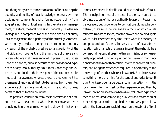and thoughts by other concerns to admit of its acquiring the quantity and quality of local knowledge necessary even for deciding on complaints, and enforcing responsibility from so great a number of local agents. In the details of management, therefore, the local bodies will generally have the advantage, but in comprehension of the principles even of purely local management, the superiority of the central government, when rightly constituted, ought to be prodigious, not only by reason of the probably great personal superiority of the individuals composing it, and the multitude of thinkers and writers who are at all times engaged in pressing useful ideas upon their notice, but also because the knowledge and experience of any local authority is but local knowledge and experience, confined to their own part of the country and its modes of management, whereas the central government has the means of knowing all that is to be learned from the united experience of the whole kingdom, with the addition of easy access to that of foreign countries.

The practical conclusion from these premises is not difficult to draw. The authority which is most conversant with principles should be supreme over principles, while that which is most competent in details should have the details left to it. The principal business of the central authority should be to give instruction, of the local authority to apply it. Power may be localized, but knowledge, to be most useful, must be centralized; there must be somewhere a focus at which all its scattered rays are collected, that the broken and colored lights which exist elsewhere may find there what is necessary to complete and purify them. To every branch of local administration which affects the general interest there should be a corresponding central organ, either a minister, or some specially appointed functionary under him, even if that functionary does no more than collect information from all quarters, and bring the experience acquired in one locality to the knowledge of another where it is wanted. But there is also something more than this for the central authority to do. It ought to keep open a perpetual communication with the localities—informing itself by their experience, and them by its own; giving advice freely when asked, volunteering it when seen to be required; compelling publicity and recordation of proceedings, and enforcing obedience to every general law which the Legislature has laid down on the subject of local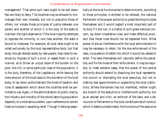management. That some such laws ought to be laid down few are likely to deny. The localities may be allowed to mismanage their own interests, but not to prejudice those of others, nor violate those principles of justice between one person and another of which it is the duty of the state to maintain the rigid observance. If the local majority attempts to oppress the minority, or one class another, the state is bound to interpose. For example, all local rates ought to be voted exclusively by the local representative body; but that body, though elected solely by rate-payers, may raise its revenues by imposts of such a kind, or assess them in such a manner, as to throw an unjust share of the burden on the poor, the rich, or some particular class of the population: it is the duty, therefore, of the Legislature, while leaving the mere amount of the local taxes to the discretion of the local body, to lay down authoritatively the mode of taxation and rules of assessment which alone the localities shall be permitted to use. Again, in the administration of public charity, the industry and morality of the whole laboring population depends, to a most serious extent, upon adherence to certain fixed principles in awarding relief. Though it belongs essentially to the local functionaries to determine who, according to those principles, is entitled to be relieved, the national Parliament is the proper authority to prescribe the principles themselves; and it would neglect a most important part of its duty if it did not, in a matter of such grave national concern, lay down imperative rules, and make effectual provision that those rules should not be departed from. What power of actual interference with the local administrators it may be necessary to retain, for the due enforcement of the laws, is a question of detail into which it would be useless to enter. The laws themselves will naturally define the penalties, and fix the mode of their enforcement. It may be requisite, to meet extreme cases, that the power of the central authority should extend to dissolving the local representative council or dismissing the local executive, but not to making new appointments or suspending the local institutions. Where Parliament has not interfered, neither ought any branch of the executive to interfere with authority; but as an adviser and critic, an enforcer of the laws, and a denouncer to Parliament or the local constituencies of conduct which it deems condemnable, the functions of the executive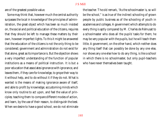are of the greatest possible value.

Some may think that, however much the central authority surpasses the local in knowledge of the principles of administration, the great object which has been so much insisted on, the social and political education of the citizens, requires that they should be left to manage these matters by their own, however imperfect lights. To this it might be answered that the education of the citizens is not the only thing to be considered; government and administration do not exist for that alone, great as its importance is. But the objection shows a very imperfect understanding of the function of popular institutions as a means of political instruction. It is but a poor education that associates ignorance with ignorance, and leaves them, if they care for knowledge, to grope their way to it without help, and to do without it if they do not. What is wanted is the means of making ignorance aware of itself, and able to profit by knowledge; accustoming minds which know only routine to act upon, and feel the value of principles; teaching them to compare different modes of action, and learn, by the use of their reason, to distinguish the best. When we desire to have a good school, we do not eliminate

the teacher. The old remark, "As the schoolmaster is, so will be the school," is as true of the indirect schooling of grown people by public business as of the schooling of youth in academies and colleges. A government which attempts to do every thing is aptly compared by M. Charles de Rémusat to a schoolmaster who does all the pupils' tasks for them; he may be very popular with the pupils, but he will teach them little. A government, on the other hand, which neither does any thing itself that can possibly be done by any one else, nor shows any one else how to do any thing, is like a school in which there is no schoolmaster, but only pupil-teachers who have never themselves been taught.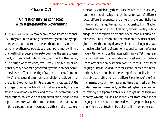# Chapter XVI

# Of Nationality, as connected with Representative Government

A PORTION OF MANKIND may be said to constitute a nationality if they are united among themselves by common sympathies which do not exist between them and any others which make them co-operate with each other more willingly than with other people, desire to be under the same government, and desire that it should be government by themselves, or a portion of themselves, exclusively. This feeling of nationality may have been generated by various causes. Sometimes it is the effect of identity of race and descent. Community of language and community of religion greatly contribute to it. Geographical limits are one of its causes. But the strongest of all is identity of political antecedents; the possession of a national history, and consequent community of recollections; collective pride and humiliation, pleasure and regret, connected with the same incidents in the past. None of these circumstances, however, are either indispensable or

necessarily sufficient by themselves. Switzerland has a strong sentiment of nationality, though the cantons are of different races, different languages, and different religions. Sicily has hitherto felt itself quite distinct in nationality from Naples, notwithstanding identity of religion, almost identity of language, and a considerable amount of common historical antecedents. The Flemish and the Walloon provinces of Belgium, notwithstanding diversity of race and language, have a much greater feeling of common nationality than the former have with Holland, or the latter with France. Yet in general the national feeling is proportionally weakened by the failure of any of the causes which contribute to it. Identity of language, literature, and, to some extent, of race and recollections, have maintained the feeling of nationality in considerable strength among the different portions of the German name, though they have at no time been really united under the same government; but the feeling has never reached to making the separate states desire to get rid of their autonomy. Among Italians, an identity far from complete of language and literature, combined with a geographical position which separates them by a distinct line from other coun-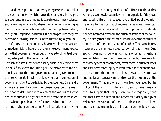tries, and, perhaps more than every thing else, the possession of a common name, which makes them all glory in the past achievements in arts, arms, politics, religious primacy, science, and literature, of any who share the same designation, give rise to an amount of national feeling in the population which, though still imperfect, has been sufficient to produce the great events now passing before us, notwithstanding a great mixture of races, and although they have never, in either ancient or modern history, been under the same government, except while that government extended or was extending itself over the greater part of the known world.

Where the sentiment of nationality exists in any force, there is a *primâ facie* case for uniting all the members of the nationality under the same government, and a government to themselves apart. This is merely saying that the question of government ought to be decided by the governed. One hardly knows what any division of the human race should be free to do if not to determine with which of the various collective bodies of human beings they choose to associate themselves. But, when a people are ripe for free institutions, there is a still more vital consideration. Free institutions are next to

impossible in a country made up of different nationalities. Among a people without fellow-feeling, especially if they read and speak different languages, the united public opinion necessary to the working of representative government can not exist. The influences which form opinions and decide political acts are different in the different sections of the country. An altogether different set of leaders have the confidence of one part of the country and of another. The same books, newspapers, pamphlets, speeches, do not reach them. One section does not know what opinions or what instigations are circulating in another. The same incidents, the same acts, the same system of government, affect them in different ways, and each fears more injury to itself from the other nationalities than from the common arbiter, the state. Their mutual antipathies are generally much stronger than jealousy of the government. That any one of them feels aggrieved by the policy of the common ruler is sufficient to determine another to support that policy. Even if all are aggrieved, none feel that they can rely on the others for fidelity in a joint resistance; the strength of none is sufficient to resist alone, and each may reasonably think that it consults its own ad-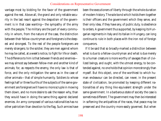vantage most by bidding for the favor of the government against the rest. Above all, the grand and only reliable security in the last resort against the despotism of the government is in that case wanting—the sympathy of the army with the people. The military are the part of every community in whom, from the nature of the case, the distinction between their fellow-countrymen and foreigners is the deepest and strongest. To the rest of the people foreigners are merely strangers; to the soldier, they are men against whom he may be called, at a week's notice, to fight for life or death. The difference to him is that between friends and enemies we may almost say between fellow-men and another kind of animals; for, as respects the enemy, the only law is that of force, and the only mitigation the same as in the case of other animals—that of simple humanity. Soldiers to whose feelings half or three fourths of the subjects of the same government are foreigners will have no more scruple in mowing them down, and no more desire to ask the reason why, than they would have in doing the same thing against declared enemies. An army composed of various nationalities has no other patriotism than devotion to the flag. Such armies have

been the executioners of liberty through the whole duration of modern history. The sole bond which holds them together is their officers and the government which they serve, and their only idea, if they have any, of public duty, is obedience to orders. A government thus supported, by keeping its Hungarian regiments in Italy and its Italian in Hungary, can long continue to rule in both places with the iron rod of foreign conquerors.

If it be said that so broadly-marked a distinction between what is due to a fellow-countryman and what is due merely to a human creature is more worthy of savages than of civilized beings, and ought, with the utmost energy, to be contended against, no one holds that opinion more strongly than myself. But this object, one of the worthiest to which human endeavour can be directed, can never, in the present state of civilization, be promoted by keeping different nationalities of any thing like equivalent strength under the same government. In a barbarous state of society the case is sometimes different. The government may then be interested in softening the antipathies of the races, that peace may be preserved and the country more easily governed. But when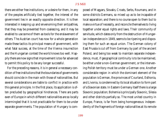there are either free institutions, or a desire for them, in any of the peoples artificially tied together, the interest of the government lies in an exactly opposite direction. It is then interested in keeping up and envenoming their antipathies, that they may be prevented from coalescing, and it may be enabled to use some of them as tools for the enslavement of others. The Austrian court has now for a whole generation made these tactics its principal means of government, with what fatal success, at the time of the Vienna insurrection and the Hungarian contest the world knows too well. Happily there are now signs that improvement is too far advanced to permit this policy to be any longer successful.

For the preceding reasons, it is in general a necessary condition of free institutions that the boundaries of governments should coincide in the main with those of nationalities. But several considerations are liable to conflict in practice with this general principle. In the first place, its application is often precluded by geographical hindrances. There are parts even of Europe in which different nationalities are so locally intermingled that it is not practicable for them to be under separate governments. The population of Hungary is com-

posed of Magyars, Slovaks, Croats, Serbs, Roumans, and in some districts Germans, so mixed up as to be incapable of local separation; and there is no course open to them but to make a virtue of necessity, and reconcile themselves to living together under equal rights and laws. Their community of servitude, which dates only from the destruction of Hungarian independence in 1849, seems to be ripening and disposing them for such an equal union. The German colony of East Prussia is cut off from Germany by part of the ancient Poland, and being too weak to maintain separate independence, must, if geographical continuity is to be maintained, be either under a non-German government, or the intervening Polish territory must be under a German one. Another considerable region in which the dominant element of the population is German, the provinces of Courland, Esthonia, and Livonia, is condemned by its local situation to form part of a Slavonian state. In Eastern Germany itself there is a large Slavonic population; Bohemia is principally Slavonic, Silesia and other districts partially so. The most united country in Europe, France, is far from being homogeneous: independently of the fragments of foreign nationalities at its remote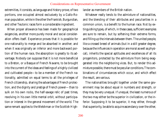extremities, it consists, as language and history prove, of two portions, one occupied almost exclusively by a Gallo-Roman population, while in the other the Frankish, Burgundian, and other Teutonic races form a considerable ingredient.

When proper allowance has been made for geographical exigencies, another more purely moral and social consideration offers itself. Experience proves that it is possible for one nationality to merge and be absorbed in another; and when it was originally an inferior and more backward portion of the human race, the absorption is greatly to its advantage. Nobody can suppose that it is not more beneficial to a Breton, or a Basque of French Navarre, to be brought into the current of the ideas and feelings of a highly civilized and cultivated people—to be a member of the French nationality, admitted on equal terms to all the privileges of French citizenship, sharing the advantages of French protection, and the dignity and *prestige* of French power—than to sulk on his own rocks, the half-savage relic of past times, revolving in his own little mental orbit, without participation or interest in the general movement of the world. The same remark applies to the Welshman or the Scottish Highlander as members of the British nation.

Whatever really tends to the admixture of nationalities, and the blending of their attributes and peculiarities in a common union, is a benefit to the human race. Not by extinguishing types, of which, in these cases, sufficient examples are sure to remain, but by softening their extreme forms, and filling up the intervals between them. The united people, like a crossed breed of animals (but in a still greater degree, because the influences in operation are moral as well as physical), inherits the special aptitudes and excellences of all its progenitors, protected by the admixture from being exaggerated into the neighboring vices. But, to render this admixture possible, there must be peculiar conditions. The combinations of circumstances which occur, and which effect the result, are various.

The nationalities brought together under the same government may be about equal in numbers and strength, or they may be very unequal. If unequal, the least numerous of the two may either be the superior in civilization, or the inferior. Supposing it to be superior, it may either, through that superiority, be able to acquire ascendancy over the other,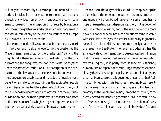or it may be overcome by brute strength and reduced to subjection. This last is a sheer mischief to the human race, and one which civilized humanity with one accord should rise in arms to prevent. The absorption of Greece by Macedonia was one of the greatest misfortunes which ever happened to the world; that of any of the principal countries of Europe by Russia would be a similar one.

If the smaller nationality, supposed to be the more advanced in improvement, is able to overcome the greater, as the Macedonians, re-enforced by the Greeks, did Asia, and the English India, there is often a gain to civilization, but the conquerors and the conquered can not in this case live together under the same free institutions. The absorption of the conquerors in the less advanced people would be an evil: these must be governed as subjects, and the state of things is either a benefit or a misfortune, according as the subjugated people have or have not reached the state in which it is an injury not to be under a free government, and according as the conquerors do or do not use their superiority in a manner calculated to fit the conquered for a higher stage of improvement. This topic will be particularly treated of in a subsequent chapter.

When the nationality which succeeds in overpowering the other is both the most numerous and the most improved, and especially if the subdued nationality is small, and has no hope of reasserting its independence, then, if it is governed with any tolerable justice, and if the members of the more powerful nationality are not made odious by being invested with exclusive privileges, the smaller nationality is gradually reconciled to its position, and becomes amalgamated with the larger. No Bas-Breton, nor even any Alsatian, has the smallest wish at the present day to be separated from France. If all Irishmen have not yet arrived at the same disposition towards England, it is partly because they are sufficiently numerous to be capable of constituting a respectable nationality by themselves, but principally because, until of late years, they had been so atrociously governed that all their best feelings combined with their bad ones in rousing bitter resentment against the Saxon rule. This disgrace to England and calamity to the whole empire has, it may be truly said, completely ceased for nearly a generation. No Irishman is now less free than an Anglo-Saxon, nor has a less share of every benefit either to his country or to his individual fortunes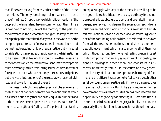than if he were sprung from any other portion of the British dominions. The only remaining real grievance of Ireland, that of the State Church, is one which half, or nearly half the people of the larger island have in common with them. There is now next to nothing, except the memory of the past, and the difference in the predominant religion, to keep apart two races perhaps the most fitted of any two in the world to be the completing counterpart of one another. The consciousness of being at last treated not only with equal justice, but with equal consideration, is making such rapid way in the Irish nation as to be wearing off all feelings that could make them insensible to the benefits which the less numerous and less wealthy people must necessarily derive from being fellow-citizens instead of foreigners to those who are not only their nearest neighbors, but the wealthiest, and one of the freest, as well as most civilized and powerful nations of the earth.

The cases in which the greatest practical obstacles exist to the blending of nationalities are when the nationalities which have been bound together are nearly equal in numbers and in the other elements of power. In such cases, each, confiding in its strength, and feeling itself capable of maintaining an equal struggle with any of the others, is unwilling to be merged in it; each cultivates with party obstinacy its distinctive peculiarities; obsolete customs, and even declining languages, are revived, to deepen the separation; each deems itself tyrannized over if any authority is exercised within itself by functionaries of a rival race; and whatever is given to one of the conflicting nationalities is considered to be taken from all the rest. When nations thus divided are under a despotic government which is a stranger to all of them, or which, though sprung from one, yet feeling greater interest in its own power than in any sympathies of nationality, assigns no privilege to either nation, and chooses its instruments indifferently from all, in the course of a few generations identity of situation often produces harmony of feeling, and the different races come to feel towards each other as fellow-countrymen, particularly if they are dispersed over the same tract of country. But if the era of aspiration to free government arrives before this fusion has been effected, the opportunity has gone by for effecting it. From that time, if the unreconciled nationalities are geographically separate, and especially if their local position is such that there is no natu-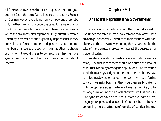Chapter XVII

# Of Federal Representative Governments

PORTIONS OF MANKIND who are not fitted or not disposed to live under the same internal government may often, with advantage, be federally united as to their relations with foreigners, both to prevent wars among themselves, and for the sake of more effectual protection against the aggression of powerful states.

To render a federation advisable several conditions are necessary. The first is that there should be a sufficient amount of mutual sympathy among the populations. The federation binds them always to fight on the same side; and if they have such feelings toward one another, or such diversity of feeling toward their neighbors that they would generally prefer to fight on opposite sides, the federal tie is neither likely to be of long duration, nor to be well observed while it subsists. The sympathies available for the purpose are those of race, language, religion, and, above all, of political institutions, as conducing most to a feeling of identity of political interest.

ral fitness or convenience in their being under the same government (as in the case of an Italian province under a French or German yoke), there is not only an obvious propriety, but, if either freedom or concord is cared for, a necessity for breaking the connection altogether. There may be cases in which the provinces, after separation, might usefully remain united by a federal tie; but it generally happens that if they are willing to forego complete independence, and become members of a federation, each of them has other neighbors with whom it would prefer to connect itself, having more sympathies in common, if not also greater community of interest.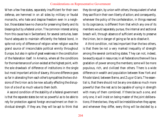When a few free states, separately insufficient for their own defense, are hemmed in on all sides by military or feudal monarchs, who hate and despise freedom even in a neighbor, those states have no chance for preserving liberty and its blessings but by a federal union. The common interest arising from this cause has in Switzerland, for several centuries, been found adequate to maintain efficiently the federal bond, in spite not only of difference of religion when religion was the grand source of irreconcilable political enmity throughout Europe, but also in spite of great weakness in the constitution of the federation itself. In America, where all the conditions for the maintenance of union existed at the highest point, with the sole drawback of difference of institutions in the single but most important article of slavery, this one difference goes so far in alienating from each other's sympathies the two divisions of the Union as to be now actually effecting the disruption of a tie of so much value to them both.

A second condition of the stability of a federal government is that the separate states be not so powerful as to be able to rely for protection against foreign encroachment on their individual strength. If they are, they will be apt to think that they do not gain, by union with others, the equivalent of what they sacrifice in their own liberty of action; and consequently, whenever the policy of the confederation, in things reserved to its cognizance, is different from that which any one of its members would separately pursue, the internal and sectional breach will, through absence of sufficient anxiety to preserve the Union, be in danger of going so far as to dissolve it.

A third condition, not less important than the two others, is that there be not a very marked inequality of strength among the several contracting states. They can not, indeed, be exactly equal in resources; in all federations there will be a gradation of power among the members; some will be more populous, rich, and civilized than others. There is a wide difference in wealth and population between New York and Rhode Island; between Berne, and Zug or Glaris. The essential is, that there should not be any one state so much more powerful than the rest as to be capable of vying in strength with many of them combined. If there be such a one, and only one, it will insist on being master of the joint deliberations; if there be two, they will be irresistible when they agree; and whenever they differ, every thing will be decided by a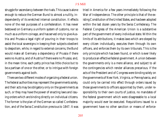struggle for ascendancy between the rivals. This cause is alone enough to reduce the German Bund to almost a nullity, independently of its wretched internal constitution. It effects none of the real purposes of a confederation. It has never bestowed on Germany a uniform system of customs, nor so much as a uniform coinage, and has served only to give Austria and Prussia a legal right of pouring in their troops to assist the local sovereigns in keeping their subjects obedient to despotism, while, in regard to external concerns, the Bund would make all Germany a dependency of Prussia if there were no Austria, and of Austria if there were no Prussia; and, in the mean time, each petty prince has little choice but to be a partisan of one or the other, or to intrigue with foreign governments against both.

There are two different modes of organizing a federal union. The federal authorities may represent the governments solely, and their acts may be obligatory only on the governments as such, or they may have the power of enacting laws and issuing orders which are binding directly on individual citizens. The former is the plan of the German so-called Confederation, and of the Swiss Constitution previous to 1847. It was

tried in America for a few years immediately following the War of Independence. The other principle is that of the existing Constitution of the United States, and has been adopted within the last dozen years by the Swiss Confederacy. The Federal Congress of the American Union is a substantive part of the government of every individual state. Within the limits of its attributions, it makes laws which are obeyed by every citizen individually, executes them through its own officers, and enforces them by its own tribunals. This is the only principle which has been found, or which is ever likely to produce an effective federal government. A union between the governments only is a mere alliance, and subject to all the contingencies which render alliances precarious. If the acts of the President and of Congress were binding solely on the governments of New York, Virginia, or Pennsylvania, and could only be carried into effect through orders issued by those governments to officers appointed by them, under responsibility to their own courts of justice, no mandates of the federal government which were disagreeable to a local majority would ever be executed. Requisitions issued to a government have no other sanction or means of enforce-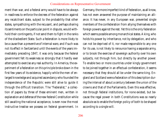ment than war, and a federal army would have to be always in readiness to enforce the decrees of the federation against any recalcitrant state, subject to the probability that other states, sympathizing with the recusant, and perhaps sharing its sentiments on the particular point in dispute, would withhold their contingents, if not send them to fight in the ranks of the disobedient State. Such a federation is more likely to be a cause than a preventive of internal wars; and if such was not its effect in Switzerland until the events of the years immediately preceding 1847, it was only because the federal government felt its weakness so strongly that it hardly ever attempted to exercise any real authority. In America, the experiment of a federation on this principle broke down in the first few years of its existence, happily while the men of enlarged knowledge and acquired ascendancy who founded the independence of the Republic were still alive to guide it through the difficult transition. The "Federalist," a collection of papers by three of these eminent men, written in explanation and defense of the new federal Constitution while still awaiting the national acceptance, is even now the most instructive treatise we possess on federal government. In

Germany, the more imperfect kind of federation, as all know, has not even answered the purpose of maintaining an alliance. It has never, in any European war, prevented single members of the confederation from allying themselves with foreign powers against the rest. Yet this is the only federation which seems possible among monarchical states. A king, who holds his power by inheritance, not by delegation, and who can not be deprived of it, nor made responsible to any one for its use, is not likely to renounce having a separate army, or to brook the exercise of sovereign authority over his own subjects, not through him, but directly by another power. To enable two or more countries under kingly government to be joined together in an effectual confederation, it seems necessary that they should all be under the same king. England and Scotland were a federation of this description during the interval of about a century between the union of the crowns and that of the Parliaments. Even this was effective, not through federal institutions, for none existed, but because the regal power in both Constitutions was so nearly absolute as to enable the foreign policy of both to be shaped according to a single will.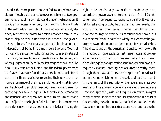Under the more perfect mode of federation, where every citizen of each particular state owes obedience to two governments, that of his own state and that of the federation, it is evidently necessary not only that the constitutional limits of the authority of each should be precisely and clearly defined, but that the power to decide between them in any case of dispute should not reside in either of the governments, or in any functionary subject to it, but in an umpire independent of both. There must be a Supreme Court of Justice, and a system of subordinate courts in every state of the Union, before whom such questions shall be carried, and whose judgment on them, in the last stage of appeal, shall be final. Every state of the Union, and the federal government itself, as well as every functionary of each, must be liable to be sued in those courts for exceeding their powers, or for non-performance of their federal duties, and must in general be obliged to employ those courts as the instrument for enforcing their federal rights. This involves the remarkable consequence, actually realized in the United States, that a court of justice, the highest federal tribunal, is supreme over the various governments, both state and federal, having the

right to declare that any law made, or act done by them, exceeds the powers assigned to them by the federal Constitution, and, in consequence, has no legal validity. It was natural to feel strong doubts, before trial had been made, how such a provision would work; whether the tribunal would have the courage to exercise its constitutional power; if it did, whether it would exercise it wisely, and whether the governments would consent to submit peaceably to its decision. The discussions on the American Constitution, before its final adoption, give evidence that these natural apprehensions were strongly felt; but they are now entirely quieted, since, during the two generations and more which have subsequently elapsed, nothing has occurred to verify them, though there have at times been disputes of considerable acrimony, and which became the badges of parties, respecting the limits of the authority of the federal and state governments. The eminently beneficial working of so singular a provision is probably, as M. de Tocqueville remarks, in a great measure attributable to the peculiarity inherent in a court of justice acting as such—namely, that it does not declare the law *eo nomine* and in the abstract, but waits until a case be-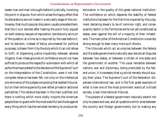tween man and man is brought before it judicially, involving the point in dispute; from which arises the happy effect that its declarations are not made in a very early stage of the controversy; that much popular discussion usually precedes them; that the Court decides after hearing the point fully argued on both sides by lawyers of reputation; decides only as much of the question at a time as is required by the case before it, and its decision, instead of being volunteered for political purposes, is drawn from it by the duty which it can not refuse to fulfil, of dispensing justice impartially between adverse litigants. Even these grounds of confidence would not have sufficed to produce the respectful submission with which all authorities have yielded to the decisions of the Supreme Court on the interpretation of the Constitution, were it not that complete reliance has been felt, not only on the intellectual pre-eminence of the judges composing that exalted tribunal, but on their entire superiority over either private or sectional partialities. This reliance has been in the main justified; but there is nothing which more vitally imports the American people than to guard with the most watchful solicitude against every thing which has the remotest tendency to produce deterioration in the quality of this great national institution. The confidence on which depends the stability of federal institutions has been for the first time impaired by the judgment declaring slavery to be of common right, and consequently lawful in the Territories while not yet constituted as states, even against the will of a majority of their inhabitants. The main pillar of the American Constitution is scarcely strong enough to bear many more such shocks.

The tribunals which act as umpires between the federal and the state governments naturally also decide all disputes between two states, or between a citizen of one state and the government of another. The usual remedies between nations, war and diplomacy, being precluded by the federal union, it is necessary that a judicial remedy should supply their place. The Supreme Court of the federation dispenses international law, and is the first great example of what is now one of the most prominent wants of civilized society, a real international tribunal.

The powers of a federal government naturally extend not only to peace and war, and all questions which arise between the country and foreign governments, but to making any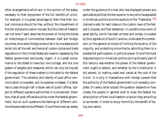other arrangements which are, in the opinion of the states, necessary to their enjoyment of the full benefits of union. For example, it is a great advantage to them that their mutual commerce should be free, without the impediment of frontier duties and custom-houses. But this internal freedom can not exist if each state has the power of fixing the duties on interchange of commodities between itself and foreign countries, since every foreign product let in by one state would be let into all the rest; and hence all custom duties and trade regulations in the United States are made or repealed by the federal government exclusively. Again, it is a great convenience to the states to have but one coinage, and but one system of weights and measures, which can only be insured if the regulation of these matters is intrusted to the federal government. The certainty and celerity of post-office communication is impeded, and its expense increased, if a letter has to pass through half a dozen sets of public offices, subject to different supreme authorities: it is convenient, therefore, that all post-offices should be under the federal government; but on such questions the feelings of different communities are liable to be different. One of the American states,

under the guidance of a man who has displayed powers as a speculative political thinker superior to any who has appeared in American politics since the authors of the "Federalist,"10 claimed a veto for each state on the custom laws of the federal Congress; and that statesman, in a posthumous work of great ability, which has been printed and widely circulated by the Legislature of South Carolina, vindicated this pretension on the general principle of limiting the tyranny of the majority, and protecting minorities by admitting them to a substantial participation in political power. One of the most disputed topics in American politics during the early part of this century was whether the power of the federal government ought to extend, and whether by the Constitution it did extend, to making roads and canals at the cost of the Union. It is only in transactions with foreign powers that the authority of the federal government is of necessity complete. On every other subject the question depends on how closely the people in general wish to draw the federal tie; what portion of their local freedom of action they are willing to surrender, in order to enjoy more fully the benefit of being one nation.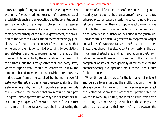Respecting the fitting constitution of a federal government within itself, much need not be said. It of course consists of a legislative branch and an executive, and the constitution of each is amenable to the same principles as that of representative governments generally. As regards the mode of adapting these general principles to a federal government, the provision of the American Constitution seems exceedingly judicious, that Congress should consist of two houses, and that while one of them is constituted according to population, each state being entitled to representatives in the ratio of the number of its inhabitants, the other should represent not the citizens, but the state governments, and every state, whether large or small, should be represented in it by the same number of members. This provision precludes any undue power from being exercised by the more powerful states over the rest, and guarantees the reserved rights of the state governments by making it impossible, as far as the mode of representation can prevent, that any measure should pass Congress unless approved not only by a majority of the citizens, but by a majority of the states. I have before adverted to the further incidental advantage obtained of raising the

standard of qualifications in one of the houses. Being nominated by select bodies, the Legislatures of the various states, whose choice, for reasons already indicated, is more likely to fall on eminent men than any popular election—who have not only the power of electing such, but a strong motive to do so, because the influence of their state in the general deliberations must be materially affected by the personal weight and abilities of its representatives—the Senate of the United States, thus chosen, has always contained nearly all the political men of established and high reputation in the Union; while the Lower House of Congress has, in the opinion of competent observers, been generally as remarkable for the absence of conspicuous personal merit, as the Upper House for its presence.

When the conditions exist for the formation of efficient and durable federal unions, the multiplication of them is always a benefit to the world. It has the same salutary effect as any other extension of the practice of co-operation, through which the weak, by uniting, can meet on equal terms with the strong. By diminishing the number of those petty states which are not equal to their own defense, it weakens the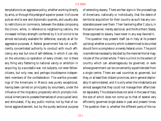temptations to an aggressive policy, whether working directly by arms, or through the *prestige* of superior power. It of course puts an end to war and diplomatic quarrels, and usually also to restrictions on commerce, between the states composing the Union; while, in reference to neighboring nations, the increased military strength conferred by it is of a kind to be almost exclusively available for defensive, scarcely at all for aggressive purposes. A federal government has not a sufficiently concentrated authority to conduct with much efficiency any war but one of self-defense, in which it can rely on the voluntary co-operation of every citizen; nor is there any thing very flattering to national vanity or ambition in acquiring, by a successful war, not subjects, nor even fellowcitizens, but only new, and perhaps troublesome independent members of the confederation. The warlike proceedings of the Americans in Mexico was purely exceptional, having been carried on principally by volunteers, under the influence of the migratory propensity which prompts individual Americans to possess themselves of unoccupied land, and stimulated, if by any public motive, not by that of national aggrandizement, but by the purely sectional purpose of extending slavery. There are few signs in the proceedings of Americans, nationally or individually, that the desire of territorial acquisition for their country as such has any considerable power over them. Their hankering after Cuba is, in the same manner, merely sectional, and the Northern States, those opposed to slavery, have never in any way favored it.

The question may present itself (as in Italy at its present uprising) whether a country which is determined to be united should form a complete or a merely federal union. The point is sometimes necessarily decided by the mere territorial magnitude of the united whole. There is a limit to the extent of country which can advantageously be governed, or even whose government can be conveniently superintended from a single centre. There are vast countries so governed; but they, or at least their distant provinces, are in general deplorably ill administered, and it is only when the inhabitants are almost savages that they could not manage their affairs better separately. This obstacle does not exist in the case of Italy, the size of which does not come up to that of several very efficiently governed single states in past and present times. The question then is, whether the different parts of the na-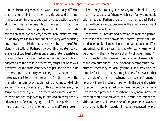tion require to be governed in a way so essentially different that it is not probable the same Legislature, and the same ministry or administrative body, will give satisfaction to them all. Unless this be the case, which is a question of fact, it is better for them to be completely united. That a totally different system of laws and very different administrative institutions may exist in two portions of a country without being any obstacle to legislative unity, is proved by the case of England and Scotland. Perhaps, however, this undisturbed coexistence of two legal systems under one united Legislature, making different laws for the two sections of the country in adaptation to the previous differences, might not be so well preserved, or the same confidence might not be felt in its preservation, in a country whose legislators are more possessed (as is apt to be the case on the Continent) with the mania for uniformity. A people having that unbounded toleration which is characteristic of this country for every description of anomaly, so long as those whose interests it concerns do not feel aggrieved by it, afforded an exceptionally advantageous field for trying this difficult experiment. In most countries, if it was an object to retain different systems

of law, it might probably be necessary to retain distinct legislatures as guardians of them, which is perfectly compatible with a national Parliament and king, or a national Parliament without a king, supreme over the external relations of all the members of the body.

Whenever it is not deemed necessary to maintain permanently, in the different provinces, different systems of jurisprudence, and fundamental institutions grounded on different principles, it is always practicable to reconcile minor diversities with the maintenance of unity of government. All that is needful is to give a sufficiently large sphere of action to the local authorities. Under one and the same central government there may be local governors, and provincial assemblies for local purposes. It may happen, for instance, that the people of different provinces may have preferences in favor of different modes of taxation. If the general Legislature could not be depended on for being guided by the members for each province in modifying the general system of taxation to suit that province, the Constitution might provide that as many of the expenses of the government as could by any possibility be made local should be defrayed by local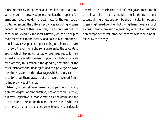rates imposed by the provincial assemblies, and that those which must of necessity be general, such as the support of an army and navy, should, in the estimates for the year, be apportioned among the different provinces according to some general estimate of their resources, the amount assigned to each being levied by the local assembly on the principles most acceptable to the locality, and paid *en bloc* into the national treasury. A practice approaching to this existed even in the old French monarchy, so far as regarded the *pays d'états*, each of which, having consented or been required to furnish a fixed sum, was left to assess it upon the inhabitants by its own officers, thus escaping the grinding despotism of the royal *intendants* and *subdélégués*; and this privilege is always mentioned as one of the advantages which mainly contributed to render them, as some of them were, the most flourishing provinces of France.

Identity of central government is compatible with many different degrees of centralisation, not only administrative, but even legislative. A people may have the desire and the capacity for a closer union than one merely federal, while yet their local peculiarities and antecedents render considerable diversities desirable in the details of their government. But if there is a real desire on all hands to make the experiment successful, there needs seldom be any difficulty in not only preserving these diversities, but giving them the guaranty of a constitutional provision against any attempt at assimilation except by the voluntary act of those who would be affected by the change.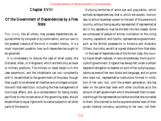# Chapter XVIII

# Of the Government of Dependencies by a Free **State**

FREE STATES, like all others, may possess dependencies, acquired either by conquest or by colonization, and our own is the greatest instance of the kind in modern history. It is a most important question how such dependencies ought to be governed.

It is unnecessary to discuss the case of small posts, like Gibraltar, Aden, or Heligoland, which are held only as naval or military positions. The military or naval object is in this case paramount, and the inhabitants can not, consistently with it, be admitted to the government of the place, though they ought to be allowed all liberties and privileges compatible with that restriction, including the free management of municipal affairs, and, as a compensation for being locally sacrificed to the convenience of the governing state, should be admitted to equal rights with its native subjects in all other parts of the empire.

Outlying territories of some size and population, which are held as dependencies, that is, which are subject, more or less, to acts of sovereign power on the part of the paramount country, without being equally represented (if represented at all) in its Legislature, may be divided into two classes. Some are composed of people of similar civilization to the ruling country, capable of, and ripe for, representative government, such as the British possessions in America and Australia. Others, like India, are still at a great distance from that state.

In the case of dependencies of the former class, this country has at length realized, in rare completeness, the true principle of government. England has always felt under a certain degree of obligation to bestow on such of her outlying populations as were of her own blood and language, and on some who were not, representative institutions formed in imitation of her own; but, until the present generation, she has been on the same bad level with other countries as to the amount of self-government which she allowed them to exercise through the representative institutions that she conceded to them. She claimed to be the supreme arbiter even of their purely internal concerns, according to her own, not their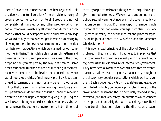ideas of how those concerns could be best regulated. This practice was a natural corollary from the vicious theory of colonial policy—once common to all Europe, and not yet completely relinquished by any other people—which regarded colonies as valuable by affording markets for our commodities that could be kept entirely to ourselves; a privilege we valued so highly that we thought it worth purchasing by allowing to the colonies the same monopoly of our market for their own productions which we claimed for our commodities in theirs. This notable plan for enriching them and ourselves by making each pay enormous sums to the other, dropping the greatest part by the way, has been for some time abandoned. But the bad habit of meddling in the internal government of the colonies did not at once die out when we relinquished the idea of making any profit by it. We continued to torment them, not for any benefit to ourselves, but for that of a section or faction among the colonists; and this persistence in domineering cost us a Canadian rebellion before we had the happy thought of giving it up. England was like an ill brought-up elder brother, who persists in tyrannizing over the younger ones from mere habit, till one of

them, by a spirited resistance, though with unequal strength, gives him notice to desist. We were wise enough not to require a second warning. A new era in the colonial policy of nations began with Lord Durham's Report; the imperishable memorial of that nobleman's courage, patriotism, and enlightened liberality, and of the intellect and practical sagacity of its joint authors, Mr. Wakefield and the lamented Charles Buller.11

It is now a fixed principle of the policy of Great Britain, professed in theory and faithfully adhered to in practice, that her colonies of European race, equally with the parent country, possess the fullest measure of internal self-government. They have been allowed to make their own free representative constitutions by altering in any manner they thought fit the already very popular constitutions which we had given them. Each is governed by its own Legislature and executive, constituted on highly democratic principles. The veto of the crown and of Parliament, though nominally reserved, is only exercised (and that very rarely) on questions which concern the empire, and not solely the particular colony. How liberal a construction has been given to the distinction between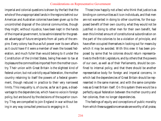imperial and colonial questions is shown by the fact that the whole of the unappropriated lands in the regions behind our American and Australian colonies have been given up to the uncontrolled disposal of the colonial communities, though they might, without injustice, have been kept in the hands of the imperial government, to be administered for the greatest advantage of future emigrants from all parts of the empire. Every colony has thus as full power over its own affairs as it could have if it were a member of even the loosest federation, and much fuller than would belong to it under the Constitution of the United States, being free even to tax at its pleasure the commodities imported from the mother country. Their union with Great Britain is the slightest kind of federal union; but not a strictly equal federation, the mother country retaining to itself the powers of a federal government, though reduced in practice to their very narrowest limits. This inequality is, of course, as far as it goes, a disadvantage to the dependencies, which have no voice in foreign policy, but are bound by the decisions of the superior country. They are compelled to join England in war without being in any way consulted previous to engaging in it.

Those (now happily not a few) who think that justice is as binding on communities as it is on individuals, and that men are not warranted in doing to other countries, for the supposed benefit of their own country, what they would not be justified in doing to other men for their own benefit, feel even this limited amount of constitutional subordination on the part of the colonies to be a violation of principle, and have often occupied themselves in looking out for means by which it may be avoided. With this view it has been proposed by some that he colonies should return representatives to the British Legislature, and by others that the powers of our own, as well as of their Parliaments, should be confined to internal policy, and that there should be another representative body for foreign and imperial concerns, in which last the dependencies of Great Britain should be represented in the same manner, and with the same completeness as Great Britain itself. On this system there would be a perfectly equal federation between the mother country and her colonies, then no longer dependencies.

The feelings of equity and conceptions of public morality from which these suggestions emanate are worthy of all praise,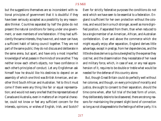but the suggestions themselves are so inconsistent with rational principles of government that it is doubtful if they have been seriously accepted as a possibility by any reasonable thinker. Countries separated by half the globe do not present the natural conditions for being under one government, or even members of one federation. If they had sufficiently the same interests, they have not, and never can have, a sufficient habit of taking council together. They are not part of the same public; they do not discuss and deliberate in the same arena, but apart, and have only a most imperfect knowledge of what passes in the minds of one another. They neither know each other's objects, nor have confidence in each other's principles of conduct. Let any Englishman ask himself how he should like his destinies to depend on an assembly of which one third was British American, and another third South African and Australian. Yet to this it must come if there were any thing like fair or equal representation; and would not every one feel that the representatives of Canada and Australia, even in matters of an imperial character, could not know or feel any sufficient concern for the interests, opinions, or wishes of English, Irish, and Scotch?

Even for strictly federative purposes the conditions do not exist which we have seen to be essential to a federation. England is sufficient for her own protection without the colonies, and would be in a much stronger, as well as more dignified position, if separated from them, than when reduced to be a single member of an American, African, and Australian confederation. Over and above the commerce which she might equally enjoy after separation, England derives little advantage, except in *prestige*, from her dependencies, and the little she does derive is quite outweighed by the expense they cost her, and the dissemination they necessitate of her naval and military force, which, in case of war, or any real apprehension of it, requires to be double or treble what would be needed for the defense of this country alone.

But, though Great Britain could do perfectly well without her colonies, and though, on every principle of morality and justice, she ought to consent to their separation, should the time come when, after full trial of the best form of union, they deliberately desire to be dissevered, there are strong reasons for maintaining the present slight bond of connection so long as not disagreeable to the feelings of either party. It is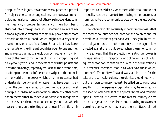a step, as far as it goes, towards universal peace and general friendly co-operation among nations. It renders war impossible among a large number of otherwise independent communities, and, moreover, hinders any of them from being absorbed into a foreign state, and becoming a source of additional aggressive strength to some rival power, either more despotic or closer at hand, which might not always be so unambitious or so pacific as Great Britain. It at least keeps the markets of the different countries open to one another, and prevents that mutual exclusion by hostile tariffs which none of the great communities of mankind except England have yet outgrown. And in the case of the British possessions it has the advantage, especially valuable at the present time, of adding to the moral influence and weight in the councils of the world of the power which, of all in existence, best understands liberty—and, whatever may have been its errors in the past, has attained to more of conscience and moral principle in its dealings with foreigners than any other great nation seems either to conceive as possible or recognize as desirable. Since, then, the union can only continue, while it does continue, on the footing of an unequal federation, it is

important to consider by what means this small amount of inequality can be prevented from being either onerous or humiliating to the communities occupying the less exalted position.

The only inferiority necessarily inherent in the case is that the mother country decides, both for the colonies and for herself, on questions of peace and war. They gain, in return, the obligation on the mother country to repel aggressions directed against them; but, except when the minor community is so weak that the protection of a stronger power is indispensable to it, reciprocity of obligation is not a full equivalent for non-admission to a voice in the deliberations. It is essential, therefore, that in all wars, save those which, like the Caffre or New Zealand wars, are incurred for the sake of the particular colony, the colonists should not (without their own voluntary request) be called on to contribute any thing to the expense except what may be required for the specific local defense of their ports, shores, and frontiers against invasion. Moreover, as the mother country claims the privilege, at her sole discretion, of taking measures or pursuing a policy which may expose them to attack, it is just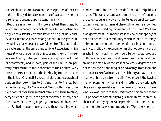that she should undertake a considerable portion of the cost of their military defense even in time of peace; the whole of it, so far as it depends upon a standing army.

But there is a means, still more effectual than these, by which, and in general by which alone, a full equivalent can be given to a smaller community for sinking its individuality, as a substantive power among nations, in the greater individuality of a wide and powerful empire. This one indispensable, and, at the same time, sufficient expedient, which meets at once the demands of justice and the growing exigencies of policy, is to open the service of government in all its departments, and in every part of the empire, on perfectly equal terms, to the inhabitants of the colonies. Why does no one ever hear a breath of disloyalty from the Islands in the British Channel? By race, religion, and geographical position they belong less to England than to France; but, while they enjoy, like Canada and New South Wales, complete control over their internal affairs and their taxation, every office or dignity in the gift of the crown is freely open to the native of Guernsey or Jersey. Generals, admirals, peers of the United Kingdom are made, and there is nothing which hinders prime ministers to be made from those insignificant islands. The same system was commenced in reference to the colonies generally by an enlightened colonial secretary, too early lost, Sir William Molesworth, when he appointed Mr. Hinckes, a leading Canadian politician, to a West Indian government. It is a very shallow view of the springs of political action in a community which thinks such things unimportant because the number of those in a position actually to profit by the concession might not be very considerable. That limited number would be composed precisely of those who have most moral power over the rest; and men are not so destitute of the sense of collective degradation as not to feel the withholding of an advantage from even one person, because of a circumstance which they all have in common with him, an affront to all. If we prevent the leading men of a community from standing forth to the world as its chiefs and representatives in the general councils of mankind, we owe it both to their legitimate ambition and to the just pride of the community to give them in return an equal chance of occupying the same prominent position in a nation of greater power and importance. Were the whole ser-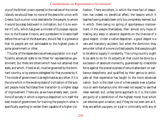vice of the British crown opened to the natives of the Ionian Islands, we should hear no more of the desire for union with Greece. Such a union is not desirable for the people, to whom it would be a step backward in civilization; but it is no wonder if Corfu, which has given a minister of European reputation to the Russian Empire, and a president to Greece itself before the arrival of the Bavarians, should feel it a grievance that its people are not admissable to the highest posts in some government or other.

Thus far of the dependencies whose population is in a sufficiently advanced state to be fitted for representative government; but there are others which have not attained that state, and which, if held at all, must be governed by the dominant country, or by persons delegated for that purpose by it. This mode of government is as legitimate as any other, if it is the one which in the existing state of civilization of the subject people most facilitates their transition to a higher stage of improvement. There are, as we have already seen, conditions of society in which a vigorous despotism is in itself the best mode of government for training the people in what is specifically wanting to render them capable of a higher civilization. There are others, in which the mere fact of despotism has indeed no beneficial effect, the lessons which it teaches having already been only too completely learned, but in which, there being no spring of spontaneous improvement in the people themselves, their almost only hope of making any steps in advance depends on the chances of a good despot. Under a native despotism, a good despot is a rare and transitory accident; but when the dominion they are under is that of a more civilized people, that people ought to be able to supply it constantly. The ruling country ought to be able to do for its subjects all that could be done by a succession of absolute monarchs, guaranteed by irresistible force against the precariousness of tenure attendant on barbarous despotisms, and qualified by their genius to anticipate all that experience has taught to the more advanced nation. Such is the ideal rule of a free people over a barbarous or semi-barbarous one. We need not expect to see that ideal realized; but, unless some approach to it is, the rulers are guilty of a dereliction of the highest moral trust which can devolve upon a nation; and if they do not even aim at it, they are selfish usurpers, on a par in criminality with any of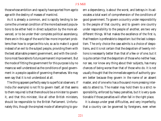those whose ambition and rapacity have sported from age to age with the destiny of masses of mankind.

As it is already a common, and is rapidly tending to become the universal condition of the more backward populations to be either held in direct subjection by the more advanced, or to be under their complete political ascendancy, there are in this age of the world few more important problems than how to organize this rule, so as to make it a good instead of an evil to the subject people, providing them with the best attainable present government, and with the conditions most favorable to future permanent improvement. But the mode of fitting the government for this purpose is by no means so well understood as the conditions of good government in a people capable of governing themselves. We may even say that it is not understood at all.

The thing appears perfectly easy to superficial observers. If India (for example) is not fit to govern itself, all that seems to them required is that there should be a minister to govern it, and that this minister, like all other British ministers, should be responsible to the British Parliament. Unfortunately this, though the simplest mode of attempting to govern a dependency, is about the worst, and betrays in its advocates a total want of comprehension of the conditions of good government. To govern a country under responsibility to the people of that country, and to govern one country under responsibility to the people of another, are two very different things. What makes the excellence of the first is, that freedom is preferable to despotism: but the last *is* despotism. The only choice the case admits is a choice of despotisms, and it is not certain that the despotism of twenty millions is necessarily better than that of a few or of one; but it is quite certain that the despotism of those who neither hear, nor see, nor know any thing about their subjects, has many chances of being worse than that of those who do. It is not usually thought that the immediate agents of authority govern better because they govern in the name of an absent master, and of one who has a thousand more pressing interests to attend to. The master may hold them to a strict responsibility, enforced by heavy penalties, but it is very questionable if those penalties will often fall in the right place.

It is always under great difficulties, and very imperfectly, that a country can be governed by foreigners, even when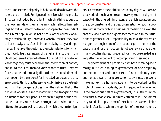there is no extreme disparity in habits and ideas between the rulers and the ruled. Foreigners do not feel with the people. They can not judge, by the light in which a thing appears to their own minds, or the manner in which it affects their feelings, how it will affect the feelings or appear to the minds of the subject population. What a native of the country, of average practical ability, knows as it were by instinct, they have to learn slowly, and, after all, imperfectly, by study and experience. The laws, the customs, the social relations for which they have to legislate, instead of being familiar to them from childhood, are all strange to them. For most of their detailed knowledge they must depend on the information of natives, and it is difficult for them to know whom to trust. They are feared, suspected, probably disliked by the population; seldom sought by them except for interested purposes; and they are prone to think that the servilely submissive are the trustworthy. Their danger is of despising the natives; that of the natives is, of disbelieving that any thing the strangers do can be intended for their good. These are but a part of the difficulties that any rulers have to struggle with, who honestly attempt to govern well a country in which they are foreigners. To overcome these difficulties in any degree will always be a work of much labor, requiring a very superior degree of capacity in the chief administrators, and a high average among the subordinates; and the best organization of such a government is that which will best insure the labor, develop the capacity, and place the highest specimens of it in the situations of greatest trust. Responsibility to an authority which has gone through none of the labor, acquired none of the capacity, and for the most part is not even aware that either, in any peculiar degree, is required, can not be regarded as a very effectual expedient for accomplishing these ends.

The government of a people by itself has a meaning and a reality, but such a thing as government of one people by another does not and can not exist. One people may keep another as a warren or preserve for its own use, a place to make money in, a human-cattle farm to be worked for the profit of its own inhabitants; but if the good of the governed is the proper business of a government, it is utterly impossible that a people should directly attend to it. The utmost they can do is to give some of their best men a commission to look after it, to whom the opinion of their own country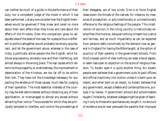can neither be much of a guide in the performance of their duty, nor a competent judge of the mode in which it has been performed. Let any one consider how the English themselves would be governed if they knew and cared no more about their own affairs than they know and care about the affairs of the Hindoos. Even this comparison gives no adequate idea of the state of the case; for a people thus indifferent to politics altogether would probably be simply acquiescent, and let the government alone; whereas in the case of India, a politically active people like the English, amid habitual acquiescence, are every now and then interfering, and almost always in the wrong place. The real causes which determine the prosperity or wretchedness, the improvement or deterioration of the Hindoos, are too far off to be within their ken. They have not the knowledge necessary for suspecting the existence of those causes, much less for judging of their operation. The most essential interests of the country may be well administered without obtaining any of their approbation, or mismanaged to almost any excess without attracting their notice. The purposes for which they are principally tempted to interfere, and control the proceedings of

their delegates, are of two kinds. One is to force English ideas down the throats of the natives; for instance, by measures of proselytism, or acts intentionally or unintentionally offensive to the religious feelings of the people. This misdirection of opinion in the ruling country is instructively exemplified (the more so, because nothing is meant but justice and fairness, and as much impartiality as can be expected from persons really convinced) by the demand now so general in England for having the Bible taught, at the option of pupils or of their parents, in the government schools. From the European point of view nothing can wear a fairer aspect, or seem less open to objection on the score of religious freedom. To Asiatic eyes it is quite another thing. No Asiatic people ever believes that a government puts its paid officers and official machinery into motion unless it is bent upon an object; and when bent on an object, no Asiatic believes that any government, except a feeble and contemptible one, pursues it by halves. If government schools and schoolmasters taught Christianity, whatever pledges might be given of teaching it only to those who spontaneously sought it, no amount of evidence would ever persuade the parents that improper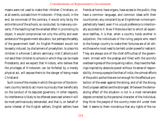means were not used to make their children Christians, or, at all events, outcasts from Hindooism. If they could, in the end, be convinced of the contrary, it would only be by the entire failure of the schools, so conducted, to make any converts. If the teaching had the smallest effect in promoting its object, it would compromise not only the utility and even existence of the government education, but perhaps the safety of the government itself. An English Protestant would not be easily induced, by disclaimers of proselytism, to place his children in a Roman Catholic seminary; Irish Catholics will not send their children to schools in which they can be made Protestants; and we expect that Hindoos, who believe that the privileges of Hindooism can be forfeited by a merely physical act, will expose theirs to the danger of being made Christians!

Such is one of the modes in which the opinion of the dominant country tends to act more injuriously than beneficially on the conduct of its deputed governors. In other respects, its interference is likely to be oftenest exercised where it will be most pertinaciously demanded, and that is, on behalf of some interest of the English settlers. English settlers have

friends at home, have organs, have access to the public; they have a common language, and common ideas with their countrymen; any complaint by an Englishman is more sympathetically heard, even if no unjust preference is intentionally accorded to it. Now if there be a fact to which all experience testifies, it is that, when a country holds another in subjection, the individuals of the ruling people who resort to the foreign country to make their fortunes are of all others those who most need to be held under powerful restraint. They are always one of the chief difficulties of the government. Armed with the *prestige* and filled with the scornful overbearingness of the conquering nation, they have the feelings inspired by absolute power without its sense of responsibility. Among a people like that of India, the utmost efforts of the public authorities are not enough for the effectual protection of the weak against the strong; and of all the strong, the European settlers are the strongest. Wherever the demoralizing effect of the situation is not in a most remarkable degree corrected by the personal character of the individual, they think the people of the country mere dirt under their feet: it seems to them monstrous that any rights of the na-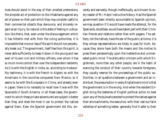tives should stand in the way of their smallest pretensions; the simplest act of protection to the inhabitants against any act of power on their part which they may consider useful to their commercial objects they denounce, and sincerely regard as an injury. So natural is this state of feeling in a situation like theirs, that, even under the discouragement which it has hitherto met with from the ruling authorities, it is impossible that more or less of the spirit should not perpetually break out. The government, itself free from this spirit, is never able sufficiently to keep it down in the young and raw even of its own civil and military officers, over whom it has so much more control than over the independent residents. As it is with the English in India, so, according to trustworthy testimony, it is with the French in Algiers; so with the Americans in the countries conquered from Mexico; so it seems to be with the Europeans in China, and already even in Japan: there is no necessity to recall how it was with the Spaniards in South America. In all these cases, the government to which these private adventurers are subject is better than they, and does the most it can to protect the natives against them. Even the Spanish government did this, sincerely and earnestly, though ineffectually, as is known to every reader of Mr. Helps' instructive history. Had the Spanish government been directly accountable to Spanish opinion, we may question if it would have made the attempt, for the Spaniards, doubtless, would have taken part with their Christian friends and relations rather than with pagans. The settlers, not the natives, have the ear of the public at home; it is they whose representations are likely to pass for truth, because they alone have both the means and the motive to press them perseveringly upon the inattentive and uninterested public mind. The distrustful criticism with which Englishmen, more than any other people, are in the habit of scanning the conduct of their country towards foreigners, they usually reserve for the proceedings of the public authorities. In all questions between a government and an individual, the presumption in every Englishman's mind is that the government is in the wrong. And when the resident English bring the batteries of English political action to bear upon any of the bulwarks erected to protect the natives against their encroachments, the executive, with their real but faint velleities of something better, generally find it safer to their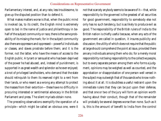Parliamentary interest, and, at any rate, less troublesome, to give up the disputed position than to defend it.

What makes matters worse is that, when the public mind is invoked (as, to its credit, the English mind is extremely open to be) in the name of justice and philanthropy in behalf of the subject community or race, there is the same probability of its missing the mark; for in the subject community also there are oppressors and oppressed—powerful individuals or classes, and slaves prostrate before them; and it is the former, not the latter, who have the means of access to the English public. A tyrant or sensualist who has been deprived of the power he had abused, and, instead of punishment, is supported in as great wealth and splendor as he ever enjoyed; a knot of privileged landholders, who demand that the state should relinquish to them its reserved right to a rent from their lands, or who resent as a wrong any attempt to protect the masses from their extortion—these have no difficulty in procuring interested or sentimental advocacy in the British Parliament and press. The silent myriads obtain none.

The preceding observations exemplify the operation of a principle—which might be called an obvious one, were it not that scarcely anybody seems to be aware of it—that, while responsibility to the governed is the greatest of all securities for good government, responsibility to somebody else not only has no such tendency, but is as likely to produce evil as good. The responsibility of the British rulers of India to the British nation is chiefly useful because, when any acts of the government are called in question, it insures publicity and discussion; the utility of which does not require that the public at large should comprehend the point at issue, provided there are any individuals among them who do; for a merely moral responsibility not being responsibility to the collective people, but to every separate person among them who forms a judgment, opinions may be weighed as well as counted, and the approbation or disapprobation of one person well versed in the subject may outweigh that of thousands who know nothing about it at all. It is doubtless a useful restraint upon the immediate rulers that they can be put upon their defense, and that one or two of the jury will form an opinion worth having about their conduct, though that of the remainder will probably be several degrees worse than none. Such as it is, this is the amount of benefit to India from the control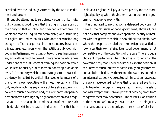exercised over the Indian government by the British Parliament and people.

It is not by attempting to rule directly a country like India, but by giving it good rulers, that the English people can do their duty to that country; and they can scarcely give it a worse one than an English cabinet minister, who is thinking of English, not Indian politics; who does not remains long enough in office to acquire an intelligent interest in so complicated a subject; upon whom the factitious public opinion got up in Parliament, consisting of two or three fluent speakers, acts with as much force as if it were genuine; while he is under none of the influences of training and position which would lead or qualify him to form an honest opinion of his own. A free country which attempts to govern a distant dependency, inhabited by a dissimilar people, by means of a branch of its own executive, will almost inevitably fail. The only mode which has any chance of tolerable success is to govern through a delegated body of a comparatively permanent character, allowing only a right of inspection and a negative voice to the changeable administration of the state. Such a body did exist in the case of India; and I fear that both

India and England will pay a severe penalty for the shortsighted policy by which this intermediate instrument of government was done away with.

It is of no avail to say that such a delegated body can not have all the requisites of good government; above all, can not have that complete and over-operative identity of interest with the governed which it is so difficult to obtain even where the people to be ruled are in some degree qualified to look after their own affairs. Real good government is not compatible with the conditions of the case. There is but a choice of imperfections. The problem is, so to construct the governing body that, under the difficulties of the position, it shall have as much interest as possible in good government, and as little in bad. Now these conditions are best found in an intermediate body. A delegated administration has always this advantage over a direct one, that it has, at all events, no duty to perform except to the governed. It has no interests to consider except theirs. Its own power of deriving profit from misgovernment may be reduced—in the latest Constitution of the East India Company it was reduced—to a singularly small amount; and it can be kept entirely clear of bias from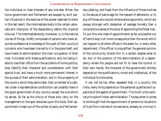the individual or class interests of any one else. When the home government and Parliament are swayed by such partial influences in the exercise of the power reserved to them in the last resort, the intermediate body is the certain advocate and champion of the dependency before the imperial tribunal. The intermediate body, moreover, is, in the natural course of things, chiefly composed of persons who have acquired professional knowledge of this part of their country's concerns; who have been trained to it in the place itself, and have made its administration the main occupation of their lives. Furnished with these qualifications, and not being liable to lose their office from the accidents of home politics, they identify their character and consideration with their special trust, and have a much more permanent interest in the success of their administration, and in the prosperity of the country which they administer, than a member of a cabinet under a representative constitution can possibly have in the good government of any country except the one which he serves. So far as the choice of those who carry on the management on the spot devolves upon this body, their appointment is kept out of the vortex of party and Parliamentary jobbing, and freed from the influence of those motives to the abuse of patronage for the reward of adherents, or to buy off those who would otherwise be opponents, which are always stronger with statesmen of average honesty than a conscientious sense of the duty of appointing the fittest man. To put this one class of appointments as far as possible out of harm's way is of more consequence than the worst which can happen to all other offices in the state; for, in every other department, if the officer is unqualified, the general opinion of the community directs him in a certain degree what to do; but in the position of the administrators of a dependency where the people are not fit to have the control in their own hands, the character of the government entirely depends on the qualifications, moral and intellectual, of the individual functionaries.

It can not be too often repeated that, in a country like India, every thing depends on the personal qualities and capacities of the agents of government. This truth is the cardinal principle of Indian administration. The day when it comes to be thought that the appointment of persons to situations of trust from motives of convenience, already so criminal in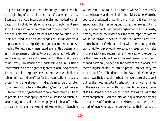England, can be practiced with impunity in India, will be the beginning of the decline and fall of our empire there. Even with a sincere intention of preferring the best candidate, it will not do to rely on chance for supplying fit persons. The system must be calculated to form them. It has done this hitherto; and because it has done so, our rule in India has lasted, and been one of constant, if not very rapid improvement in prosperity and good administration. As much bitterness is now manifested against this system, and as much eagerness displayed to overthrow it, as if educating and training the officers of government for their work were a thing utterly unreasonable and indefensible, an unjustifiable interference with the rights of ignorance and inexperience. There is a tacit conspiracy between those who would like to job in first-rate Indian offices for their connections here, and those who, being already in India, claim to be promoted from the indigo factory or the attorney's office to administer justice or fix the payments due to government from millions of people. The "monopoly" of the civil service, so much inveighed against, is like the monopoly of judicial offices by the bar; and its abolition would be like opening the bench in

Westminster Hall to the first comer whose friends certify that he has now and then looked into Blackstone. Were the course ever adopted of sending men from this country, or encouraging them in going out, to get themselves put into high appointments without having learned their business by passing through the lower ones, the most important offices would be thrown to Scotch cousins and adventurers, connected by no professional feeling with the country or the work, held to no previous knowledge, and eager only to make money rapidly and return home. The safety of the country is, that those by whom it is administered be sent out in youth, as candidates only, to begin at the bottom of the ladder, and ascend higher or not, as, after a proper interval, they are proved qualified. The defect of the East India Company's system was that, though the best men were carefully sought out for the most important posts, yet, if an officer remained in the service, promotion, though it might be delayed, came at last in some shape or other, to the least as well as to the most competent. Even the inferior in qualifications among such a corps of functionaries consisted, it must be remembered, of men who had been brought up to their duties, and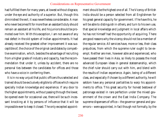had fulfilled them for many years, at lowest without disgrace, under the eye and authority of a superior. But, though this diminished the evil, it was nevertheless considerable. A man who never becomes fit for more than an assistant's duty should remain an assistant all his life, and his juniors should be promoted over him. With this exception, I am not aware of any real defect in the old system of Indian appointments. It had already received the greatest other improvement it was susceptible of, the choice of the original candidates by competitive examination, which, besides the advantage of recruiting from a higher grade of industry and capacity, has the recommendation that under it, unless by accident, there are no personal ties between the candidates for offices and those who have a voice in conferring them.

It is in no way unjust that public officers thus selected and trained should be exclusively eligible to offices which require specially Indian knowledge and experience. If any door to the higher appointments, without passing through the lower, be opened even for occasional use, there will be such incessant knocking at it by persons of influence that it will be impossible ever to keep it closed. The only excepted appointment should be the highest one of all. The Viceroy of British India should be a person selected from all Englishmen for his great general capacity for government. If he have this, he will be able to distinguish in others, and turn to his own use, that special knowledge and judgment in local affairs which he has not himself had the opportunity of acquiring. There are good reasons why the viceroy should not be a member of the regular service. All services have, more or less, their class prejudices, from which the supreme ruler ought to be exempt. Neither are men, however able and experienced, who have passed their lives in Asia, so likely to possess the most advanced European ideas in general statesmanship, which the chief ruler should carry out with him, and blend with the results of Indian experience. Again, being of a different class, and especially if chosen by a different authority, he will seldom have any personal partialities to warp his appointments to office. This great security for honest bestowal of patronage existed in rare perfection under the mixed government of the crown and the East India Company. The supreme dispensers of office—the governor general and governors—were appointed, in fact though not formally, by the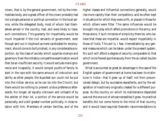crown, that is, by the general government, not by the intermediate body, and a great officer of the crown probably had not a single personal or political connection in the local service, while the delegated body, most of whom had themselves served in the country, had, and were likely to have, such connections. This guaranty for impartiality would be much impaired if the civil servants of government, even though sent out in boyhood as mere candidates for employment, should come to be furnished, in any considerable proportion, by the class of society which supplies viceroys and governors. Even the initiatory competitive examination would then be an insufficient security. It would exclude mere ignorance and incapacity; it would compel youths of family to start in the race with the same amount of instruction and ability as other people; the stupidest son could not be put into the Indian service, as he can be into the Church; but there would be nothing to prevent undue preference afterwards. No longer, all equally unknown and unheard of by the arbiter of their lot, a portion of the service would be personally, and a still greater number politically, in close relation with him. Members of certain families, and of the

higher classes and influential connections generally, would rise more rapidly than their competitors, and be often kept in situations for which they were unfit, or placed in those for which others were fitter. The same influences would be brought into play which affect promotions in the army; and those alone, if such miracles of simplicity there be, who believe that these are impartial, would expect impartiality in those of India. This evil is, I fear, irremediable by any general measures which can be taken under the present system. No such will afford a degree of security comparable to that which once flowed spontaneously from the so-called double government.

What is accounted so great an advantage in the case of the English system of government at home has been its misfortune in India—that it grew up of itself, not from preconceived design, but by successive expedients, and by the adaptation of machinery originally created for a different purpose. As the country on which its maintenance depended was not the one out of whose necessities it grew, its practical benefits did not come home to the mind of that country, and it would have required theoretic recommendations to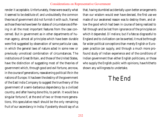render it acceptable. Unfortunately, these were exactly what it seemed to be destitute of; and undoubtedly the common theories of government did not furnish it with such, framed as those theories have been for states of circumstances differing in all the most important features from the case concerned. But in government as in other departments of human agency, almost all principles which have been durable were first suggested by observation of some particular case, in which the general laws of nature acted in some new or previously unnoticed combination of circumstances. The institutions of Great Britain, and those of the United States, have the distinction of suggesting most of the theories of government which, through good and evil fortune, are now, in the course of generations, reawakening political life in the nations of Europe. It has been the destiny of the government of the East India Company to suggest the true theory of the government of a semi-barbarous dependency by a civilized country, and after having done this, to perish. It would be a singular fortune if, at the end of two or three more generations, this speculative result should be the only remaining fruit of our ascendancy in India; if posterity should say of us

that, having stumbled accidentally upon better arrangements than our wisdom would ever have devised, the first use we made of our awakened reason was to destroy them, and allow the good which had been in course of being realized to fall through and be lost from ignorance of the principles on which it depended. *Dî meliora;* but if a fate so disgraceful to England and to civilization can be averted, it must be through far wider political conceptions than merely English or European practice can supply, and through a much more profound study of Indian experience and of the conditions of Indian government than either English politicians, or those who supply the English public with opinions, have hitherto shown any willingness to undertake.

### The End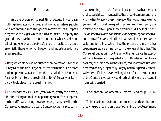### Endnotes

1 I limit the expression to past time, because I would say nothing derogatory of a great, and now at last a free, people, who are entering into the general movement of European progress with a vigor which bids fair to make up rapidly the ground they have lost. No one can doubt what Spanish intellect and energy are capable of; and their faults as a people are chiefly those for which freedom and industrial ardor are a real specific.

2 Italy, which alone can be quoted as an exception, is only so in regard to the final stage of its transformation. The more difficult previous advance from the city isolation of Florence, Pisa, or Milan, to the provincial unity of Tuscany or Lombardy, took place in the usual manner.

3 This blunder of Mr. Disraeli (from which, greatly to his credit, Sir John Pakington took an opportunity soon after of separating himself) is a speaking instance, among many, how little the Conservative leaders understand Conservative principles. Without presuming to require from political parties such an amount of virtue and discernment as that they should comprehend, and know when to apply, the principles of their opponents, we may yet say that it would be a great improvement if each party understood and acted upon its own. Well would it be for England if Conservatives voted consistently for every thing conservative, and Liberals for every thing liberal. We should not then have to wait long for things which, like the present and many other great measures, are eminently both the one and the other. The Conservatives, as being by the law of their existence the stupidest party, have much the greatest sins of this description to answer for; and it is a melancholy truth, that if any measure were proposed on any subject truly, largely, and far-sightedly conservative, even if Liberals were willing to vote for it, the great bulk of the Conservative party would rush blindly in and prevent it from being carried.

4 "Thoughts on Parliamentary Reform," 2nd ed. p. 32-36.

5 "This expedient has been recommended both on the score of saving expense and on that of obtaining the votes of many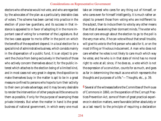electors who otherwise would not vote, and who are regarded by the advocates of the plan as a particularly desirable class of voters. The scheme has been carried into practice in the election of poor-law guardians, and its success in that instance is appealed to in favor of adopting it in the more important case of voting for a member of the Legislature. But the two cases appear to me to differ in the point on which the benefits of the expedient depend. In a local election for a special kind of administrative business, which consists mainly in the dispensation of a public fund, it is an object to prevent the choice from being exclusively in the hands of those who actively concern themselves about it; for the public interest which attaches to the election being of a limited kind, and in most cases not very great in degree, the disposition to make themselves busy in the matter is apt to be in a great measure confined to persons who hope to turn their activity to their own private advantage; and it may be very desirable to render the intervention of other people as little onerous to them as possible, if only for the purpose of swamping these private interests. But when the matter in hand is the great business of national government, in which every one must

take an interest who cares for any thing out of himself, or who cares even for himself intelligently, it is much rather an object to prevent those from voting who are indifferent to the subject, than to induce them to vote by any other means than that of awakening their dormant minds. The voter who does not care enough about the election to go to the poll is the very man who, if he can vote without that small trouble, will give his vote to the first person who asks for it, or on the most trifling or frivolous inducement. A man who does not care whether he votes is not likely to care much which way he votes; and he who is in that state of mind has no moral right to vote at all; since, if he does so, a vote which is not the expression of a conviction, counts for as much, and goes as far in determining the result as one which represents the thoughts and purposes of a life."—*Thoughts*, etc., p. 39.

6 Several of the witnesses before the Committee of the House of Commons in 1860, on the operation of the Corrupt Practices Prevention Act, some of them of great practical experience in election matters, were favorable (either absolutely or as a last resort) to the principle of requiring a declaration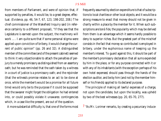from members of Parliament, and were of opinion that, if supported by penalties, it would be, to a great degree, effectual. (*Evidence*, pp. 46, 54-7, 67, 123, 198-202, 208.) The chief commissioner of the Wakefield Inquiry said (in reference certainly to a different proposal), "If they see that the Legislature is earnest upon the subject, the machinery will work …. I am quite sure that if some personal stigma were applied upon conviction of bribery, it would change the current of public opinion" (pp. 26 and 32). A distinguished member of the committee (and of the present cabinet) seemed to think it very objectionable to attach the penalties of perjury to a merely promissory as distinguished from an assertory oath; but he was reminded that the oath taken by a witness in a court of justice is a promissory oath; and the rejoinder (that the witness's promise relates to an act to be done at once, while the member's would be a promise for all future time) would only be to the purpose if it could be supposed that the swearer might forget the obligation he had entered into, or could possibly violate it unawares: contingencies which, in a case like the present, are out of the question.

A more substantial difficulty is, that one of the forms most

frequently assumed by election expenditure is that of subscriptions to local charities or other local objects; and it would be a strong measure to enact that money should not be given in charity within a place by the member for it. When such subscriptions are *bonâ fide*, the popularity which may be derived from them is an advantage which it seems hardly possible to deny to superior riches. But the greatest part of the mischief consists in the fact that money so contributed is employed in bribery, under the euphonious name of keeping up the member's interest. To guard against this, it should be part of the member's promissory declaration that all sums expended by him in the place, or for any purpose connected with it or with any of its inhabitants (with the exception perhaps of his own hotel expenses) should pass through the hands of the election auditor, and be by him (and not by the member himself or his friends) applied to its declared purpose.

The principle of making all lawful expenses of a charge, not upon the candidate, but upon the locality, was upheld by two of the best witnesses (pp. 20, 65-70, 277).

7 "As Mr. Lorimer remarks, by creating a pecuniary induce-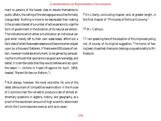ment to persons of the lowest class to devote themselves to public affairs, the calling of the demagogue would be formally inaugurated. Nothing is more to be deprecated than making it the private interest of a number of active persons to urge the form of government in the direction of its natural perversion. The indications which either a multitude or an individual can give when merely left to their own weaknesses, afford but a faint idea of what those weaknesses would become when played upon by a thousand flatterers. If there were 658 places of certain, however moderate emolument, to be gained by persuading the multitude that ignorance is as good as knowledge, and better, it is terrible odds that they would believe and act upon the lesson."—(Article in *Fraser's Magazine* for April, 1859, headed "Recent Writers on Reform.")

8 Not always, however, the most recondite; for one of the latest denouncers of competitive examination in the House of Commons had the *näiveté* to produce a set of almost elementary questions in algebra, history, and geography, as a proof of the exorbitant amount of high scientific attainment which the Commissioners were so wild as to exact.

9 On Liberty, concluding chapter; and, at greater length, in the final chapter of "Principles of Political Economy."

#### 10 Mr. Calhoun.

11 I am speaking here of the *adoption* of this improved policy, not, of course, of its original suggestion. The honor of having been its earliest champion belongs unquestionably to Mr. Roebuck.